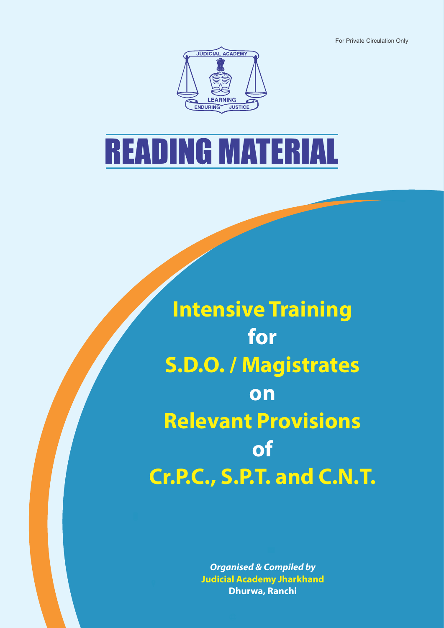For Private Circulation Only



# READING MATERIAL

**Intensive Training for S.D.O. / Magistrates on Relevant Provisions of Cr.P.C., S.P.T. and C.N.T.**

> **Organised & Compiled by Judicial Academy Jharkhand Dhurwa, Ranchi**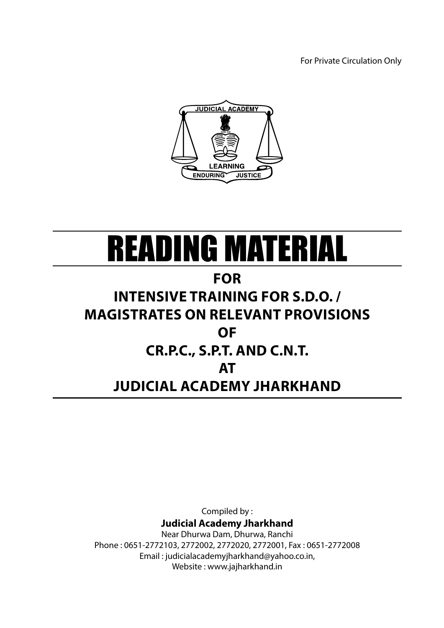For Private Circulation Only



# READING MATERIAL

## **for**

# **Intensive Training for S.D.O. / Magistrates on Relevant Provisions of Cr.P.C., S.P.T. and C.N.T. at Judicial Academy Jharkhand**

Compiled by :

**Judicial Academy Jharkhand**

Near Dhurwa Dam, Dhurwa, Ranchi Phone : 0651-2772103, 2772002, 2772020, 2772001, Fax : 0651-2772008 Email : judicialacademyjharkhand@yahoo.co.in, Website : www.jajharkhand.in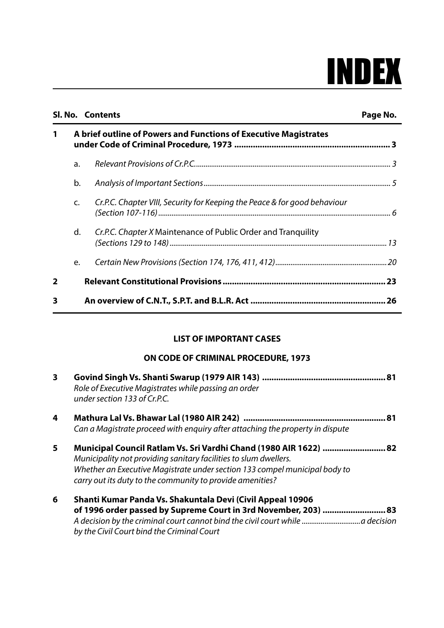# INDEX

|                |                                                                  | Sl. No. Contents                                                          | Page No. |
|----------------|------------------------------------------------------------------|---------------------------------------------------------------------------|----------|
| 1              | A brief outline of Powers and Functions of Executive Magistrates |                                                                           |          |
|                | a.                                                               |                                                                           |          |
|                | b.                                                               |                                                                           |          |
|                | $\mathsf{C}$ .                                                   | Cr.P.C. Chapter VIII, Security for Keeping the Peace & for good behaviour |          |
|                | d.                                                               | <i>Cr.P.C. Chapter X</i> Maintenance of Public Order and Tranquility      |          |
|                | e.                                                               |                                                                           |          |
| $\overline{2}$ |                                                                  |                                                                           |          |
| 3              |                                                                  |                                                                           |          |

#### **LIST OF IMPORTANT CASES**

#### **ON CODE OF CRIMINAL PROCEDURE, 1973**

| 3 | Role of Executive Magistrates while passing an order<br>under section 133 of Cr.P.C.                                                                                                                                                                                             |
|---|----------------------------------------------------------------------------------------------------------------------------------------------------------------------------------------------------------------------------------------------------------------------------------|
| 4 | Can a Magistrate proceed with enquiry after attaching the property in dispute                                                                                                                                                                                                    |
| 5 | Municipal Council Ratlam Vs. Sri Vardhi Chand (1980 AIR 1622)  82<br>Municipality not providing sanitary facilities to slum dwellers.<br>Whether an Executive Magistrate under section 133 compel municipal body to<br>carry out its duty to the community to provide amenities? |
| 6 | Shanti Kumar Panda Vs. Shakuntala Devi (Civil Appeal 10906<br>of 1996 order passed by Supreme Court in 3rd November, 203)  83                                                                                                                                                    |

*by the Civil Court bind the Criminal Court*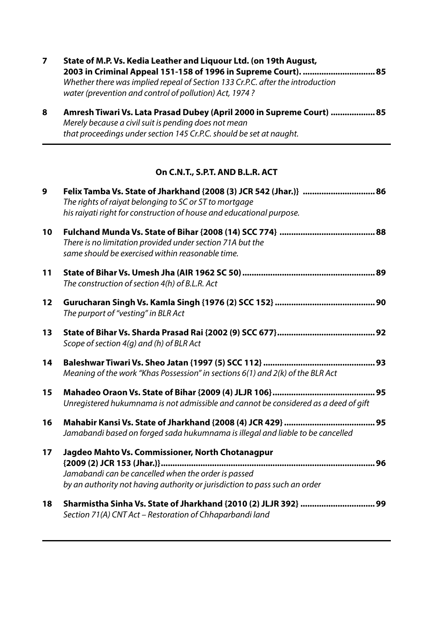|  | State of M.P. Vs. Kedia Leather and Liquour Ltd. (on 19th August,                                                                        |  |  |  |
|--|------------------------------------------------------------------------------------------------------------------------------------------|--|--|--|
|  |                                                                                                                                          |  |  |  |
|  | Whether there was implied repeal of Section 133 Cr.P.C. after the introduction<br>water (prevention and control of pollution) Act, 1974? |  |  |  |

| Amresh Tiwari Vs. Lata Prasad Dubey (April 2000 in Supreme Court)  85 |  |  |  |
|-----------------------------------------------------------------------|--|--|--|
| Merely because a civil suit is pending does not mean                  |  |  |  |
| that proceedings under section 145 Cr.P.C. should be set at naught.   |  |  |  |

#### **On C.N.T., S.P.T. AND B.L.R. ACT**

| $\boldsymbol{9}$ | Felix Tamba Vs. State of Jharkhand {2008 (3) JCR 542 (Jhar.)}  86<br>The rights of raiyat belonging to SC or ST to mortgage<br>his raiyati right for construction of house and educational purpose. |
|------------------|-----------------------------------------------------------------------------------------------------------------------------------------------------------------------------------------------------|
| 10               | There is no limitation provided under section 71A but the<br>same should be exercised within reasonable time.                                                                                       |
| 11               | The construction of section 4(h) of B.L.R. Act                                                                                                                                                      |
| 12               | The purport of "vesting" in BLR Act                                                                                                                                                                 |
| 13               | Scope of section 4(q) and (h) of BLR Act                                                                                                                                                            |
| 14               | Meaning of the work "Khas Possession" in sections 6(1) and 2(k) of the BLR Act                                                                                                                      |
| 15               | Unregistered hukumnama is not admissible and cannot be considered as a deed of gift                                                                                                                 |
| 16               | Jamabandi based on forged sada hukumnama is illegal and liable to be cancelled                                                                                                                      |
| 17               | Jagdeo Mahto Vs. Commissioner, North Chotanagpur<br>Jamabandi can be cancelled when the order is passed<br>by an authority not having authority or jurisdiction to pass such an order               |
| 18               | Sharmistha Sinha Vs. State of Jharkhand {2010 (2) JLJR 392}  99<br>Section 71(A) CNT Act - Restoration of Chhaparbandi land                                                                         |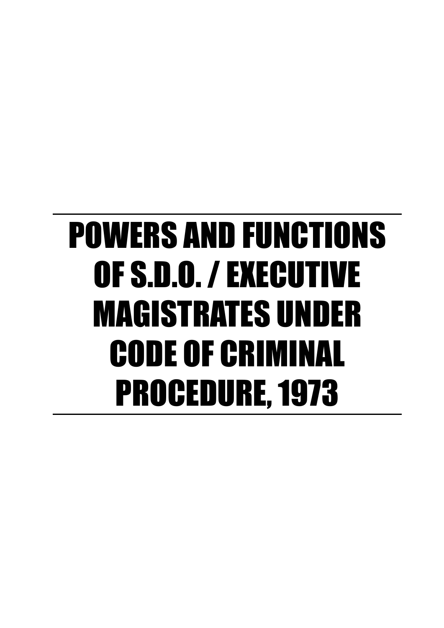# POWERS AND FUNCTIONS OF S.D.O. / EXECUTIVE MAGISTRATES UNDER CODE OF CRIMINAL PROCEDURE, 1973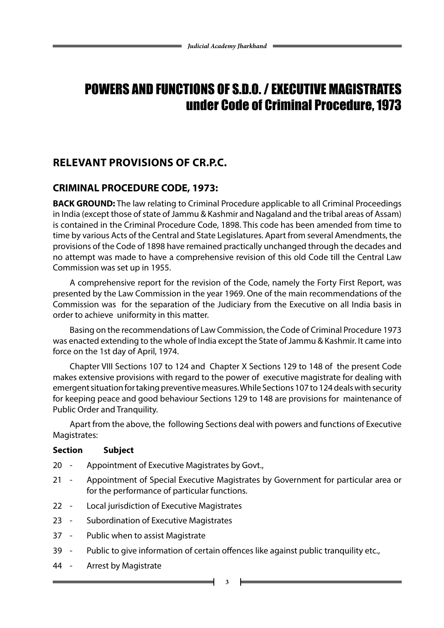## POWERS AND FUNCTIONS OF S.D.O. / EXECUTIVE MAGISTRATES under Code of Criminal Procedure, 1973

## **Relevant Provisions of Cr.P.C.**

## **CRIMINAL PROCEDURE CODE, 1973:**

**BACK GROUND:** The law relating to Criminal Procedure applicable to all Criminal Proceedings in India (except those of state of Jammu & Kashmir and Nagaland and the tribal areas of Assam) is contained in the Criminal Procedure Code, 1898. This code has been amended from time to time by various Acts of the Central and State Legislatures. Apart from several Amendments, the provisions of the Code of 1898 have remained practically unchanged through the decades and no attempt was made to have a comprehensive revision of this old Code till the Central Law Commission was set up in 1955.

A comprehensive report for the revision of the Code, namely the Forty First Report, was presented by the Law Commission in the year 1969. One of the main recommendations of the Commission was for the separation of the Judiciary from the Executive on all India basis in order to achieve uniformity in this matter.

Basing on the recommendations of Law Commission, the Code of Criminal Procedure 1973 was enacted extending to the whole of India except the State of Jammu & Kashmir. It came into force on the 1st day of April, 1974.

Chapter VIII Sections 107 to 124 and Chapter X Sections 129 to 148 of the present Code makes extensive provisions with regard to the power of executive magistrate for dealing with emergent situation for taking preventive measures. While Sections 107 to 124 deals with security for keeping peace and good behaviour Sections 129 to 148 are provisions for maintenance of Public Order and Tranquility.

Apart from the above, the following Sections deal with powers and functions of Executive Magistrates:

#### **Section Subject**

- 20 Appointment of Executive Magistrates by Govt.,
- 21 Appointment of Special Executive Magistrates by Government for particular area or for the performance of particular functions.
- 22 Local jurisdiction of Executive Magistrates
- 23 Subordination of Executive Magistrates
- 37 Public when to assist Magistrate
- 39 Public to give information of certain offences like against public tranquility etc.,
- 44 Arrest by Magistrate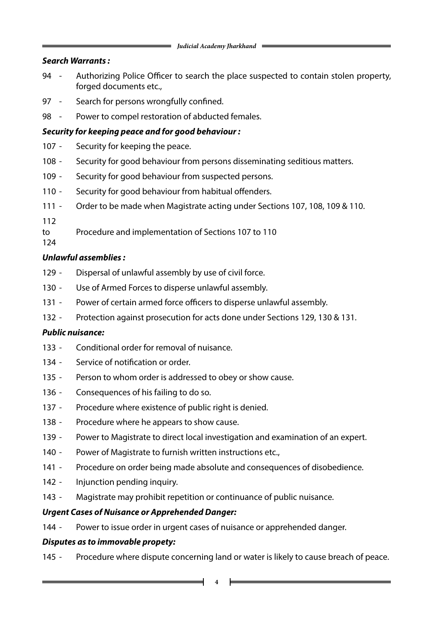#### *Search Warrants :*

- 94 Authorizing Police Officer to search the place suspected to contain stolen property, forged documents etc.,
- Search for persons wrongfully confined.
- Power to compel restoration of abducted females.

#### *Security for keeping peace and for good behaviour :*

- Security for keeping the peace.
- Security for good behaviour from persons disseminating seditious matters.
- Security for good behaviour from suspected persons.
- Security for good behaviour from habitual offenders.
- Order to be made when Magistrate acting under Sections 107, 108, 109 & 110.
- 
- to Procedure and implementation of Sections 107 to 110

#### *Unlawful assemblies :*

- Dispersal of unlawful assembly by use of civil force.
- Use of Armed Forces to disperse unlawful assembly.
- Power of certain armed force officers to disperse unlawful assembly.
- Protection against prosecution for acts done under Sections 129, 130 & 131.

#### *Public nuisance:*

- Conditional order for removal of nuisance.
- Service of notification or order.
- Person to whom order is addressed to obey or show cause.
- 136 Consequences of his failing to do so.
- Procedure where existence of public right is denied.
- Procedure where he appears to show cause.
- Power to Magistrate to direct local investigation and examination of an expert.
- Power of Magistrate to furnish written instructions etc.,
- Procedure on order being made absolute and consequences of disobedience.
- Injunction pending inquiry.
- Magistrate may prohibit repetition or continuance of public nuisance.

#### *Urgent Cases of Nuisance or Apprehended Danger:*

- Power to issue order in urgent cases of nuisance or apprehended danger.

#### *Disputes as to immovable propety:*

- Procedure where dispute concerning land or water is likely to cause breach of peace.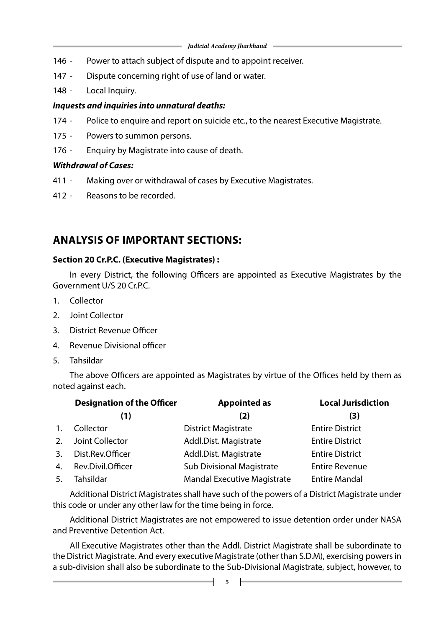- 146 Power to attach subject of dispute and to appoint receiver.
- 147 Dispute concerning right of use of land or water.
- 148 Local Inquiry.

#### *Inquests and inquiries into unnatural deaths:*

- 174 Police to enquire and report on suicide etc., to the nearest Executive Magistrate.
- 175 Powers to summon persons.
- 176 Enquiry by Magistrate into cause of death.

#### *Withdrawal of Cases:*

- 411 Making over or withdrawal of cases by Executive Magistrates.
- 412 Reasons to be recorded.

## **ANALYSIS OF IMPORTANT SECTIONS:**

#### **Section 20 Cr.P.C. (Executive Magistrates) :**

In every District, the following Officers are appointed as Executive Magistrates by the Government U/S 20 Cr.P.C.

- 1. Collector
- 2. Joint Collector
- 3. District Revenue Officer
- 4. Revenue Divisional officer
- 5. Tahsildar

The above Officers are appointed as Magistrates by virtue of the Offices held by them as noted against each.

|    | <b>Designation of the Officer</b> | <b>Appointed as</b>                | <b>Local Jurisdiction</b> |  |
|----|-----------------------------------|------------------------------------|---------------------------|--|
|    | (1)                               | (2)                                | (3)                       |  |
| 1. | Collector                         | <b>District Magistrate</b>         | <b>Entire District</b>    |  |
|    | 2. Joint Collector                | Addl.Dist. Magistrate              | <b>Entire District</b>    |  |
| 3. | Dist.Rev.Officer                  | Addl.Dist. Magistrate              | <b>Entire District</b>    |  |
|    | 4. Rev.Divil.Officer              | <b>Sub Divisional Magistrate</b>   | <b>Entire Revenue</b>     |  |
| 5. | Tahsildar                         | <b>Mandal Executive Magistrate</b> | <b>Entire Mandal</b>      |  |

Additional District Magistrates shall have such of the powers of a District Magistrate under this code or under any other law for the time being in force.

Additional District Magistrates are not empowered to issue detention order under NASA and Preventive Detention Act.

All Executive Magistrates other than the Addl. District Magistrate shall be subordinate to the District Magistrate. And every executive Magistrate (other than S.D.M), exercising powers in a sub-division shall also be subordinate to the Sub-Divisional Magistrate, subject, however, to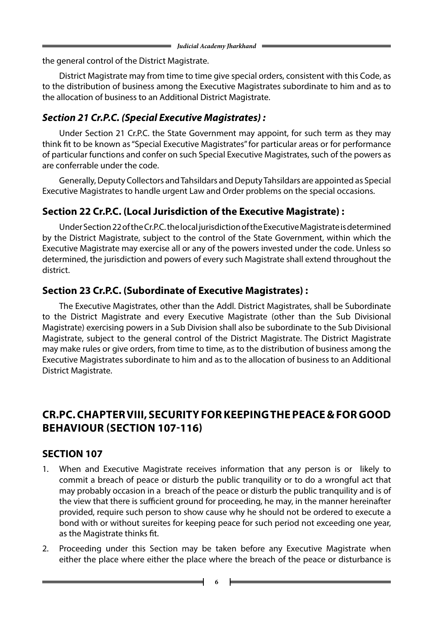the general control of the District Magistrate.

District Magistrate may from time to time give special orders, consistent with this Code, as to the distribution of business among the Executive Magistrates subordinate to him and as to the allocation of business to an Additional District Magistrate.

## *Section 21 Cr.P.C. (Special Executive Magistrates) :*

Under Section 21 Cr.P.C. the State Government may appoint, for such term as they may think fit to be known as "Special Executive Magistrates" for particular areas or for performance of particular functions and confer on such Special Executive Magistrates, such of the powers as are conferrable under the code.

Generally, Deputy Collectors and Tahsildars and Deputy Tahsildars are appointed as Special Executive Magistrates to handle urgent Law and Order problems on the special occasions.

## **Section 22 Cr.P.C. (Local Jurisdiction of the Executive Magistrate) :**

Under Section 22 of the Cr.P.C. the local jurisdiction of the Executive Magistrate is determined by the District Magistrate, subject to the control of the State Government, within which the Executive Magistrate may exercise all or any of the powers invested under the code. Unless so determined, the jurisdiction and powers of every such Magistrate shall extend throughout the district.

## **Section 23 Cr.P.C. (Subordinate of Executive Magistrates) :**

The Executive Magistrates, other than the Addl. District Magistrates, shall be Subordinate to the District Magistrate and every Executive Magistrate (other than the Sub Divisional Magistrate) exercising powers in a Sub Division shall also be subordinate to the Sub Divisional Magistrate, subject to the general control of the District Magistrate. The District Magistrate may make rules or give orders, from time to time, as to the distribution of business among the Executive Magistrates subordinate to him and as to the allocation of business to an Additional District Magistrate.

## **cr.pc. chapter viii, security for keeping the peace & for good behaviour (section 107-116)**

## **SECTION 107**

- 1. When and Executive Magistrate receives information that any person is or likely to commit a breach of peace or disturb the public tranquility or to do a wrongful act that may probably occasion in a breach of the peace or disturb the public tranquility and is of the view that there is sufficient ground for proceeding, he may, in the manner hereinafter provided, require such person to show cause why he should not be ordered to execute a bond with or without sureites for keeping peace for such period not exceeding one year, as the Magistrate thinks fit.
- 2. Proceeding under this Section may be taken before any Executive Magistrate when either the place where either the place where the breach of the peace or disturbance is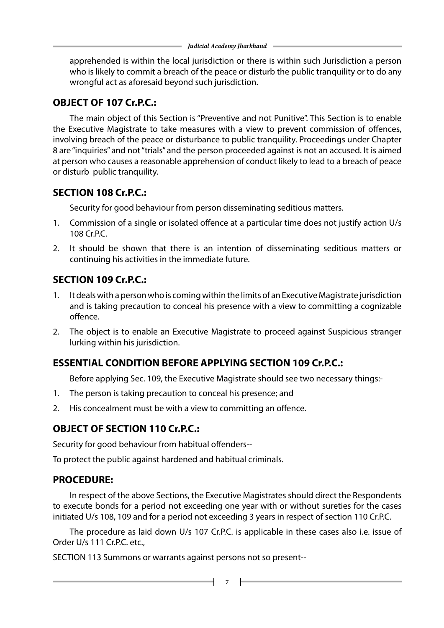apprehended is within the local jurisdiction or there is within such Jurisdiction a person who is likely to commit a breach of the peace or disturb the public tranquility or to do any wrongful act as aforesaid beyond such jurisdiction.

#### **OBJECT OF 107 Cr.P.C.:**

The main object of this Section is "Preventive and not Punitive". This Section is to enable the Executive Magistrate to take measures with a view to prevent commission of offences, involving breach of the peace or disturbance to public tranquility. Proceedings under Chapter 8 are "inquiries" and not "trials" and the person proceeded against is not an accused. It is aimed at person who causes a reasonable apprehension of conduct likely to lead to a breach of peace or disturb public tranquility.

#### **SECTION 108 Cr.P.C.:**

Security for good behaviour from person disseminating seditious matters.

- 1. Commission of a single or isolated offence at a particular time does not justify action U/s 108 Cr.P.C.
- 2. It should be shown that there is an intention of disseminating seditious matters or continuing his activities in the immediate future.

## **SECTION 109 Cr.P.C.:**

- 1. It deals with a person who is coming within the limits of an Executive Magistrate jurisdiction and is taking precaution to conceal his presence with a view to committing a cognizable offence.
- 2. The object is to enable an Executive Magistrate to proceed against Suspicious stranger lurking within his jurisdiction.

## **ESSENTIAL CONDITION BEFORE APPLYING SECTION 109 Cr.P.C.:**

Before applying Sec. 109, the Executive Magistrate should see two necessary things:-

- 1. The person is taking precaution to conceal his presence; and
- 2. His concealment must be with a view to committing an offence.

#### **OBJECT OF SECTION 110 Cr.P.C.:**

Security for good behaviour from habitual offenders--

To protect the public against hardened and habitual criminals.

#### **PROCEDURE:**

In respect of the above Sections, the Executive Magistrates should direct the Respondents to execute bonds for a period not exceeding one year with or without sureties for the cases initiated U/s 108, 109 and for a period not exceeding 3 years in respect of section 110 Cr.P.C.

The procedure as laid down U/s 107 Cr.P.C. is applicable in these cases also i.e. issue of Order U/s 111 Cr.P.C. etc.,

SECTION 113 Summons or warrants against persons not so present--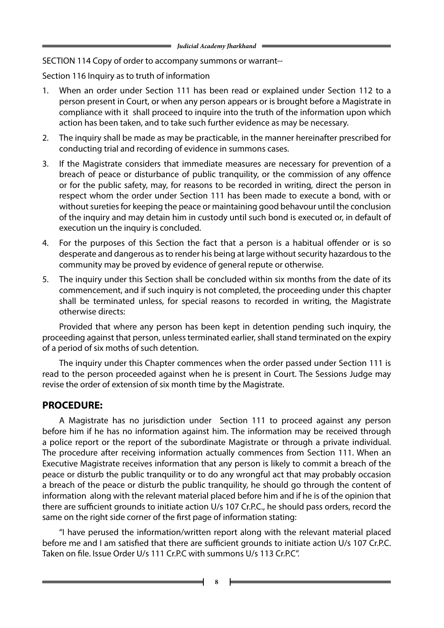SECTION 114 Copy of order to accompany summons or warrant--

Section 116 Inquiry as to truth of information

- 1. When an order under Section 111 has been read or explained under Section 112 to a person present in Court, or when any person appears or is brought before a Magistrate in compliance with it shall proceed to inquire into the truth of the information upon which action has been taken, and to take such further evidence as may be necessary.
- 2. The inquiry shall be made as may be practicable, in the manner hereinafter prescribed for conducting trial and recording of evidence in summons cases.
- 3. If the Magistrate considers that immediate measures are necessary for prevention of a breach of peace or disturbance of public tranquility, or the commission of any offence or for the public safety, may, for reasons to be recorded in writing, direct the person in respect whom the order under Section 111 has been made to execute a bond, with or without sureties for keeping the peace or maintaining good behavour until the conclusion of the inquiry and may detain him in custody until such bond is executed or, in default of execution un the inquiry is concluded.
- 4. For the purposes of this Section the fact that a person is a habitual offender or is so desperate and dangerous as to render his being at large without security hazardous to the community may be proved by evidence of general repute or otherwise.
- 5. The inquiry under this Section shall be concluded within six months from the date of its commencement, and if such inquiry is not completed, the proceeding under this chapter shall be terminated unless, for special reasons to recorded in writing, the Magistrate otherwise directs:

Provided that where any person has been kept in detention pending such inquiry, the proceeding against that person, unless terminated earlier, shall stand terminated on the expiry of a period of six moths of such detention.

The inquiry under this Chapter commences when the order passed under Section 111 is read to the person proceeded against when he is present in Court. The Sessions Judge may revise the order of extension of six month time by the Magistrate.

#### **PROCEDURE:**

A Magistrate has no jurisdiction under Section 111 to proceed against any person before him if he has no information against him. The information may be received through a police report or the report of the subordinate Magistrate or through a private individual. The procedure after receiving information actually commences from Section 111. When an Executive Magistrate receives information that any person is likely to commit a breach of the peace or disturb the public tranquility or to do any wrongful act that may probably occasion a breach of the peace or disturb the public tranquility, he should go through the content of information along with the relevant material placed before him and if he is of the opinion that there are sufficient grounds to initiate action U/s 107 Cr.P.C., he should pass orders, record the same on the right side corner of the first page of information stating:

"I have perused the information/written report along with the relevant material placed before me and I am satisfied that there are sufficient grounds to initiate action U/s 107 Cr.P.C. Taken on file. Issue Order U/s 111 Cr.P.C with summons U/s 113 Cr.P.C".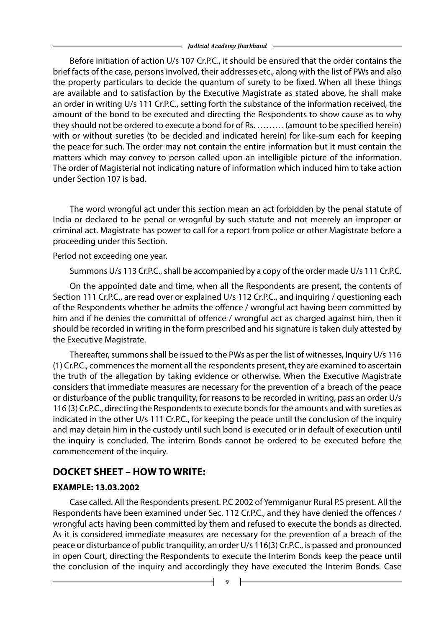Before initiation of action U/s 107 Cr.P.C., it should be ensured that the order contains the brief facts of the case, persons involved, their addresses etc., along with the list of PWs and also the property particulars to decide the quantum of surety to be fixed. When all these things are available and to satisfaction by the Executive Magistrate as stated above, he shall make an order in writing U/s 111 Cr.P.C., setting forth the substance of the information received, the amount of the bond to be executed and directing the Respondents to show cause as to why they should not be ordered to execute a bond for of Rs. ……… (amount to be specified herein) with or without sureties (to be decided and indicated herein) for like-sum each for keeping the peace for such. The order may not contain the entire information but it must contain the matters which may convey to person called upon an intelligible picture of the information. The order of Magisterial not indicating nature of information which induced him to take action under Section 107 is bad.

The word wrongful act under this section mean an act forbidden by the penal statute of India or declared to be penal or wrognful by such statute and not meerely an improper or criminal act. Magistrate has power to call for a report from police or other Magistrate before a proceeding under this Section.

Period not exceeding one year.

Summons U/s 113 Cr.P.C., shall be accompanied by a copy of the order made U/s 111 Cr.P.C.

On the appointed date and time, when all the Respondents are present, the contents of Section 111 Cr.P.C., are read over or explained U/s 112 Cr.P.C., and inquiring / questioning each of the Respondents whether he admits the offence / wrongful act having been committed by him and if he denies the committal of offence / wrongful act as charged against him, then it should be recorded in writing in the form prescribed and his signature is taken duly attested by the Executive Magistrate.

Thereafter, summons shall be issued to the PWs as per the list of witnesses, Inquiry U/s 116 (1) Cr.P.C., commences the moment all the respondents present, they are examined to ascertain the truth of the allegation by taking evidence or otherwise. When the Executive Magistrate considers that immediate measures are necessary for the prevention of a breach of the peace or disturbance of the public tranquility, for reasons to be recorded in writing, pass an order U/s 116 (3) Cr.P.C., directing the Respondents to execute bonds for the amounts and with sureties as indicated in the other U/s 111 Cr.P.C., for keeping the peace until the conclusion of the inquiry and may detain him in the custody until such bond is executed or in default of execution until the inquiry is concluded. The interim Bonds cannot be ordered to be executed before the commencement of the inquiry.

#### **DOCKET SHEET – HOW TO WRITE:**

#### **EXAMPLE: 13.03.2002**

Case called. All the Respondents present. P.C 2002 of Yemmiganur Rural P.S present. All the Respondents have been examined under Sec. 112 Cr.P.C., and they have denied the offences / wrongful acts having been committed by them and refused to execute the bonds as directed. As it is considered immediate measures are necessary for the prevention of a breach of the peace or disturbance of public tranquility, an order U/s 116(3) Cr.P.C., is passed and pronounced in open Court, directing the Respondents to execute the Interim Bonds keep the peace until the conclusion of the inquiry and accordingly they have executed the Interim Bonds. Case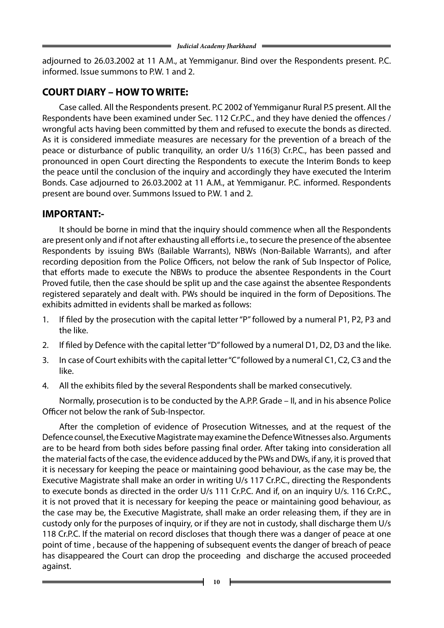adjourned to 26.03.2002 at 11 A.M., at Yemmiganur. Bind over the Respondents present. P.C. informed. Issue summons to P.W. 1 and 2.

## **COURT DIARY – HOW TO WRITE:**

Case called. All the Respondents present. P.C 2002 of Yemmiganur Rural P.S present. All the Respondents have been examined under Sec. 112 Cr.P.C., and they have denied the offences / wrongful acts having been committed by them and refused to execute the bonds as directed. As it is considered immediate measures are necessary for the prevention of a breach of the peace or disturbance of public tranquility, an order U/s 116(3) Cr.P.C., has been passed and pronounced in open Court directing the Respondents to execute the Interim Bonds to keep the peace until the conclusion of the inquiry and accordingly they have executed the Interim Bonds. Case adjourned to 26.03.2002 at 11 A.M., at Yemmiganur. P.C. informed. Respondents present are bound over. Summons Issued to P.W. 1 and 2.

#### **IMPORTANT:-**

It should be borne in mind that the inquiry should commence when all the Respondents are present only and if not after exhausting all efforts i.e., to secure the presence of the absentee Respondents by issuing BWs (Bailable Warrants), NBWs (Non-Bailable Warrants), and after recording deposition from the Police Officers, not below the rank of Sub Inspector of Police, that efforts made to execute the NBWs to produce the absentee Respondents in the Court Proved futile, then the case should be split up and the case against the absentee Respondents registered separately and dealt with. PWs should be inquired in the form of Depositions. The exhibits admitted in evidents shall be marked as follows:

- 1. If filed by the prosecution with the capital letter "P" followed by a numeral P1, P2, P3 and the like.
- 2. If filed by Defence with the capital letter "D" followed by a numeral D1, D2, D3 and the like.
- 3. In case of Court exhibits with the capital letter "C" followed by a numeral C1, C2, C3 and the like.
- 4. All the exhibits filed by the several Respondents shall be marked consecutively.

Normally, prosecution is to be conducted by the A.P.P. Grade – II, and in his absence Police Officer not below the rank of Sub-Inspector.

After the completion of evidence of Prosecution Witnesses, and at the request of the Defence counsel, the Executive Magistrate may examine the Defence Witnesses also. Arguments are to be heard from both sides before passing final order. After taking into consideration all the material facts of the case, the evidence adduced by the PWs and DWs, if any, it is proved that it is necessary for keeping the peace or maintaining good behaviour, as the case may be, the Executive Magistrate shall make an order in writing U/s 117 Cr.P.C., directing the Respondents to execute bonds as directed in the order U/s 111 Cr.P.C. And if, on an inquiry U/s. 116 Cr.P.C., it is not proved that it is necessary for keeping the peace or maintaining good behaviour, as the case may be, the Executive Magistrate, shall make an order releasing them, if they are in custody only for the purposes of inquiry, or if they are not in custody, shall discharge them U/s 118 Cr.P.C. If the material on record discloses that though there was a danger of peace at one point of time , because of the happening of subsequent events the danger of breach of peace has disappeared the Court can drop the proceeding and discharge the accused proceeded against.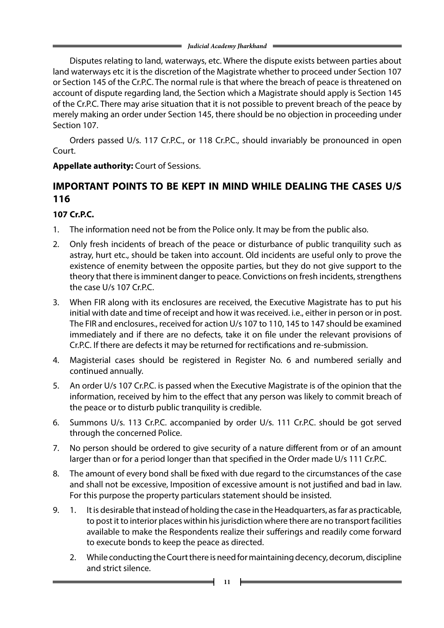Disputes relating to land, waterways, etc. Where the dispute exists between parties about land waterways etc it is the discretion of the Magistrate whether to proceed under Section 107 or Section 145 of the Cr.P.C. The normal rule is that where the breach of peace is threatened on account of dispute regarding land, the Section which a Magistrate should apply is Section 145 of the Cr.P.C. There may arise situation that it is not possible to prevent breach of the peace by merely making an order under Section 145, there should be no objection in proceeding under Section 107.

Orders passed U/s. 117 Cr.P.C., or 118 Cr.P.C., should invariably be pronounced in open Court.

#### **Appellate authority:** Court of Sessions.

## **IMPORTANT POINTS TO BE KEPT IN MIND WHILE DEALING THE CASES U/S 116**

#### **107 Cr.P.C.**

- 1. The information need not be from the Police only. It may be from the public also.
- 2. Only fresh incidents of breach of the peace or disturbance of public tranquility such as astray, hurt etc., should be taken into account. Old incidents are useful only to prove the existence of enemity between the opposite parties, but they do not give support to the theory that there is imminent danger to peace. Convictions on fresh incidents, strengthens the case U/s 107 Cr.P.C.
- 3. When FIR along with its enclosures are received, the Executive Magistrate has to put his initial with date and time of receipt and how it was received. i.e., either in person or in post. The FIR and enclosures., received for action U/s 107 to 110, 145 to 147 should be examined immediately and if there are no defects, take it on file under the relevant provisions of Cr.P.C. If there are defects it may be returned for rectifications and re-submission.
- 4. Magisterial cases should be registered in Register No. 6 and numbered serially and continued annually.
- 5. An order U/s 107 Cr.P.C. is passed when the Executive Magistrate is of the opinion that the information, received by him to the effect that any person was likely to commit breach of the peace or to disturb public tranquility is credible.
- 6. Summons U/s. 113 Cr.P.C. accompanied by order U/s. 111 Cr.P.C. should be got served through the concerned Police.
- 7. No person should be ordered to give security of a nature different from or of an amount larger than or for a period longer than that specified in the Order made U/s 111 Cr.P.C.
- 8. The amount of every bond shall be fixed with due regard to the circumstances of the case and shall not be excessive, Imposition of excessive amount is not justified and bad in law. For this purpose the property particulars statement should be insisted.
- 9. 1. It is desirable that instead of holding the case in the Headquarters, as far as practicable, to post it to interior places within his jurisdiction where there are no transport facilities available to make the Respondents realize their sufferings and readily come forward to execute bonds to keep the peace as directed.
	- 2. While conducting the Court there is need for maintaining decency, decorum, discipline and strict silence.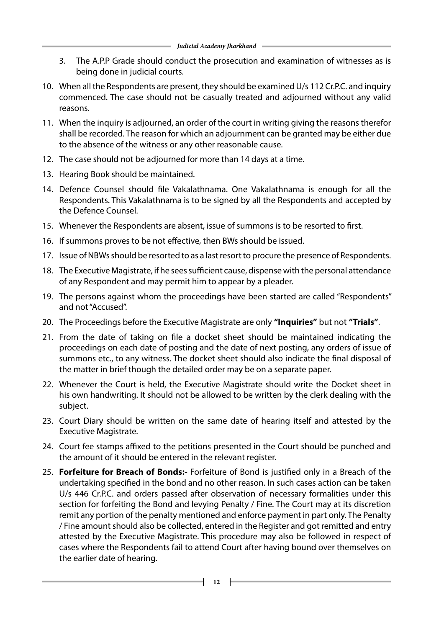- 3. The A.P.P Grade should conduct the prosecution and examination of witnesses as is being done in judicial courts.
- 10. When all the Respondents are present, they should be examined U/s 112 Cr.P.C. and inquiry commenced. The case should not be casually treated and adjourned without any valid reasons.
- 11. When the inquiry is adjourned, an order of the court in writing giving the reasons therefor shall be recorded. The reason for which an adjournment can be granted may be either due to the absence of the witness or any other reasonable cause.
- 12. The case should not be adjourned for more than 14 days at a time.
- 13. Hearing Book should be maintained.
- 14. Defence Counsel should file Vakalathnama. One Vakalathnama is enough for all the Respondents. This Vakalathnama is to be signed by all the Respondents and accepted by the Defence Counsel.
- 15. Whenever the Respondents are absent, issue of summons is to be resorted to first.
- 16. If summons proves to be not effective, then BWs should be issued.
- 17. Issue of NBWs should be resorted to as a last resort to procure the presence of Respondents.
- 18. The Executive Magistrate, if he sees sufficient cause, dispense with the personal attendance of any Respondent and may permit him to appear by a pleader.
- 19. The persons against whom the proceedings have been started are called "Respondents" and not "Accused".
- 20. The Proceedings before the Executive Magistrate are only **"Inquiries"** but not **"Trials"**.
- 21. From the date of taking on file a docket sheet should be maintained indicating the proceedings on each date of posting and the date of next posting, any orders of issue of summons etc., to any witness. The docket sheet should also indicate the final disposal of the matter in brief though the detailed order may be on a separate paper.
- 22. Whenever the Court is held, the Executive Magistrate should write the Docket sheet in his own handwriting. It should not be allowed to be written by the clerk dealing with the subject.
- 23. Court Diary should be written on the same date of hearing itself and attested by the Executive Magistrate.
- 24. Court fee stamps affixed to the petitions presented in the Court should be punched and the amount of it should be entered in the relevant register.
- 25. **Forfeiture for Breach of Bonds:-** Forfeiture of Bond is justified only in a Breach of the undertaking specified in the bond and no other reason. In such cases action can be taken U/s 446 Cr.P.C. and orders passed after observation of necessary formalities under this section for forfeiting the Bond and levying Penalty / Fine. The Court may at its discretion remit any portion of the penalty mentioned and enforce payment in part only. The Penalty / Fine amount should also be collected, entered in the Register and got remitted and entry attested by the Executive Magistrate. This procedure may also be followed in respect of cases where the Respondents fail to attend Court after having bound over themselves on the earlier date of hearing.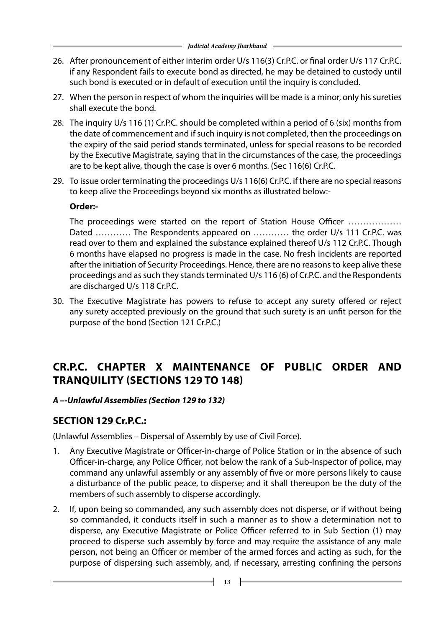- 26. After pronouncement of either interim order U/s 116(3) Cr.P.C. or final order U/s 117 Cr.P.C. if any Respondent fails to execute bond as directed, he may be detained to custody until such bond is executed or in default of execution until the inquiry is concluded.
- 27. When the person in respect of whom the inquiries will be made is a minor, only his sureties shall execute the bond.
- 28. The inquiry U/s 116 (1) Cr.P.C. should be completed within a period of 6 (six) months from the date of commencement and if such inquiry is not completed, then the proceedings on the expiry of the said period stands terminated, unless for special reasons to be recorded by the Executive Magistrate, saying that in the circumstances of the case, the proceedings are to be kept alive, though the case is over 6 months. (Sec 116(6) Cr.P.C.
- 29. To issue order terminating the proceedings U/s 116(6) Cr.P.C. if there are no special reasons to keep alive the Proceedings beyond six months as illustrated below:-

#### **Order:-**

The proceedings were started on the report of Station House Officer ……………… Dated ............ The Respondents appeared on ............ the order U/s 111 Cr.P.C. was read over to them and explained the substance explained thereof U/s 112 Cr.P.C. Though 6 months have elapsed no progress is made in the case. No fresh incidents are reported after the initiation of Security Proceedings. Hence, there are no reasons to keep alive these proceedings and as such they stands terminated U/s 116 (6) of Cr.P.C. and the Respondents are discharged U/s 118 Cr.P.C.

30. The Executive Magistrate has powers to refuse to accept any surety offered or reject any surety accepted previously on the ground that such surety is an unfit person for the purpose of the bond (Section 121 Cr.P.C.)

## **cr.p.c. CHAPTER X MAINTENANCE OF PUBLIC ORDER AND TRANQUILITY (Sections 129 to 148)**

#### *A –-Unlawful Assemblies (Section 129 to 132)*

#### **SECTION 129 Cr.P.C.:**

(Unlawful Assemblies – Dispersal of Assembly by use of Civil Force).

- 1. Any Executive Magistrate or Officer-in-charge of Police Station or in the absence of such Officer-in-charge, any Police Officer, not below the rank of a Sub-Inspector of police, may command any unlawful assembly or any assembly of five or more persons likely to cause a disturbance of the public peace, to disperse; and it shall thereupon be the duty of the members of such assembly to disperse accordingly.
- 2. If, upon being so commanded, any such assembly does not disperse, or if without being so commanded, it conducts itself in such a manner as to show a determination not to disperse, any Executive Magistrate or Police Officer referred to in Sub Section (1) may proceed to disperse such assembly by force and may require the assistance of any male person, not being an Officer or member of the armed forces and acting as such, for the purpose of dispersing such assembly, and, if necessary, arresting confining the persons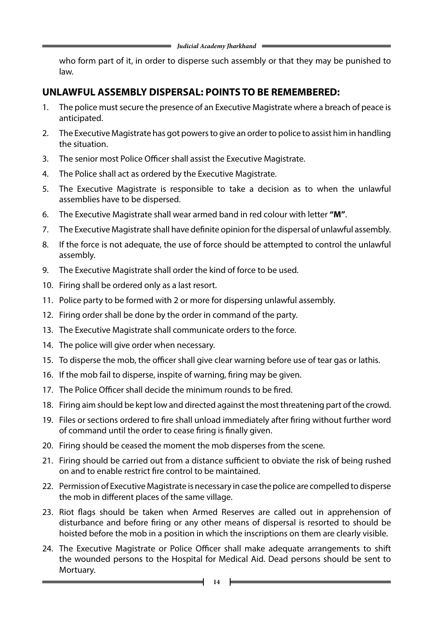who form part of it, in order to disperse such assembly or that they may be punished to law.

#### **UNLAWFUL ASSEMBLY DISPERSAL: POINTS TO BE REMEMBERED:**

- 1. The police must secure the presence of an Executive Magistrate where a breach of peace is anticipated.
- 2. The Executive Magistrate has got powers to give an order to police to assist him in handling the situation.
- 3. The senior most Police Officer shall assist the Executive Magistrate.
- 4. The Police shall act as ordered by the Executive Magistrate.
- 5. The Executive Magistrate is responsible to take a decision as to when the unlawful assemblies have to be dispersed.
- 6. The Executive Magistrate shall wear armed band in red colour with letter **"M"**.
- 7. The Executive Magistrate shall have definite opinion for the dispersal of unlawful assembly.
- 8. If the force is not adequate, the use of force should be attempted to control the unlawful assembly.
- 9. The Executive Magistrate shall order the kind of force to be used.
- 10. Firing shall be ordered only as a last resort.
- 11. Police party to be formed with 2 or more for dispersing unlawful assembly.
- 12. Firing order shall be done by the order in command of the party.
- 13. The Executive Magistrate shall communicate orders to the force.
- 14. The police will give order when necessary.
- 15. To disperse the mob, the officer shall give clear warning before use of tear gas or lathis.
- 16. If the mob fail to disperse, inspite of warning, firing may be given.
- 17. The Police Officer shall decide the minimum rounds to be fired.
- 18. Firing aim should be kept low and directed against the most threatening part of the crowd.
- 19. Files or sections ordered to fire shall unload immediately after firing without further word of command until the order to cease firing is finally given.
- 20. Firing should be ceased the moment the mob disperses from the scene.
- 21. Firing should be carried out from a distance sufficient to obviate the risk of being rushed on and to enable restrict fire control to be maintained.
- 22. Permission of Executive Magistrate is necessary in case the police are compelled to disperse the mob in different places of the same village.
- 23. Riot flags should be taken when Armed Reserves are called out in apprehension of disturbance and before firing or any other means of dispersal is resorted to should be hoisted before the mob in a position in which the inscriptions on them are clearly visible.
- 24. The Executive Magistrate or Police Officer shall make adequate arrangements to shift the wounded persons to the Hospital for Medical Aid. Dead persons should be sent to Mortuary.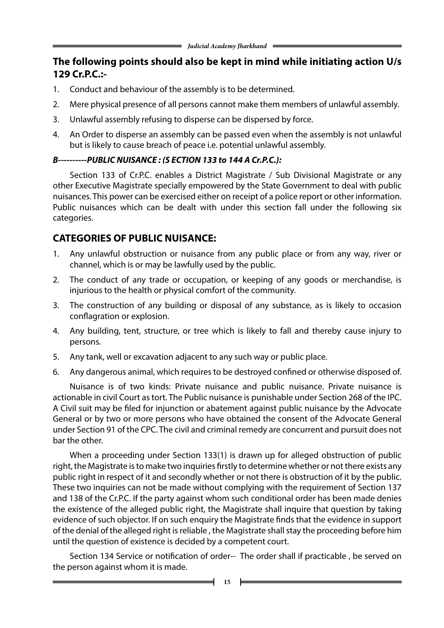### **The following points should also be kept in mind while initiating action U/s 129 Cr.P.C.:-**

- 1. Conduct and behaviour of the assembly is to be determined.
- 2. Mere physical presence of all persons cannot make them members of unlawful assembly.
- 3. Unlawful assembly refusing to disperse can be dispersed by force.
- 4. An Order to disperse an assembly can be passed even when the assembly is not unlawful but is likely to cause breach of peace i.e. potential unlawful assembly.

#### *B----------PUBLIC NUISANCE : (S ECTION 133 to 144 A Cr.P.C.):*

Section 133 of Cr.P.C. enables a District Magistrate / Sub Divisional Magistrate or any other Executive Magistrate specially empowered by the State Government to deal with public nuisances. This power can be exercised either on receipt of a police report or other information. Public nuisances which can be dealt with under this section fall under the following six categories.

#### **CATEGORIES OF PUBLIC NUISANCE:**

- 1. Any unlawful obstruction or nuisance from any public place or from any way, river or channel, which is or may be lawfully used by the public.
- 2. The conduct of any trade or occupation, or keeping of any goods or merchandise, is injurious to the health or physical comfort of the community.
- 3. The construction of any building or disposal of any substance, as is likely to occasion conflagration or explosion.
- 4. Any building, tent, structure, or tree which is likely to fall and thereby cause injury to persons.
- 5. Any tank, well or excavation adjacent to any such way or public place.
- 6. Any dangerous animal, which requires to be destroyed confined or otherwise disposed of.

Nuisance is of two kinds: Private nuisance and public nuisance. Private nuisance is actionable in civil Court as tort. The Public nuisance is punishable under Section 268 of the IPC. A Civil suit may be filed for injunction or abatement against public nuisance by the Advocate General or by two or more persons who have obtained the consent of the Advocate General under Section 91 of the CPC. The civil and criminal remedy are concurrent and pursuit does not bar the other.

When a proceeding under Section 133(1) is drawn up for alleged obstruction of public right, the Magistrate is to make two inquiries firstly to determine whether or not there exists any public right in respect of it and secondly whether or not there is obstruction of it by the public. These two inquiries can not be made without complying with the requirement of Section 137 and 138 of the Cr.P.C. If the party against whom such conditional order has been made denies the existence of the alleged public right, the Magistrate shall inquire that question by taking evidence of such objector. If on such enquiry the Magistrate finds that the evidence in support of the denial of the alleged right is reliable , the Magistrate shall stay the proceeding before him until the question of existence is decided by a competent court.

Section 134 Service or notification of order-- The order shall if practicable, be served on the person against whom it is made.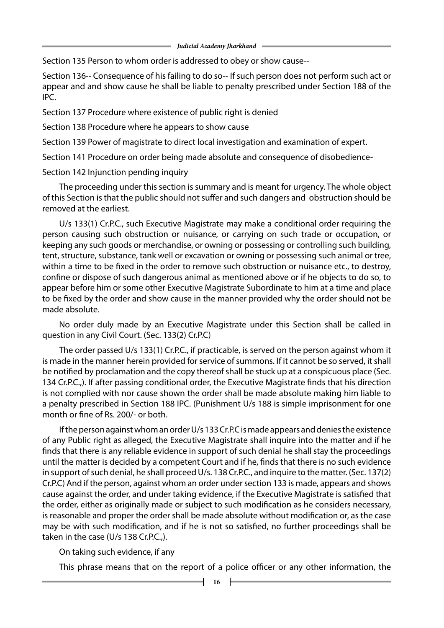Section 135 Person to whom order is addressed to obey or show cause--

Section 136-- Consequence of his failing to do so-- If such person does not perform such act or appear and and show cause he shall be liable to penalty prescribed under Section 188 of the IPC.

Section 137 Procedure where existence of public right is denied

Section 138 Procedure where he appears to show cause

Section 139 Power of magistrate to direct local investigation and examination of expert.

Section 141 Procedure on order being made absolute and consequence of disobedience-

Section 142 Injunction pending inquiry

The proceeding under this section is summary and is meant for urgency. The whole object of this Section is that the public should not suffer and such dangers and obstruction should be removed at the earliest.

U/s 133(1) Cr.P.C., such Executive Magistrate may make a conditional order requiring the person causing such obstruction or nuisance, or carrying on such trade or occupation, or keeping any such goods or merchandise, or owning or possessing or controlling such building, tent, structure, substance, tank well or excavation or owning or possessing such animal or tree, within a time to be fixed in the order to remove such obstruction or nuisance etc., to destroy, confine or dispose of such dangerous animal as mentioned above or if he objects to do so, to appear before him or some other Executive Magistrate Subordinate to him at a time and place to be fixed by the order and show cause in the manner provided why the order should not be made absolute.

No order duly made by an Executive Magistrate under this Section shall be called in question in any Civil Court. (Sec. 133(2) Cr.P.C)

The order passed U/s 133(1) Cr.P.C., if practicable, is served on the person against whom it is made in the manner herein provided for service of summons. If it cannot be so served, it shall be notified by proclamation and the copy thereof shall be stuck up at a conspicuous place (Sec. 134 Cr.P.C.,). If after passing conditional order, the Executive Magistrate finds that his direction is not complied with nor cause shown the order shall be made absolute making him liable to a penalty prescribed in Section 188 IPC. (Punishment U/s 188 is simple imprisonment for one month or fine of Rs. 200/- or both.

If the person against whom an order U/s 133 Cr.P.C is made appears and denies the existence of any Public right as alleged, the Executive Magistrate shall inquire into the matter and if he finds that there is any reliable evidence in support of such denial he shall stay the proceedings until the matter is decided by a competent Court and if he, finds that there is no such evidence in support of such denial, he shall proceed U/s. 138 Cr.P.C., and inquire to the matter. (Sec. 137(2) Cr.P.C) And if the person, against whom an order under section 133 is made, appears and shows cause against the order, and under taking evidence, if the Executive Magistrate is satisfied that the order, either as originally made or subject to such modification as he considers necessary, is reasonable and proper the order shall be made absolute without modification or, as the case may be with such modification, and if he is not so satisfied, no further proceedings shall be taken in the case (U/s 138 Cr.P.C.,).

On taking such evidence, if any

This phrase means that on the report of a police officer or any other information, the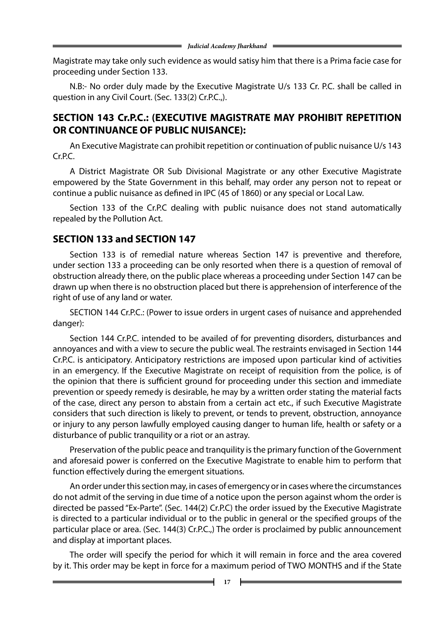Magistrate may take only such evidence as would satisy him that there is a Prima facie case for proceeding under Section 133.

N.B:- No order duly made by the Executive Magistrate U/s 133 Cr. P.C. shall be called in question in any Civil Court. (Sec. 133(2) Cr.P.C.,).

#### **SECTION 143 Cr.P.C.: (EXECUTIVE MAGISTRATE MAY PROHIBIT REPETITION OR CONTINUANCE OF PUBLIC NUISANCE):**

An Executive Magistrate can prohibit repetition or continuation of public nuisance U/s 143 Cr.P.C.

A District Magistrate OR Sub Divisional Magistrate or any other Executive Magistrate empowered by the State Government in this behalf, may order any person not to repeat or continue a public nuisance as defined in IPC (45 of 1860) or any special or Local Law.

Section 133 of the Cr.P.C dealing with public nuisance does not stand automatically repealed by the Pollution Act.

#### **SECTION 133 and SECTION 147**

Section 133 is of remedial nature whereas Section 147 is preventive and therefore, under section 133 a proceeding can be only resorted when there is a question of removal of obstruction already there, on the public place whereas a proceeding under Section 147 can be drawn up when there is no obstruction placed but there is apprehension of interference of the right of use of any land or water.

SECTION 144 Cr.P.C.: (Power to issue orders in urgent cases of nuisance and apprehended danger):

Section 144 Cr.P.C. intended to be availed of for preventing disorders, disturbances and annoyances and with a view to secure the public weal. The restraints envisaged in Section 144 Cr.P.C. is anticipatory. Anticipatory restrictions are imposed upon particular kind of activities in an emergency. If the Executive Magistrate on receipt of requisition from the police, is of the opinion that there is sufficient ground for proceeding under this section and immediate prevention or speedy remedy is desirable, he may by a written order stating the material facts of the case, direct any person to abstain from a certain act etc., if such Executive Magistrate considers that such direction is likely to prevent, or tends to prevent, obstruction, annoyance or injury to any person lawfully employed causing danger to human life, health or safety or a disturbance of public tranquility or a riot or an astray.

Preservation of the public peace and tranquility is the primary function of the Government and aforesaid power is conferred on the Executive Magistrate to enable him to perform that function effectively during the emergent situations.

An order under this section may, in cases of emergency or in cases where the circumstances do not admit of the serving in due time of a notice upon the person against whom the order is directed be passed "Ex-Parte". (Sec. 144(2) Cr.P.C) the order issued by the Executive Magistrate is directed to a particular individual or to the public in general or the specified groups of the particular place or area. (Sec. 144(3) Cr.P.C.,) The order is proclaimed by public announcement and display at important places.

The order will specify the period for which it will remain in force and the area covered by it. This order may be kept in force for a maximum period of TWO MONTHS and if the State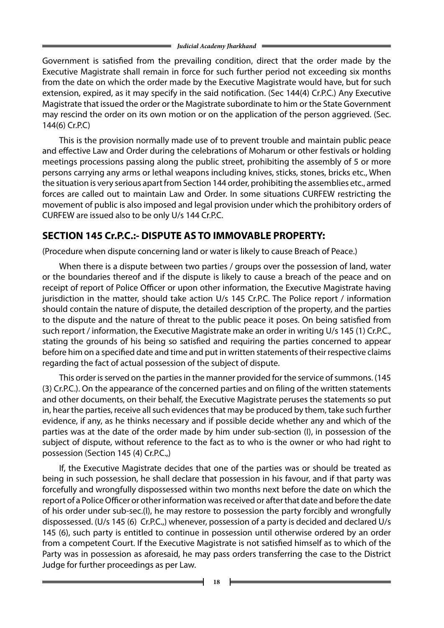Government is satisfied from the prevailing condition, direct that the order made by the Executive Magistrate shall remain in force for such further period not exceeding six months from the date on which the order made by the Executive Magistrate would have, but for such extension, expired, as it may specify in the said notification. (Sec 144(4) Cr.P.C.) Any Executive Magistrate that issued the order or the Magistrate subordinate to him or the State Government may rescind the order on its own motion or on the application of the person aggrieved. (Sec. 144(6) Cr.P.C)

This is the provision normally made use of to prevent trouble and maintain public peace and effective Law and Order during the celebrations of Moharum or other festivals or holding meetings processions passing along the public street, prohibiting the assembly of 5 or more persons carrying any arms or lethal weapons including knives, sticks, stones, bricks etc., When the situation is very serious apart from Section 144 order, prohibiting the assemblies etc., armed forces are called out to maintain Law and Order. In some situations CURFEW restricting the movement of public is also imposed and legal provision under which the prohibitory orders of CURFEW are issued also to be only U/s 144 Cr.P.C.

### **SECTION 145 Cr.P.C.:- DISPUTE AS TO IMMOVABLE PROPERTY:**

(Procedure when dispute concerning land or water is likely to cause Breach of Peace.)

When there is a dispute between two parties / groups over the possession of land, water or the boundaries thereof and if the dispute is likely to cause a breach of the peace and on receipt of report of Police Officer or upon other information, the Executive Magistrate having jurisdiction in the matter, should take action U/s 145 Cr.P.C. The Police report / information should contain the nature of dispute, the detailed description of the property, and the parties to the dispute and the nature of threat to the public peace it poses. On being satisfied from such report / information, the Executive Magistrate make an order in writing U/s 145 (1) Cr.P.C., stating the grounds of his being so satisfied and requiring the parties concerned to appear before him on a specified date and time and put in written statements of their respective claims regarding the fact of actual possession of the subject of dispute.

This order is served on the parties in the manner provided for the service of summons. (145 (3) Cr.P.C.). On the appearance of the concerned parties and on filing of the written statements and other documents, on their behalf, the Executive Magistrate peruses the statements so put in, hear the parties, receive all such evidences that may be produced by them, take such further evidence, if any, as he thinks necessary and if possible decide whether any and which of the parties was at the date of the order made by him under sub-section (I), in possession of the subject of dispute, without reference to the fact as to who is the owner or who had right to possession (Section 145 (4) Cr.P.C.,)

If, the Executive Magistrate decides that one of the parties was or should be treated as being in such possession, he shall declare that possession in his favour, and if that party was forcefully and wrongfully dispossessed within two months next before the date on which the report of a Police Officer or other information was received or after that date and before the date of his order under sub-sec.(I), he may restore to possession the party forcibly and wrongfully dispossessed. (U/s 145 (6) Cr.P.C.,) whenever, possession of a party is decided and declared U/s 145 (6), such party is entitled to continue in possession until otherwise ordered by an order from a competent Court. If the Executive Magistrate is not satisfied himself as to which of the Party was in possession as aforesaid, he may pass orders transferring the case to the District Judge for further proceedings as per Law.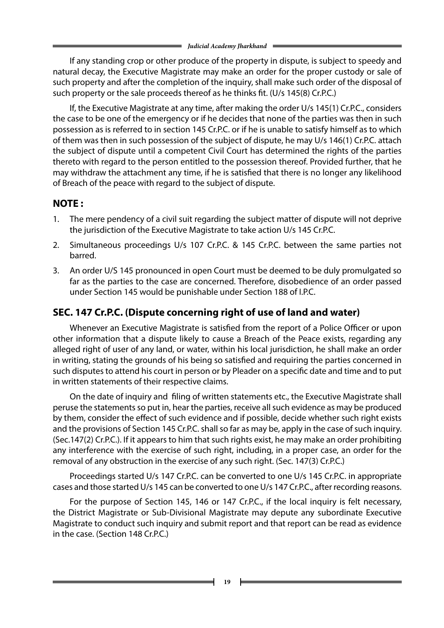If any standing crop or other produce of the property in dispute, is subject to speedy and natural decay, the Executive Magistrate may make an order for the proper custody or sale of such property and after the completion of the inquiry, shall make such order of the disposal of such property or the sale proceeds thereof as he thinks fit. (U/s 145(8) Cr.P.C.)

If, the Executive Magistrate at any time, after making the order U/s 145(1) Cr.P.C., considers the case to be one of the emergency or if he decides that none of the parties was then in such possession as is referred to in section 145 Cr.P.C. or if he is unable to satisfy himself as to which of them was then in such possession of the subject of dispute, he may U/s 146(1) Cr.P.C. attach the subject of dispute until a competent Civil Court has determined the rights of the parties thereto with regard to the person entitled to the possession thereof. Provided further, that he may withdraw the attachment any time, if he is satisfied that there is no longer any likelihood of Breach of the peace with regard to the subject of dispute.

### **NOTE :**

- 1. The mere pendency of a civil suit regarding the subject matter of dispute will not deprive the jurisdiction of the Executive Magistrate to take action U/s 145 Cr.P.C.
- 2. Simultaneous proceedings U/s 107 Cr.P.C. & 145 Cr.P.C. between the same parties not barred.
- 3. An order U/S 145 pronounced in open Court must be deemed to be duly promulgated so far as the parties to the case are concerned. Therefore, disobedience of an order passed under Section 145 would be punishable under Section 188 of I.P.C.

#### **SEC. 147 Cr.P.C. (Dispute concerning right of use of land and water)**

Whenever an Executive Magistrate is satisfied from the report of a Police Officer or upon other information that a dispute likely to cause a Breach of the Peace exists, regarding any alleged right of user of any land, or water, within his local jurisdiction, he shall make an order in writing, stating the grounds of his being so satisfied and requiring the parties concerned in such disputes to attend his court in person or by Pleader on a specific date and time and to put in written statements of their respective claims.

On the date of inquiry and filing of written statements etc., the Executive Magistrate shall peruse the statements so put in, hear the parties, receive all such evidence as may be produced by them, consider the effect of such evidence and if possible, decide whether such right exists and the provisions of Section 145 Cr.P.C. shall so far as may be, apply in the case of such inquiry. (Sec.147(2) Cr.P.C.). If it appears to him that such rights exist, he may make an order prohibiting any interference with the exercise of such right, including, in a proper case, an order for the removal of any obstruction in the exercise of any such right. (Sec. 147(3) Cr.P.C.)

Proceedings started U/s 147 Cr.P.C. can be converted to one U/s 145 Cr.P.C. in appropriate cases and those started U/s 145 can be converted to one U/s 147 Cr.P.C., after recording reasons.

For the purpose of Section 145, 146 or 147 Cr.P.C., if the local inquiry is felt necessary, the District Magistrate or Sub-Divisional Magistrate may depute any subordinate Executive Magistrate to conduct such inquiry and submit report and that report can be read as evidence in the case. (Section 148 Cr.P.C.)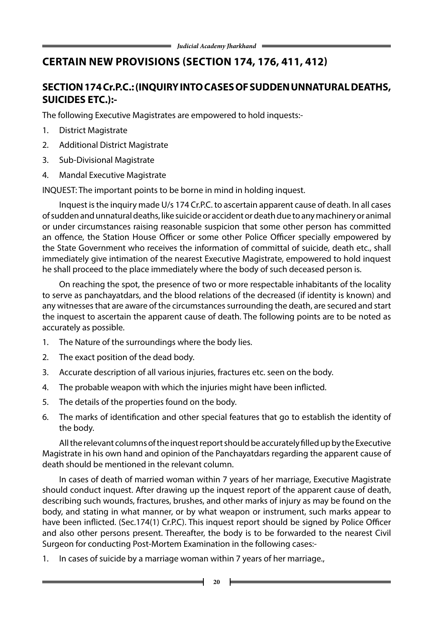## **certain new provisions (Section 174, 176, 411, 412)**

## **SECTION 174 Cr.P.C.: (INQUIRY INTO CASESOFSUDDENUNNATURAL DEATHS, SUICIDES ETC.):-**

The following Executive Magistrates are empowered to hold inquests:-

- 1. District Magistrate
- 2. Additional District Magistrate
- 3. Sub-Divisional Magistrate
- 4. Mandal Executive Magistrate

INQUEST: The important points to be borne in mind in holding inquest.

Inquest is the inquiry made U/s 174 Cr.P.C. to ascertain apparent cause of death. In all cases of sudden and unnatural deaths, like suicide or accident or death due to any machinery or animal or under circumstances raising reasonable suspicion that some other person has committed an offence, the Station House Officer or some other Police Officer specially empowered by the State Government who receives the information of committal of suicide, death etc., shall immediately give intimation of the nearest Executive Magistrate, empowered to hold inquest he shall proceed to the place immediately where the body of such deceased person is.

On reaching the spot, the presence of two or more respectable inhabitants of the locality to serve as panchayatdars, and the blood relations of the decreased (if identity is known) and any witnesses that are aware of the circumstances surrounding the death, are secured and start the inquest to ascertain the apparent cause of death. The following points are to be noted as accurately as possible.

- 1. The Nature of the surroundings where the body lies.
- 2. The exact position of the dead body.
- 3. Accurate description of all various injuries, fractures etc. seen on the body.
- 4. The probable weapon with which the injuries might have been inflicted.
- 5. The details of the properties found on the body.
- 6. The marks of identification and other special features that go to establish the identity of the body.

All the relevant columns of the inquest report should be accurately filled up by the Executive Magistrate in his own hand and opinion of the Panchayatdars regarding the apparent cause of death should be mentioned in the relevant column.

In cases of death of married woman within 7 years of her marriage, Executive Magistrate should conduct inquest. After drawing up the inquest report of the apparent cause of death, describing such wounds, fractures, brushes, and other marks of injury as may be found on the body, and stating in what manner, or by what weapon or instrument, such marks appear to have been inflicted. (Sec.174(1) Cr.P.C). This inquest report should be signed by Police Officer and also other persons present. Thereafter, the body is to be forwarded to the nearest Civil Surgeon for conducting Post-Mortem Examination in the following cases:-

1. In cases of suicide by a marriage woman within 7 years of her marriage.,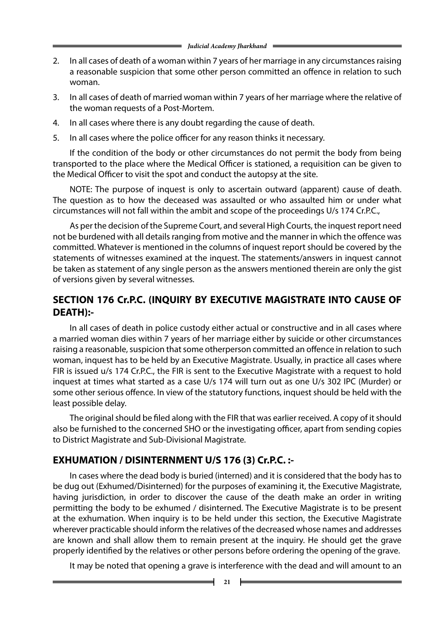- 2. In all cases of death of a woman within 7 years of her marriage in any circumstances raising a reasonable suspicion that some other person committed an offence in relation to such woman.
- 3. In all cases of death of married woman within 7 years of her marriage where the relative of the woman requests of a Post-Mortem.
- 4. In all cases where there is any doubt regarding the cause of death.
- 5. In all cases where the police officer for any reason thinks it necessary.

If the condition of the body or other circumstances do not permit the body from being transported to the place where the Medical Officer is stationed, a requisition can be given to the Medical Officer to visit the spot and conduct the autopsy at the site.

NOTE: The purpose of inquest is only to ascertain outward (apparent) cause of death. The question as to how the deceased was assaulted or who assaulted him or under what circumstances will not fall within the ambit and scope of the proceedings U/s 174 Cr.P.C.,

As per the decision of the Supreme Court, and several High Courts, the inquest report need not be burdened with all details ranging from motive and the manner in which the offence was committed. Whatever is mentioned in the columns of inquest report should be covered by the statements of witnesses examined at the inquest. The statements/answers in inquest cannot be taken as statement of any single person as the answers mentioned therein are only the gist of versions given by several witnesses.

#### **SECTION 176 Cr.P.C. (INQUIRY BY EXECUTIVE MAGISTRATE INTO CAUSE OF DEATH):-**

In all cases of death in police custody either actual or constructive and in all cases where a married woman dies within 7 years of her marriage either by suicide or other circumstances raising a reasonable, suspicion that some otherperson committed an offence in relation to such woman, inquest has to be held by an Executive Magistrate. Usually, in practice all cases where FIR is issued u/s 174 Cr.P.C., the FIR is sent to the Executive Magistrate with a request to hold inquest at times what started as a case U/s 174 will turn out as one U/s 302 IPC (Murder) or some other serious offence. In view of the statutory functions, inquest should be held with the least possible delay.

The original should be filed along with the FIR that was earlier received. A copy of it should also be furnished to the concerned SHO or the investigating officer, apart from sending copies to District Magistrate and Sub-Divisional Magistrate.

#### **EXHUMATION / DISINTERNMENT U/S 176 (3) Cr.P.C. :-**

In cases where the dead body is buried (interned) and it is considered that the body has to be dug out (Exhumed/Disinterned) for the purposes of examining it, the Executive Magistrate, having jurisdiction, in order to discover the cause of the death make an order in writing permitting the body to be exhumed / disinterned. The Executive Magistrate is to be present at the exhumation. When inquiry is to be held under this section, the Executive Magistrate wherever practicable should inform the relatives of the decreased whose names and addresses are known and shall allow them to remain present at the inquiry. He should get the grave properly identified by the relatives or other persons before ordering the opening of the grave.

It may be noted that opening a grave is interference with the dead and will amount to an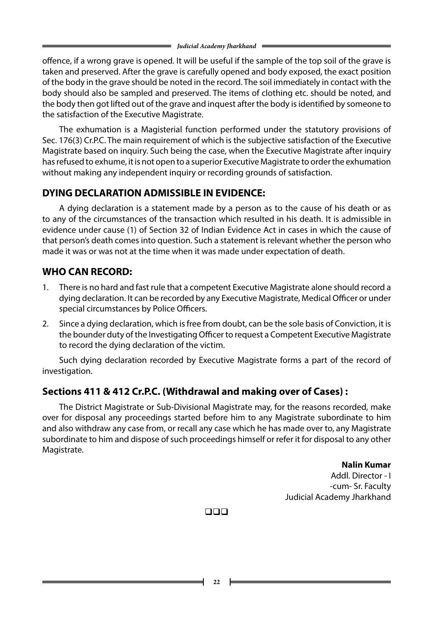offence, if a wrong grave is opened. It will be useful if the sample of the top soil of the grave is taken and preserved. After the grave is carefully opened and body exposed, the exact position of the body in the grave should be noted in the record. The soil immediately in contact with the body should also be sampled and preserved. The items of clothing etc. should be noted, and the body then got lifted out of the grave and inquest after the body is identified by someone to the satisfaction of the Executive Magistrate.

The exhumation is a Magisterial function performed under the statutory provisions of Sec. 176(3) Cr.P.C. The main requirement of which is the subjective satisfaction of the Executive Magistrate based on inquiry. Such being the case, when the Executive Magistrate after inquiry has refused to exhume, it is not open to a superior Executive Magistrate to order the exhumation without making any independent inquiry or recording grounds of satisfaction.

## **DYING DECLARATION ADMISSIBLE IN EVIDENCE:**

A dying declaration is a statement made by a person as to the cause of his death or as to any of the circumstances of the transaction which resulted in his death. It is admissible in evidence under cause (1) of Section 32 of Indian Evidence Act in cases in which the cause of that person's death comes into question. Such a statement is relevant whether the person who made it was or was not at the time when it was made under expectation of death.

### **WHO CAN RECORD:**

- 1. There is no hard and fast rule that a competent Executive Magistrate alone should record a dying declaration. It can be recorded by any Executive Magistrate, Medical Officer or under special circumstances by Police Officers.
- 2. Since a dying declaration, which is free from doubt, can be the sole basis of Conviction, it is the bounder duty of the Investigating Officer to request a Competent Executive Magistrate to record the dying declaration of the victim.

Such dying declaration recorded by Executive Magistrate forms a part of the record of investigation.

#### **Sections 411 & 412 Cr.P.C. (Withdrawal and making over of Cases) :**

The District Magistrate or Sub-Divisional Magistrate may, for the reasons recorded, make over for disposal any proceedings started before him to any Magistrate subordinate to him and also withdraw any case from, or recall any case which he has made over to, any Magistrate subordinate to him and dispose of such proceedings himself or refer it for disposal to any other Magistrate.

> **Nalin Kumar** Addl. Director - I -cum- Sr. Faculty Judicial Academy Jharkhand

 $\Box$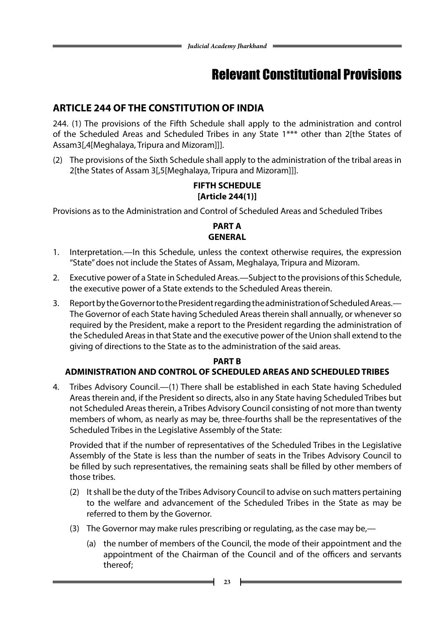# Relevant Constitutional Provisions

### **ARTICLE 244 OF THE CONSTITUTION OF INDIA**

244. (1) The provisions of the Fifth Schedule shall apply to the administration and control of the Scheduled Areas and Scheduled Tribes in any State 1\*\*\* other than 2[the States of Assam3[,4[Meghalaya, Tripura and Mizoram]]].

(2) The provisions of the Sixth Schedule shall apply to the administration of the tribal areas in 2[the States of Assam 3[,5[Meghalaya, Tripura and Mizoram]]].

#### **FIFTH SCHEDULE [Article 244(1)]**

Provisions as to the Administration and Control of Scheduled Areas and Scheduled Tribes

#### **PART A GENERAL**

- 1. Interpretation.—In this Schedule, unless the context otherwise requires, the expression "State" does not include the States of Assam, Meghalaya, Tripura and Mizoram.
- 2. Executive power of a State in Scheduled Areas.—Subject to the provisions of this Schedule, the executive power of a State extends to the Scheduled Areas therein.
- 3. Report by the Governor to the President regarding the administration of Scheduled Areas.— The Governor of each State having Scheduled Areas therein shall annually, or whenever so required by the President, make a report to the President regarding the administration of the Scheduled Areas in that State and the executive power of the Union shall extend to the giving of directions to the State as to the administration of the said areas.

#### **PART B**

#### **ADMINISTRATION AND CONTROL OF SCHEDULED AREAS AND SCHEDULED TRIBES**

4. Tribes Advisory Council.—(1) There shall be established in each State having Scheduled Areas therein and, if the President so directs, also in any State having Scheduled Tribes but not Scheduled Areas therein, a Tribes Advisory Council consisting of not more than twenty members of whom, as nearly as may be, three-fourths shall be the representatives of the Scheduled Tribes in the Legislative Assembly of the State:

Provided that if the number of representatives of the Scheduled Tribes in the Legislative Assembly of the State is less than the number of seats in the Tribes Advisory Council to be filled by such representatives, the remaining seats shall be filled by other members of those tribes.

- (2) It shall be the duty of the Tribes Advisory Council to advise on such matters pertaining to the welfare and advancement of the Scheduled Tribes in the State as may be referred to them by the Governor.
- (3) The Governor may make rules prescribing or regulating, as the case may be,—
	- (a) the number of members of the Council, the mode of their appointment and the appointment of the Chairman of the Council and of the officers and servants thereof;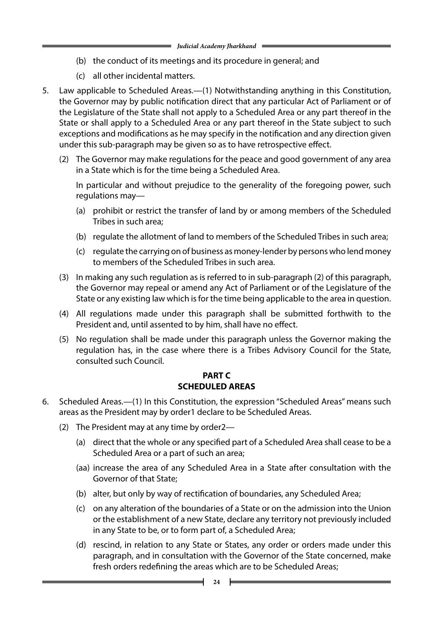- (b) the conduct of its meetings and its procedure in general; and
- (c) all other incidental matters.
- 5. Law applicable to Scheduled Areas.—(1) Notwithstanding anything in this Constitution, the Governor may by public notification direct that any particular Act of Parliament or of the Legislature of the State shall not apply to a Scheduled Area or any part thereof in the State or shall apply to a Scheduled Area or any part thereof in the State subject to such exceptions and modifications as he may specify in the notification and any direction given under this sub-paragraph may be given so as to have retrospective effect.
	- (2) The Governor may make regulations for the peace and good government of any area in a State which is for the time being a Scheduled Area.

In particular and without prejudice to the generality of the foregoing power, such regulations may—

- (a) prohibit or restrict the transfer of land by or among members of the Scheduled Tribes in such area;
- (b) regulate the allotment of land to members of the Scheduled Tribes in such area;
- (c) regulate the carrying on of business as money-lender by persons who lend money to members of the Scheduled Tribes in such area.
- (3) In making any such regulation as is referred to in sub-paragraph (2) of this paragraph, the Governor may repeal or amend any Act of Parliament or of the Legislature of the State or any existing law which is for the time being applicable to the area in question.
- (4) All regulations made under this paragraph shall be submitted forthwith to the President and, until assented to by him, shall have no effect.
- (5) No regulation shall be made under this paragraph unless the Governor making the regulation has, in the case where there is a Tribes Advisory Council for the State, consulted such Council.

#### **PART C SCHEDULED AREAS**

- 6. Scheduled Areas.—(1) In this Constitution, the expression "Scheduled Areas" means such areas as the President may by order1 declare to be Scheduled Areas.
	- (2) The President may at any time by order2—
		- (a) direct that the whole or any specified part of a Scheduled Area shall cease to be a Scheduled Area or a part of such an area;
		- (aa) increase the area of any Scheduled Area in a State after consultation with the Governor of that State;
		- (b) alter, but only by way of rectification of boundaries, any Scheduled Area;
		- (c) on any alteration of the boundaries of a State or on the admission into the Union or the establishment of a new State, declare any territory not previously included in any State to be, or to form part of, a Scheduled Area;
		- (d) rescind, in relation to any State or States, any order or orders made under this paragraph, and in consultation with the Governor of the State concerned, make fresh orders redefining the areas which are to be Scheduled Areas;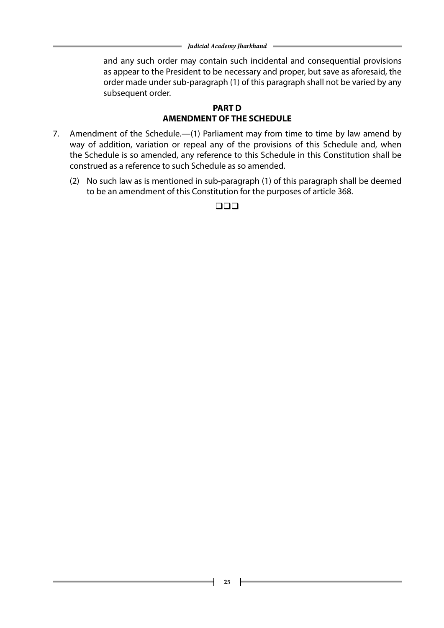and any such order may contain such incidental and consequential provisions as appear to the President to be necessary and proper, but save as aforesaid, the order made under sub-paragraph (1) of this paragraph shall not be varied by any subsequent order.

#### **PART D AMENDMENT OF THE SCHEDULE**

- 7. Amendment of the Schedule.—(1) Parliament may from time to time by law amend by way of addition, variation or repeal any of the provisions of this Schedule and, when the Schedule is so amended, any reference to this Schedule in this Constitution shall be construed as a reference to such Schedule as so amended.
	- (2) No such law as is mentioned in sub-paragraph (1) of this paragraph shall be deemed to be an amendment of this Constitution for the purposes of article 368.

 $\square\square\square$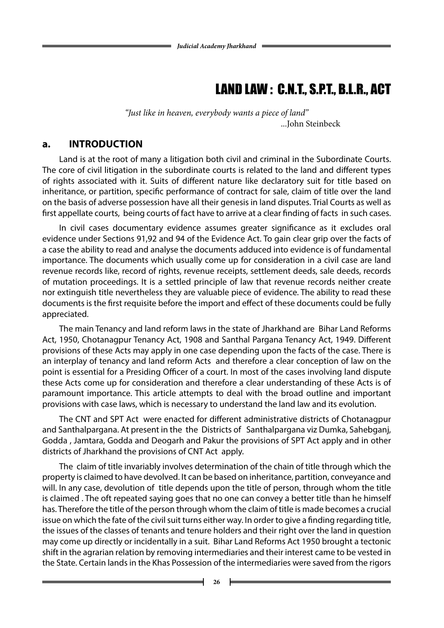# LAND LAW : C.N.T., S.P.T., B.L.R., ACT

*"Just like in heaven, everybody wants a piece of land"* ...John Steinbeck

#### **a. INTRODUCTION**

Land is at the root of many a litigation both civil and criminal in the Subordinate Courts. The core of civil litigation in the subordinate courts is related to the land and different types of rights associated with it. Suits of different nature like declaratory suit for title based on inheritance, or partition, specific performance of contract for sale, claim of title over the land on the basis of adverse possession have all their genesis in land disputes. Trial Courts as well as first appellate courts, being courts of fact have to arrive at a clear finding of facts in such cases.

In civil cases documentary evidence assumes greater significance as it excludes oral evidence under Sections 91,92 and 94 of the Evidence Act. To gain clear grip over the facts of a case the ability to read and analyse the documents adduced into evidence is of fundamental importance. The documents which usually come up for consideration in a civil case are land revenue records like, record of rights, revenue receipts, settlement deeds, sale deeds, records of mutation proceedings. It is a settled principle of law that revenue records neither create nor extinguish title nevertheless they are valuable piece of evidence. The ability to read these documents is the first requisite before the import and effect of these documents could be fully appreciated.

The main Tenancy and land reform laws in the state of Jharkhand are Bihar Land Reforms Act, 1950, Chotanagpur Tenancy Act, 1908 and Santhal Pargana Tenancy Act, 1949. Different provisions of these Acts may apply in one case depending upon the facts of the case. There is an interplay of tenancy and land reform Acts and therefore a clear conception of law on the point is essential for a Presiding Officer of a court. In most of the cases involving land dispute these Acts come up for consideration and therefore a clear understanding of these Acts is of paramount importance. This article attempts to deal with the broad outline and important provisions with case laws, which is necessary to understand the land law and its evolution.

The CNT and SPT Act were enacted for different administrative districts of Chotanagpur and Santhalpargana. At present in the the Districts of Santhalpargana viz Dumka, Sahebganj, Godda , Jamtara, Godda and Deogarh and Pakur the provisions of SPT Act apply and in other districts of Jharkhand the provisions of CNT Act apply.

The claim of title invariably involves determination of the chain of title through which the property is claimed to have devolved. It can be based on inheritance, partition, conveyance and will. In any case, devolution of title depends upon the title of person, through whom the title is claimed . The oft repeated saying goes that no one can convey a better title than he himself has. Therefore the title of the person through whom the claim of title is made becomes a crucial issue on which the fate of the civil suit turns either way. In order to give a finding regarding title, the issues of the classes of tenants and tenure holders and their right over the land in question may come up directly or incidentally in a suit. Bihar Land Reforms Act 1950 brought a tectonic shift in the agrarian relation by removing intermediaries and their interest came to be vested in the State. Certain lands in the Khas Possession of the intermediaries were saved from the rigors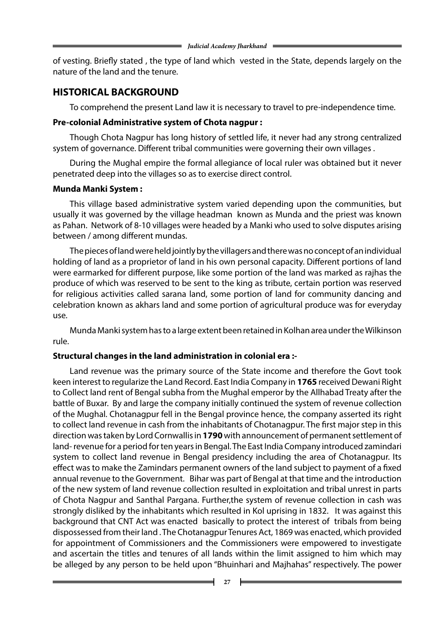of vesting. Briefly stated , the type of land which vested in the State, depends largely on the nature of the land and the tenure.

#### **HISTORICAL BACKGROUND**

To comprehend the present Land law it is necessary to travel to pre-independence time.

#### **Pre-colonial Administrative system of Chota nagpur :**

Though Chota Nagpur has long history of settled life, it never had any strong centralized system of governance. Different tribal communities were governing their own villages .

During the Mughal empire the formal allegiance of local ruler was obtained but it never penetrated deep into the villages so as to exercise direct control.

#### **Munda Manki System :**

This village based administrative system varied depending upon the communities, but usually it was governed by the village headman known as Munda and the priest was known as Pahan. Network of 8-10 villages were headed by a Manki who used to solve disputes arising between / among different mundas.

The pieces of land were held jointly by the villagers and there was no concept of an individual holding of land as a proprietor of land in his own personal capacity. Different portions of land were earmarked for different purpose, like some portion of the land was marked as rajhas the produce of which was reserved to be sent to the king as tribute, certain portion was reserved for religious activities called sarana land, some portion of land for community dancing and celebration known as akhars land and some portion of agricultural produce was for everyday use.

Munda Manki system has to a large extent been retained in Kolhan area under the Wilkinson rule.

#### **Structural changes in the land administration in colonial era :-**

Land revenue was the primary source of the State income and therefore the Govt took keen interest to regularize the Land Record. East India Company in **1765** received Dewani Right to Collect land rent of Bengal subha from the Mughal emperor by the Allhabad Treaty after the battle of Buxar. By and large the company initially continued the system of revenue collection of the Mughal. Chotanagpur fell in the Bengal province hence, the company asserted its right to collect land revenue in cash from the inhabitants of Chotanagpur. The first major step in this direction was taken by Lord Cornwallis in **1790** with announcement of permanent settlement of land- revenue for a period for ten years in Bengal. The East India Company introduced zamindari system to collect land revenue in Bengal presidency including the area of Chotanagpur. Its effect was to make the Zamindars permanent owners of the land subject to payment of a fixed annual revenue to the Government. Bihar was part of Bengal at that time and the introduction of the new system of land revenue collection resulted in exploitation and tribal unrest in parts of Chota Nagpur and Santhal Pargana. Further,the system of revenue collection in cash was strongly disliked by the inhabitants which resulted in Kol uprising in 1832. It was against this background that CNT Act was enacted basically to protect the interest of tribals from being dispossessed from their land . The Chotanagpur Tenures Act, 1869 was enacted, which provided for appointment of Commissioners and the Commissioners were empowered to investigate and ascertain the titles and tenures of all lands within the limit assigned to him which may be alleged by any person to be held upon "Bhuinhari and Majhahas" respectively. The power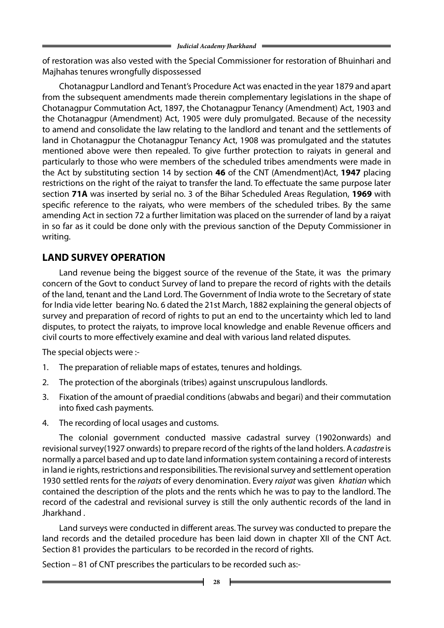of restoration was also vested with the Special Commissioner for restoration of Bhuinhari and Majhahas tenures wrongfully dispossessed

Chotanagpur Landlord and Tenant's Procedure Act was enacted in the year 1879 and apart from the subsequent amendments made therein complementary legislations in the shape of Chotanagpur Commutation Act, 1897, the Chotanagpur Tenancy (Amendment) Act, 1903 and the Chotanagpur (Amendment) Act, 1905 were duly promulgated. Because of the necessity to amend and consolidate the law relating to the landlord and tenant and the settlements of land in Chotanagpur the Chotanagpur Tenancy Act, 1908 was promulgated and the statutes mentioned above were then repealed. To give further protection to raiyats in general and particularly to those who were members of the scheduled tribes amendments were made in the Act by substituting section 14 by section **46** of the CNT (Amendment)Act, **1947** placing restrictions on the right of the raiyat to transfer the land. To effectuate the same purpose later section **71A** was inserted by serial no. 3 of the Bihar Scheduled Areas Regulation, **1969** with specific reference to the raiyats, who were members of the scheduled tribes. By the same amending Act in section 72 a further limitation was placed on the surrender of land by a raiyat in so far as it could be done only with the previous sanction of the Deputy Commissioner in writing.

## **LAND SURVEY OPERATION**

Land revenue being the biggest source of the revenue of the State, it was the primary concern of the Govt to conduct Survey of land to prepare the record of rights with the details of the land, tenant and the Land Lord. The Government of India wrote to the Secretary of state for India vide letter bearing No. 6 dated the 21st March, 1882 explaining the general objects of survey and preparation of record of rights to put an end to the uncertainty which led to land disputes, to protect the raiyats, to improve local knowledge and enable Revenue officers and civil courts to more effectively examine and deal with various land related disputes.

The special objects were :-

- 1. The preparation of reliable maps of estates, tenures and holdings.
- 2. The protection of the aborginals (tribes) against unscrupulous landlords.
- 3. Fixation of the amount of praedial conditions (abwabs and begari) and their commutation into fixed cash payments.
- 4. The recording of local usages and customs.

The colonial government conducted massive cadastral survey (1902onwards) and revisional survey(1927 onwards) to prepare record of the rights of the land holders. A *cadastre* is normally a parcel based and up to date land information system containing a record of interests in land ie rights, restrictions and responsibilities. The revisional survey and settlement operation 1930 settled rents for the *raiyats* of every denomination. Every *raiyat* was given *khatian* which contained the description of the plots and the rents which he was to pay to the landlord. The record of the cadestral and revisional survey is still the only authentic records of the land in Jharkhand .

Land surveys were conducted in different areas. The survey was conducted to prepare the land records and the detailed procedure has been laid down in chapter XII of the CNT Act. Section 81 provides the particulars to be recorded in the record of rights.

Section – 81 of CNT prescribes the particulars to be recorded such as:-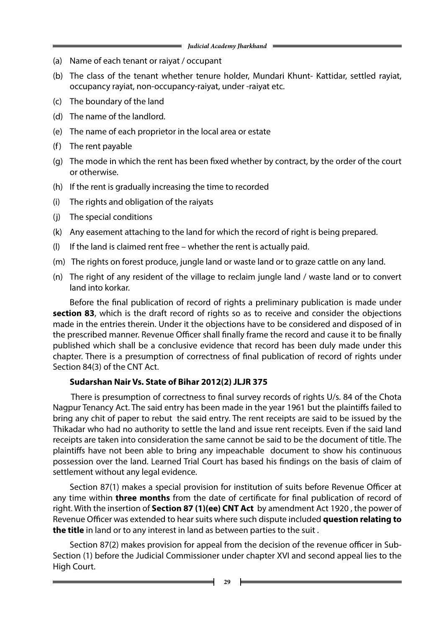- (a) Name of each tenant or raiyat / occupant
- (b) The class of the tenant whether tenure holder, Mundari Khunt- Kattidar, settled rayiat, occupancy rayiat, non-occupancy-raiyat, under -raiyat etc.
- (c) The boundary of the land
- (d) The name of the landlord.
- (e) The name of each proprietor in the local area or estate
- (f) The rent payable
- (g) The mode in which the rent has been fixed whether by contract, by the order of the court or otherwise.
- (h) If the rent is gradually increasing the time to recorded
- (i) The rights and obligation of the raiyats
- (j) The special conditions
- (k) Any easement attaching to the land for which the record of right is being prepared.
- (l) If the land is claimed rent free whether the rent is actually paid.
- (m) The rights on forest produce, jungle land or waste land or to graze cattle on any land.
- (n) The right of any resident of the village to reclaim jungle land / waste land or to convert land into korkar.

Before the final publication of record of rights a preliminary publication is made under **section 83**, which is the draft record of rights so as to receive and consider the objections made in the entries therein. Under it the objections have to be considered and disposed of in the prescribed manner. Revenue Officer shall finally frame the record and cause it to be finally published which shall be a conclusive evidence that record has been duly made under this chapter. There is a presumption of correctness of final publication of record of rights under Section 84(3) of the CNT Act.

#### **Sudarshan Nair Vs. State of Bihar 2012(2) JLJR 375**

 There is presumption of correctness to final survey records of rights U/s. 84 of the Chota Nagpur Tenancy Act. The said entry has been made in the year 1961 but the plaintiffs failed to bring any chit of paper to rebut the said entry. The rent receipts are said to be issued by the Thikadar who had no authority to settle the land and issue rent receipts. Even if the said land receipts are taken into consideration the same cannot be said to be the document of title. The plaintiffs have not been able to bring any impeachable document to show his continuous possession over the land. Learned Trial Court has based his findings on the basis of claim of settlement without any legal evidence.

Section 87(1) makes a special provision for institution of suits before Revenue Officer at any time within **three months** from the date of certificate for final publication of record of right. With the insertion of **Section 87 (1)(ee) CNT Act** by amendment Act 1920 , the power of Revenue Officer was extended to hear suits where such dispute included **question relating to the title** in land or to any interest in land as between parties to the suit .

Section 87(2) makes provision for appeal from the decision of the revenue officer in Sub-Section (1) before the Judicial Commissioner under chapter XVI and second appeal lies to the High Court.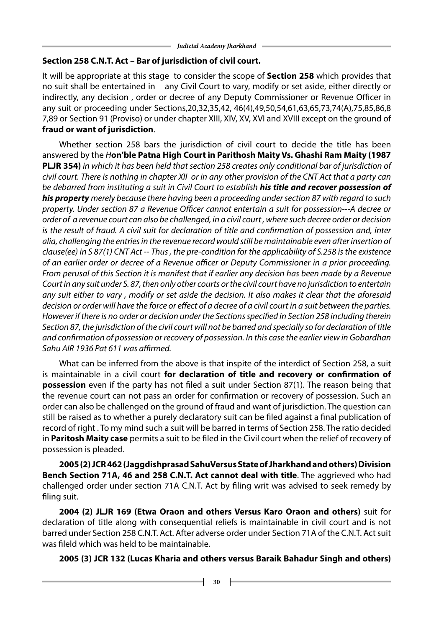#### **Section 258 C.N.T. Act – Bar of jurisdiction of civil court.**

It will be appropriate at this stage to consider the scope of **Section 258** which provides that no suit shall be entertained in any Civil Court to vary, modify or set aside, either directly or indirectly, any decision , order or decree of any Deputy Commissioner or Revenue Officer in any suit or proceeding under Sections,20,32,35,42, 46(4),49,50,54,61,63,65,73,74(A),75,85,86,8 7,89 or Section 91 (Proviso) or under chapter XIII, XIV, XV, XVI and XVIII except on the ground of **fraud or want of jurisdiction**.

Whether section 258 bars the jurisdiction of civil court to decide the title has been answered by the *H***on'ble Patna High Court in Parithosh Maity Vs. Ghashi Ram Maity (1987 PLJR 354)** *in which it has been held that section 258 creates only conditional bar of jurisdiction of civil court. There is nothing in chapter XII or in any other provision of the CNT Act that a party can be debarred from instituting a suit in Civil Court to establish his title and recover possession of his property merely because there having been a proceeding under section 87 with regard to such property. Under section 87 a Revenue Officer cannot entertain a suit for possession---A decree or order of a revenue court can also be challenged, in a civil court , where such decree order or decision is the result of fraud. A civil suit for declaration of title and confirmation of possession and, inter alia, challenging the entries in the revenue record would still be maintainable even after insertion of clause(ee) in S 87(1) CNT Act -- Thus , the pre-condition for the applicability of S.258 is the existence of an earlier order or decree of a Revenue officer or Deputy Commissioner in a prior proceeding. From perusal of this Section it is manifest that if earlier any decision has been made by a Revenue Court in any suit under S. 87, then only other courts or the civil court have no jurisdiction to entertain any suit either to vary , modify or set aside the decision. It also makes it clear that the aforesaid decision or order will have the force or effect of a decree of a civil court in a suit between the parties. However if there is no order or decision under the Sections specified in Section 258 including therein Section 87, the jurisdiction of the civil court will not be barred and specially so for declaration of title and confirmation of possession or recovery of possession. In this case the earlier view in Gobardhan Sahu AIR 1936 Pat 611 was affirmed.*

What can be inferred from the above is that inspite of the interdict of Section 258, a suit is maintainable in a civil court **for declaration of title and recovery or confirmation of possession** even if the party has not filed a suit under Section 87(1). The reason being that the revenue court can not pass an order for confirmation or recovery of possession. Such an order can also be challenged on the ground of fraud and want of jurisdiction. The question can still be raised as to whether a purely declaratory suit can be filed against a final publication of record of right . To my mind such a suit will be barred in terms of Section 258. The ratio decided in **Paritosh Maity case** permits a suit to be filed in the Civil court when the relief of recovery of possession is pleaded.

**2005 (2) JCR 462 (Jaggdishprasad SahuVersus State of Jharkhand and others) Division Bench Section 71A, 46 and 258 C.N.T. Act cannot deal with title**. The aggrieved who had challenged order under section 71A C.N.T. Act by filing writ was advised to seek remedy by filing suit.

**2004 (2) JLJR 169 (Etwa Oraon and others Versus Karo Oraon and others)** suit for declaration of title along with consequential reliefs is maintainable in civil court and is not barred under Section 258 C.N.T. Act. After adverse order under Section 71A of the C.N.T. Act suit was fileld which was held to be maintainable.

**2005 (3) JCR 132 (Lucas Kharia and others versus Baraik Bahadur Singh and others)**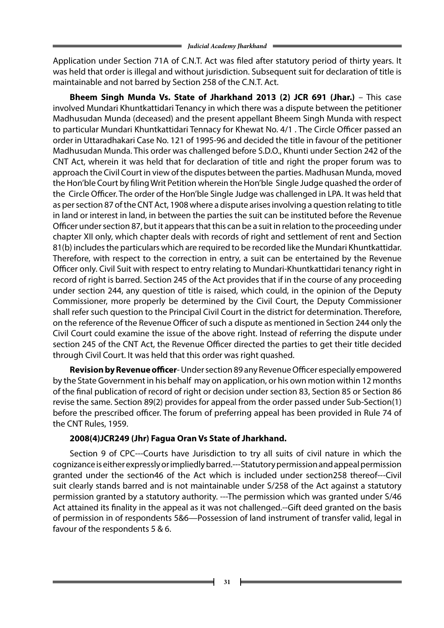Application under Section 71A of C.N.T. Act was filed after statutory period of thirty years. It was held that order is illegal and without jurisdiction. Subsequent suit for declaration of title is maintainable and not barred by Section 258 of the C.N.T. Act.

**Bheem Singh Munda Vs. State of Jharkhand 2013 (2) JCR 691 (Jhar.)** – This case involved Mundari Khuntkattidari Tenancy in which there was a dispute between the petitioner Madhusudan Munda (deceased) and the present appellant Bheem Singh Munda with respect to particular Mundari Khuntkattidari Tennacy for Khewat No. 4/1 . The Circle Officer passed an order in Uttaradhakari Case No. 121 of 1995-96 and decided the title in favour of the petitioner Madhusudan Munda. This order was challenged before S.D.O., Khunti under Section 242 of the CNT Act, wherein it was held that for declaration of title and right the proper forum was to approach the Civil Court in view of the disputes between the parties. Madhusan Munda, moved the Hon'ble Court by filing Writ Petition wherein the Hon'ble Single Judge quashed the order of the Circle Officer. The order of the Hon'ble Single Judge was challenged in LPA. It was held that as per section 87 of the CNT Act, 1908 where a dispute arises involving a question relating to title in land or interest in land, in between the parties the suit can be instituted before the Revenue Officer under section 87, but it appears that this can be a suit in relation to the proceeding under chapter XII only, which chapter deals with records of right and settlement of rent and Section 81(b) includes the particulars which are required to be recorded like the Mundari Khuntkattidar. Therefore, with respect to the correction in entry, a suit can be entertained by the Revenue Officer only. Civil Suit with respect to entry relating to Mundari-Khuntkattidari tenancy right in record of right is barred. Section 245 of the Act provides that if in the course of any proceeding under section 244, any question of title is raised, which could, in the opinion of the Deputy Commissioner, more properly be determined by the Civil Court, the Deputy Commissioner shall refer such question to the Principal Civil Court in the district for determination. Therefore, on the reference of the Revenue Officer of such a dispute as mentioned in Section 244 only the Civil Court could examine the issue of the above right. Instead of referring the dispute under section 245 of the CNT Act, the Revenue Officer directed the parties to get their title decided through Civil Court. It was held that this order was right quashed.

 **Revision by Revenue officer**- Under section 89 any Revenue Officer especially empowered by the State Government in his behalf may on application, or his own motion within 12 months of the final publication of record of right or decision under section 83, Section 85 or Section 86 revise the same. Section 89(2) provides for appeal from the order passed under Sub-Section(1) before the prescribed officer. The forum of preferring appeal has been provided in Rule 74 of the CNT Rules, 1959.

#### **2008(4)JCR249 (Jhr) Fagua Oran Vs State of Jharkhand.**

Section 9 of CPC---Courts have Jurisdiction to try all suits of civil nature in which the cognizance is either expressly or impliedly barred.---Statutory permission and appeal permission granted under the section46 of the Act which is included under section258 thereof---Civil suit clearly stands barred and is not maintainable under S/258 of the Act against a statutory permission granted by a statutory authority. ---The permission which was granted under S/46 Act attained its finality in the appeal as it was not challenged.--Gift deed granted on the basis of permission in of respondents 5&6—Possession of land instrument of transfer valid, legal in favour of the respondents 5 & 6.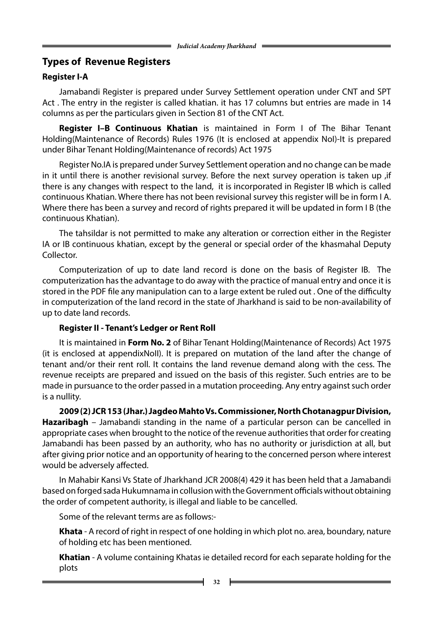# **Types of Revenue Registers**

# **Register I-A**

Jamabandi Register is prepared under Survey Settlement operation under CNT and SPT Act . The entry in the register is called khatian. it has 17 columns but entries are made in 14 columns as per the particulars given in Section 81 of the CNT Act.

 **Register I–B Continuous Khatian** is maintained in Form I of The Bihar Tenant Holding(Maintenance of Records) Rules 1976 (It is enclosed at appendix NoI)-It is prepared under Bihar Tenant Holding(Maintenance of records) Act 1975

Register No.IA is prepared under Survey Settlement operation and no change can be made in it until there is another revisional survey. Before the next survey operation is taken up ,if there is any changes with respect to the land, it is incorporated in Register IB which is called continuous Khatian. Where there has not been revisional survey this register will be in form I A. Where there has been a survey and record of rights prepared it will be updated in form I B (the continuous Khatian).

The tahsildar is not permitted to make any alteration or correction either in the Register IA or IB continuous khatian, except by the general or special order of the khasmahal Deputy Collector.

Computerization of up to date land record is done on the basis of Register IB. The computerization has the advantage to do away with the practice of manual entry and once it is stored in the PDF file any manipulation can to a large extent be ruled out . One of the difficulty in computerization of the land record in the state of Jharkhand is said to be non-availability of up to date land records.

## **Register II - Tenant's Ledger or Rent Roll**

It is maintained in **Form No. 2** of Bihar Tenant Holding(Maintenance of Records) Act 1975 (it is enclosed at appendixNoII). It is prepared on mutation of the land after the change of tenant and/or their rent roll. It contains the land revenue demand along with the cess. The revenue receipts are prepared and issued on the basis of this register. Such entries are to be made in pursuance to the order passed in a mutation proceeding. Any entry against such order is a nullity.

**2009 (2) JCR 153 (Jhar.) Jagdeo Mahto Vs. Commissioner, North Chotanagpur Division, Hazaribagh** – Jamabandi standing in the name of a particular person can be cancelled in appropriate cases when brought to the notice of the revenue authorities that order for creating Jamabandi has been passed by an authority, who has no authority or jurisdiction at all, but after giving prior notice and an opportunity of hearing to the concerned person where interest would be adversely affected.

In Mahabir Kansi Vs State of Jharkhand JCR 2008(4) 429 it has been held that a Jamabandi based on forged sada Hukumnama in collusion with the Government officials without obtaining the order of competent authority, is illegal and liable to be cancelled.

Some of the relevant terms are as follows:-

 **Khata** - A record of right in respect of one holding in which plot no. area, boundary, nature of holding etc has been mentioned.

 **Khatian** - A volume containing Khatas ie detailed record for each separate holding for the plots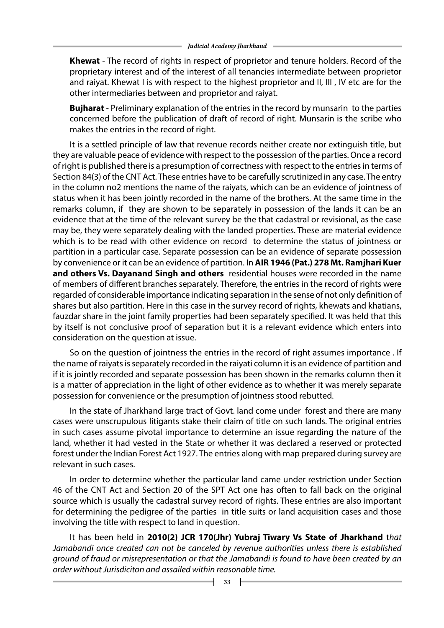**Khewat** - The record of rights in respect of proprietor and tenure holders. Record of the proprietary interest and of the interest of all tenancies intermediate between proprietor and raiyat. Khewat I is with respect to the highest proprietor and II, III, IV etc are for the other intermediaries between and proprietor and raiyat.

**Bujharat** - Preliminary explanation of the entries in the record by munsarin to the parties concerned before the publication of draft of record of right. Munsarin is the scribe who makes the entries in the record of right.

It is a settled principle of law that revenue records neither create nor extinguish title, but they are valuable peace of evidence with respect to the possession of the parties. Once a record of right is published there is a presumption of correctness with respect to the entries in terms of Section 84(3) of the CNT Act. These entries have to be carefully scrutinized in any case. The entry in the column no2 mentions the name of the raiyats, which can be an evidence of jointness of status when it has been jointly recorded in the name of the brothers. At the same time in the remarks column, if they are shown to be separately in possession of the lands it can be an evidence that at the time of the relevant survey be the that cadastral or revisional, as the case may be, they were separately dealing with the landed properties. These are material evidence which is to be read with other evidence on record to determine the status of jointness or partition in a particular case. Separate possession can be an evidence of separate possession by convenience or it can be an evidence of partition. In **AIR 1946 (Pat.) 278 Mt. Ramjhari Kuer and others Vs. Dayanand Singh and others** residential houses were recorded in the name of members of different branches separately. Therefore, the entries in the record of rights were regarded of considerable importance indicating separation in the sense of not only definition of shares but also partition. Here in this case in the survey record of rights, khewats and khatians, fauzdar share in the joint family properties had been separately specified. It was held that this by itself is not conclusive proof of separation but it is a relevant evidence which enters into consideration on the question at issue.

So on the question of jointness the entries in the record of right assumes importance . If the name of raiyats is separately recorded in the raiyati column it is an evidence of partition and if it is jointly recorded and separate possession has been shown in the remarks column then it is a matter of appreciation in the light of other evidence as to whether it was merely separate possession for convenience or the presumption of jointness stood rebutted.

In the state of Jharkhand large tract of Govt. land come under forest and there are many cases were unscrupulous litigants stake their claim of title on such lands. The original entries in such cases assume pivotal importance to determine an issue regarding the nature of the land, whether it had vested in the State or whether it was declared a reserved or protected forest under the Indian Forest Act 1927. The entries along with map prepared during survey are relevant in such cases.

In order to determine whether the particular land came under restriction under Section 46 of the CNT Act and Section 20 of the SPT Act one has often to fall back on the original source which is usually the cadastral survey record of rights. These entries are also important for determining the pedigree of the parties in title suits or land acquisition cases and those involving the title with respect to land in question.

It has been held in **2010(2) JCR 170(Jhr) Yubraj Tiwary Vs State of Jharkhand** t*hat Jamabandi once created can not be canceled by revenue authorities unless there is established ground of fraud or misrepresentation or that the Jamabandi is found to have been created by an order without Jurisdiciton and assailed within reasonable time.*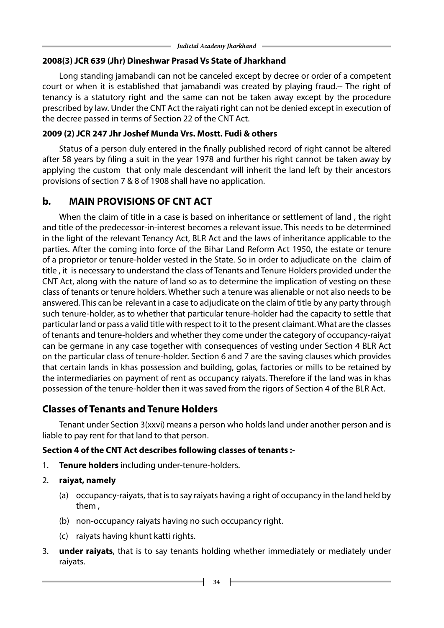## **2008(3) JCR 639 (Jhr) Dineshwar Prasad Vs State of Jharkhand**

Long standing jamabandi can not be canceled except by decree or order of a competent court or when it is established that jamabandi was created by playing fraud.-- The right of tenancy is a statutory right and the same can not be taken away except by the procedure prescribed by law. Under the CNT Act the raiyati right can not be denied except in execution of the decree passed in terms of Section 22 of the CNT Act.

## **2009 (2) JCR 247 Jhr Joshef Munda Vrs. Mostt. Fudi & others**

Status of a person duly entered in the finally published record of right cannot be altered after 58 years by filing a suit in the year 1978 and further his right cannot be taken away by applying the custom that only male descendant will inherit the land left by their ancestors provisions of section 7 & 8 of 1908 shall have no application.

# **b. MAIN PROVISIONS OF CNT ACT**

When the claim of title in a case is based on inheritance or settlement of land , the right and title of the predecessor-in-interest becomes a relevant issue. This needs to be determined in the light of the relevant Tenancy Act, BLR Act and the laws of inheritance applicable to the parties. After the coming into force of the Bihar Land Reform Act 1950, the estate or tenure of a proprietor or tenure-holder vested in the State. So in order to adjudicate on the claim of title , it is necessary to understand the class of Tenants and Tenure Holders provided under the CNT Act, along with the nature of land so as to determine the implication of vesting on these class of tenants or tenure holders. Whether such a tenure was alienable or not also needs to be answered. This can be relevant in a case to adjudicate on the claim of title by any party through such tenure-holder, as to whether that particular tenure-holder had the capacity to settle that particular land or pass a valid title with respect to it to the present claimant. What are the classes of tenants and tenure-holders and whether they come under the category of occupancy-raiyat can be germane in any case together with consequences of vesting under Section 4 BLR Act on the particular class of tenure-holder. Section 6 and 7 are the saving clauses which provides that certain lands in khas possession and building, golas, factories or mills to be retained by the intermediaries on payment of rent as occupancy raiyats. Therefore if the land was in khas possession of the tenure-holder then it was saved from the rigors of Section 4 of the BLR Act.

# **Classes of Tenants and Tenure Holders**

Tenant under Section 3(xxvi) means a person who holds land under another person and is liable to pay rent for that land to that person.

# **Section 4 of the CNT Act describes following classes of tenants :-**

- 1. **Tenure holders** including under-tenure-holders.
- 2. **raiyat, namely**
	- (a) occupancy-raiyats, that is to say raiyats having a right of occupancy in the land held by them ,
	- (b) non-occupancy raiyats having no such occupancy right.
	- (c) raiyats having khunt katti rights.
- 3. **under raiyats**, that is to say tenants holding whether immediately or mediately under raiyats.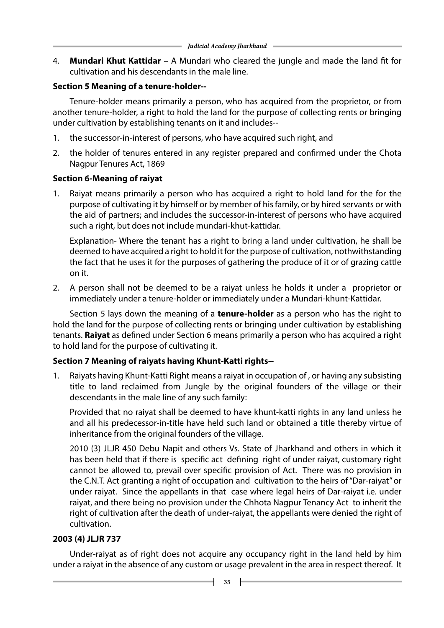4. **Mundari Khut Kattidar** – A Mundari who cleared the jungle and made the land fit for cultivation and his descendants in the male line.

## **Section 5 Meaning of a tenure-holder--**

Tenure-holder means primarily a person, who has acquired from the proprietor, or from another tenure-holder, a right to hold the land for the purpose of collecting rents or bringing under cultivation by establishing tenants on it and includes--

- 1. the successor-in-interest of persons, who have acquired such right, and
- 2. the holder of tenures entered in any register prepared and confirmed under the Chota Nagpur Tenures Act, 1869

## **Section 6-Meaning of raiyat**

1. Raiyat means primarily a person who has acquired a right to hold land for the for the purpose of cultivating it by himself or by member of his family, or by hired servants or with the aid of partners; and includes the successor-in-interest of persons who have acquired such a right, but does not include mundari-khut-kattidar.

Explanation- Where the tenant has a right to bring a land under cultivation, he shall be deemed to have acquired a right to hold it for the purpose of cultivation, nothwithstanding the fact that he uses it for the purposes of gathering the produce of it or of grazing cattle on it.

2. A person shall not be deemed to be a raiyat unless he holds it under a proprietor or immediately under a tenure-holder or immediately under a Mundari-khunt-Kattidar.

Section 5 lays down the meaning of a **tenure-holder** as a person who has the right to hold the land for the purpose of collecting rents or bringing under cultivation by establishing tenants. **Raiyat** as defined under Section 6 means primarily a person who has acquired a right to hold land for the purpose of cultivating it.

## **Section 7 Meaning of raiyats having Khunt-Katti rights--**

1. Raiyats having Khunt-Katti Right means a raiyat in occupation of , or having any subsisting title to land reclaimed from Jungle by the original founders of the village or their descendants in the male line of any such family:

Provided that no raiyat shall be deemed to have khunt-katti rights in any land unless he and all his predecessor-in-title have held such land or obtained a title thereby virtue of inheritance from the original founders of the village.

2010 (3) JLJR 450 Debu Napit and others Vs. State of Jharkhand and others in which it has been held that if there is specific act defining right of under raiyat, customary right cannot be allowed to, prevail over specific provision of Act. There was no provision in the C.N.T. Act granting a right of occupation and cultivation to the heirs of "Dar-raiyat" or under raiyat. Since the appellants in that case where legal heirs of Dar-raiyat i.e. under raiyat, and there being no provision under the Chhota Nagpur Tenancy Act to inherit the right of cultivation after the death of under-raiyat, the appellants were denied the right of cultivation.

## **2003 (4) JLJR 737**

Under-raiyat as of right does not acquire any occupancy right in the land held by him under a raiyat in the absence of any custom or usage prevalent in the area in respect thereof. It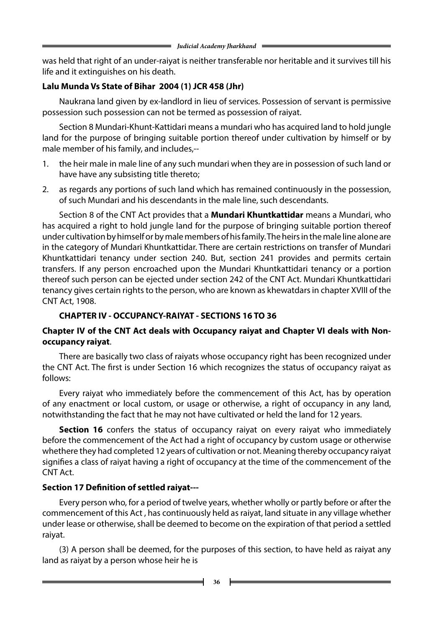was held that right of an under-raiyat is neither transferable nor heritable and it survives till his life and it extinguishes on his death.

## **Lalu Munda Vs State of Bihar 2004 (1) JCR 458 (Jhr)**

Naukrana land given by ex-landlord in lieu of services. Possession of servant is permissive possession such possession can not be termed as possession of raiyat.

Section 8 Mundari-Khunt-Kattidari means a mundari who has acquired land to hold jungle land for the purpose of bringing suitable portion thereof under cultivation by himself or by male member of his family, and includes,--

- 1. the heir male in male line of any such mundari when they are in possession of such land or have have any subsisting title thereto;
- 2. as regards any portions of such land which has remained continuously in the possession, of such Mundari and his descendants in the male line, such descendants.

Section 8 of the CNT Act provides that a **Mundari Khuntkattidar** means a Mundari, who has acquired a right to hold jungle land for the purpose of bringing suitable portion thereof under cultivation by himself or by male members of his family. The heirs in the male line alone are in the category of Mundari Khuntkattidar. There are certain restrictions on transfer of Mundari Khuntkattidari tenancy under section 240. But, section 241 provides and permits certain transfers. If any person encroached upon the Mundari Khuntkattidari tenancy or a portion thereof such person can be ejected under section 242 of the CNT Act. Mundari Khuntkattidari tenancy gives certain rights to the person, who are known as khewatdars in chapter XVIII of the CNT Act, 1908.

# **CHAPTER IV - OCCUPANCY-RAIYAT - SECTIONS 16 TO 36**

## **Chapter IV of the CNT Act deals with Occupancy raiyat and Chapter VI deals with Nonoccupancy raiyat**.

There are basically two class of raiyats whose occupancy right has been recognized under the CNT Act. The first is under Section 16 which recognizes the status of occupancy raiyat as follows:

Every raiyat who immediately before the commencement of this Act, has by operation of any enactment or local custom, or usage or otherwise, a right of occupancy in any land, notwithstanding the fact that he may not have cultivated or held the land for 12 years.

**Section 16** confers the status of occupancy raiyat on every raiyat who immediately before the commencement of the Act had a right of occupancy by custom usage or otherwise whethere they had completed 12 years of cultivation or not. Meaning thereby occupancy raiyat signifies a class of raiyat having a right of occupancy at the time of the commencement of the CNT Act.

# **Section 17 Definition of settled raiyat---**

Every person who, for a period of twelve years, whether wholly or partly before or after the commencement of this Act , has continuously held as raiyat, land situate in any village whether under lease or otherwise, shall be deemed to become on the expiration of that period a settled raiyat.

(3) A person shall be deemed, for the purposes of this section, to have held as raiyat any land as raiyat by a person whose heir he is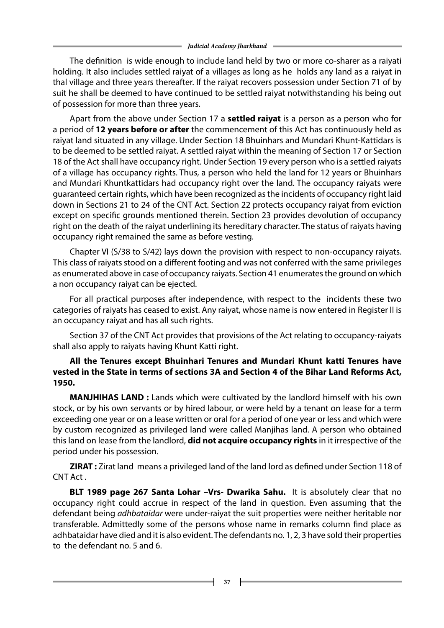The definition is wide enough to include land held by two or more co-sharer as a raiyati holding. It also includes settled raiyat of a villages as long as he holds any land as a raiyat in thal village and three years thereafter. If the raiyat recovers possession under Section 71 of by suit he shall be deemed to have continued to be settled raiyat notwithstanding his being out of possession for more than three years.

Apart from the above under Section 17 a **settled raiyat** is a person as a person who for a period of **12 years before or after** the commencement of this Act has continuously held as raiyat land situated in any village. Under Section 18 Bhuinhars and Mundari Khunt-Kattidars is to be deemed to be settled raiyat. A settled raiyat within the meaning of Section 17 or Section 18 of the Act shall have occupancy right. Under Section 19 every person who is a settled raiyats of a village has occupancy rights. Thus, a person who held the land for 12 years or Bhuinhars and Mundari Khuntkattidars had occupancy right over the land. The occupancy raiyats were guaranteed certain rights, which have been recognized as the incidents of occupancy right laid down in Sections 21 to 24 of the CNT Act. Section 22 protects occupancy raiyat from eviction except on specific grounds mentioned therein. Section 23 provides devolution of occupancy right on the death of the raiyat underlining its hereditary character. The status of raiyats having occupancy right remained the same as before vesting.

Chapter VI (S/38 to S/42) lays down the provision with respect to non-occupancy raiyats. This class of raiyats stood on a different footing and was not conferred with the same privileges as enumerated above in case of occupancy raiyats. Section 41 enumerates the ground on which a non occupancy raiyat can be ejected.

For all practical purposes after independence, with respect to the incidents these two categories of raiyats has ceased to exist. Any raiyat, whose name is now entered in Register II is an occupancy raiyat and has all such rights.

Section 37 of the CNT Act provides that provisions of the Act relating to occupancy-raiyats shall also apply to raiyats having Khunt Katti right.

### **All the Tenures except Bhuinhari Tenures and Mundari Khunt katti Tenures have vested in the State in terms of sections 3A and Section 4 of the Bihar Land Reforms Act, 1950.**

**MANJHIHAS LAND :** Lands which were cultivated by the landlord himself with his own stock, or by his own servants or by hired labour, or were held by a tenant on lease for a term exceeding one year or on a lease written or oral for a period of one year or less and which were by custom recognized as privileged land were called Manjihas land. A person who obtained this land on lease from the landlord, **did not acquire occupancy rights** in it irrespective of the period under his possession.

**ZIRAT :** Zirat land means a privileged land of the land lord as defined under Section 118 of CNT Act .

**BLT 1989 page 267 Santa Lohar –Vrs- Dwarika Sahu.** It is absolutely clear that no occupancy right could accrue in respect of the land in question. Even assuming that the defendant being *adhbataidar* were under-raiyat the suit properties were neither heritable nor transferable. Admittedly some of the persons whose name in remarks column find place as adhbataidar have died and it is also evident. The defendants no. 1, 2, 3 have sold their properties to the defendant no. 5 and 6.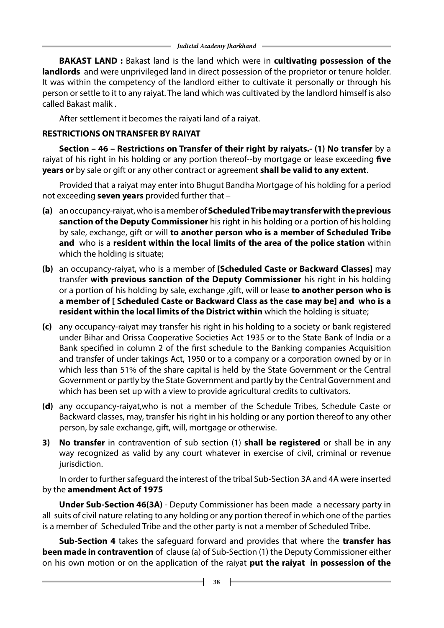**BAKAST LAND :** Bakast land is the land which were in **cultivating possession of the landlords** and were unprivileged land in direct possession of the proprietor or tenure holder. It was within the competency of the landlord either to cultivate it personally or through his person or settle to it to any raiyat. The land which was cultivated by the landlord himself is also called Bakast malik .

After settlement it becomes the raiyati land of a raiyat.

## **RESTRICTIONS ONTRANSFER BY RAIYAT**

 **Section – 46 – Restrictions on Transfer of their right by raiyats.- (1) No transfer** by a raiyat of his right in his holding or any portion thereof--by mortgage or lease exceeding **five years or** by sale or gift or any other contract or agreement **shall be valid to any extent**.

Provided that a raiyat may enter into Bhugut Bandha Mortgage of his holding for a period not exceeding **seven years** provided further that –

- **(a)** an occupancy-raiyat, who is a member of **Scheduled Tribe may transfer with the previous sanction of the Deputy Commissioner** his right in his holding or a portion of his holding by sale, exchange, gift or will **to another person who is a member of Scheduled Tribe and** who is a **resident within the local limits of the area of the police station** within which the holding is situate;
- **(b)** an occupancy-raiyat, who is a member of **[Scheduled Caste or Backward Classes]** may transfer **with previous sanction of the Deputy Commissioner** his right in his holding or a portion of his holding by sale, exchange ,gift, will or lease **to another person who is a member of [ Scheduled Caste or Backward Class as the case may be] and who is a resident within the local limits of the District within** which the holding is situate;
- **(c)** any occupancy-raiyat may transfer his right in his holding to a society or bank registered under Bihar and Orissa Cooperative Societies Act 1935 or to the State Bank of India or a Bank specified in column 2 of the first schedule to the Banking companies Acquisition and transfer of under takings Act, 1950 or to a company or a corporation owned by or in which less than 51% of the share capital is held by the State Government or the Central Government or partly by the State Government and partly by the Central Government and which has been set up with a view to provide agricultural credits to cultivators.
- **(d)** any occupancy-raiyat,who is not a member of the Schedule Tribes, Schedule Caste or Backward classes, may, transfer his right in his holding or any portion thereof to any other person, by sale exchange, gift, will, mortgage or otherwise.
- **3) No transfer** in contravention of sub section (1) **shall be registered** or shall be in any way recognized as valid by any court whatever in exercise of civil, criminal or revenue jurisdiction.

In order to further safeguard the interest of the tribal Sub-Section 3A and 4A were inserted by the **amendment Act of 1975**

 **Under Sub-Section 46(3A)** - Deputy Commissioner has been made a necessary party in all suits of civil nature relating to any holding or any portion thereof in which one of the parties is a member of Scheduled Tribe and the other party is not a member of Scheduled Tribe.

 **Sub-Section 4** takes the safeguard forward and provides that where the **transfer has been made in contravention** of clause (a) of Sub-Section (1) the Deputy Commissioner either on his own motion or on the application of the raiyat **put the raiyat in possession of the**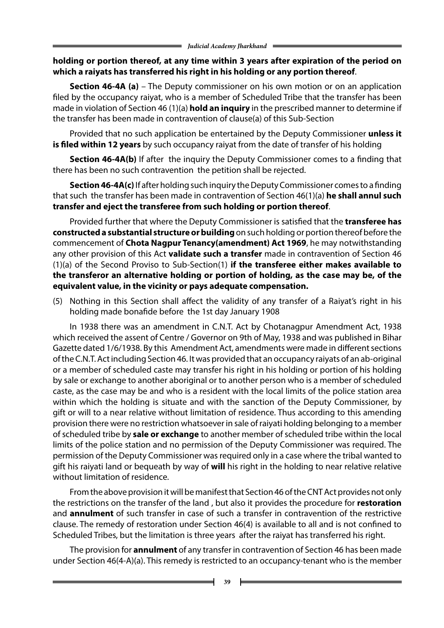### **holding or portion thereof, at any time within 3 years after expiration of the period on which a raiyats has transferred his right in his holding or any portion thereof**.

 **Section 46-4A (a)** – The Deputy commissioner on his own motion or on an application filed by the occupancy raiyat, who is a member of Scheduled Tribe that the transfer has been made in violation of Section 46 (1)(a) **hold an inquiry** in the prescribed manner to determine if the transfer has been made in contravention of clause(a) of this Sub-Section

Provided that no such application be entertained by the Deputy Commissioner **unless it is filed within 12 years** by such occupancy raiyat from the date of transfer of his holding

**Section 46-4A(b)** If after the inquiry the Deputy Commissioner comes to a finding that there has been no such contravention the petition shall be rejected.

 **Section 46-4A(c)** If after holding such inquiry the Deputy Commissioner comes to a finding that such the transfer has been made in contravention of Section 46(1)(a) **he shall annul such transfer and eject the transferee from such holding or portion thereof**.

Provided further that where the Deputy Commissioner is satisfied that the **transferee has constructed a substantial structure or building** on such holding or portion thereof before the commencement of **Chota Nagpur Tenancy(amendment) Act 1969**, he may notwithstanding any other provision of this Act **validate such a transfer** made in contravention of Section 46 (1)(a) of the Second Proviso to Sub-Section(1) **if the transferee either makes available to the transferor an alternative holding or portion of holding, as the case may be, of the equivalent value, in the vicinity or pays adequate compensation.**

(5) Nothing in this Section shall affect the validity of any transfer of a Raiyat's right in his holding made bonafide before the 1st day January 1908

In 1938 there was an amendment in C.N.T. Act by Chotanagpur Amendment Act, 1938 which received the assent of Centre / Governor on 9th of May, 1938 and was published in Bihar Gazette dated 1/6/1938. By this Amendment Act, amendments were made in different sections of the C.N.T. Act including Section 46. It was provided that an occupancy raiyats of an ab-original or a member of scheduled caste may transfer his right in his holding or portion of his holding by sale or exchange to another aboriginal or to another person who is a member of scheduled caste, as the case may be and who is a resident with the local limits of the police station area within which the holding is situate and with the sanction of the Deputy Commissioner, by gift or will to a near relative without limitation of residence. Thus according to this amending provision there were no restriction whatsoever in sale of raiyati holding belonging to a member of scheduled tribe by **sale or exchange** to another member of scheduled tribe within the local limits of the police station and no permission of the Deputy Commissioner was required. The permission of the Deputy Commissioner was required only in a case where the tribal wanted to gift his raiyati land or bequeath by way of **will** his right in the holding to near relative relative without limitation of residence.

From the above provision it will be manifest that Section 46 of the CNT Act provides not only the restrictions on the transfer of the land , but also it provides the procedure for **restoration**  and **annulment** of such transfer in case of such a transfer in contravention of the restrictive clause. The remedy of restoration under Section 46(4) is available to all and is not confined to Scheduled Tribes, but the limitation is three years after the raiyat has transferred his right.

The provision for **annulment** of any transfer in contravention of Section 46 has been made under Section 46(4-A)(a). This remedy is restricted to an occupancy-tenant who is the member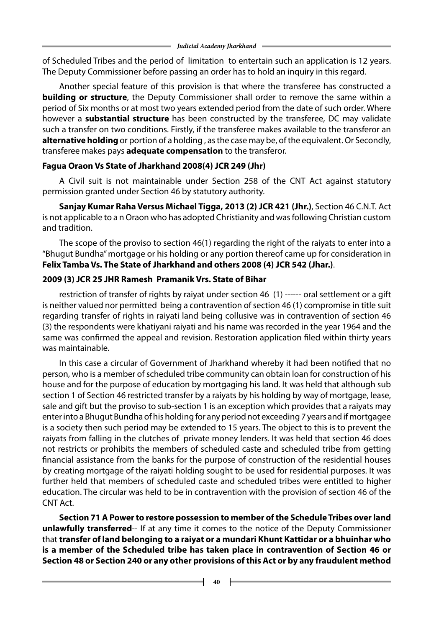of Scheduled Tribes and the period of limitation to entertain such an application is 12 years. The Deputy Commissioner before passing an order has to hold an inquiry in this regard.

Another special feature of this provision is that where the transferee has constructed a **building or structure**, the Deputy Commissioner shall order to remove the same within a period of Six months or at most two years extended period from the date of such order. Where however a **substantial structure** has been constructed by the transferee, DC may validate such a transfer on two conditions. Firstly, if the transferee makes available to the transferor an **alternative holding** or portion of a holding , as the case may be, of the equivalent. Or Secondly, transferee makes pays **adequate compensation** to the transferor.

# **Fagua Oraon Vs State of Jharkhand 2008(4) JCR 249 (Jhr)**

A Civil suit is not maintainable under Section 258 of the CNT Act against statutory permission granted under Section 46 by statutory authority.

 **Sanjay Kumar Raha Versus Michael Tigga, 2013 (2) JCR 421 (Jhr.)**, Section 46 C.N.T. Act is not applicable to a n Oraon who has adopted Christianity and was following Christian custom and tradition.

The scope of the proviso to section 46(1) regarding the right of the raiyats to enter into a "Bhugut Bundha" mortgage or his holding or any portion thereof came up for consideration in **Felix Tamba Vs. The State of Jharkhand and others 2008 (4) JCR 542 (Jhar.)**.

# **2009 (3) JCR 25 JHR Ramesh Pramanik Vrs. State of Bihar**

restriction of transfer of rights by raiyat under section 46 (1) ------ oral settlement or a gift is neither valued nor permitted being a contravention of section 46 (1) compromise in title suit regarding transfer of rights in raiyati land being collusive was in contravention of section 46 (3) the respondents were khatiyani raiyati and his name was recorded in the year 1964 and the same was confirmed the appeal and revision. Restoration application filed within thirty years was maintainable.

In this case a circular of Government of Jharkhand whereby it had been notified that no person, who is a member of scheduled tribe community can obtain loan for construction of his house and for the purpose of education by mortgaging his land. It was held that although sub section 1 of Section 46 restricted transfer by a raiyats by his holding by way of mortgage, lease, sale and gift but the proviso to sub-section 1 is an exception which provides that a raiyats may enter into a Bhugut Bundha of his holding for any period not exceeding 7 years and if mortgagee is a society then such period may be extended to 15 years. The object to this is to prevent the raiyats from falling in the clutches of private money lenders. It was held that section 46 does not restricts or prohibits the members of scheduled caste and scheduled tribe from getting financial assistance from the banks for the purpose of construction of the residential houses by creating mortgage of the raiyati holding sought to be used for residential purposes. It was further held that members of scheduled caste and scheduled tribes were entitled to higher education. The circular was held to be in contravention with the provision of section 46 of the CNT Act.

 **Section 71 A Power to restore possession to member of the Schedule Tribes over land unlawfully transferred**-- If at any time it comes to the notice of the Deputy Commissioner that **transfer of land belonging to a raiyat or a mundari Khunt Kattidar or a bhuinhar who is a member of the Scheduled tribe has taken place in contravention of Section 46 or Section 48 or Section 240 or any other provisions of this Act or by any fraudulent method**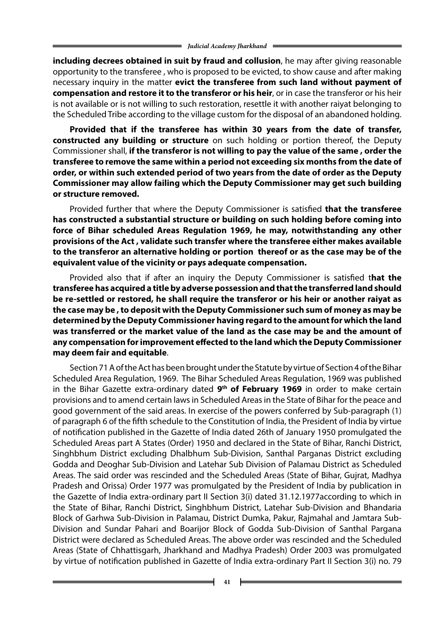**including decrees obtained in suit by fraud and collusion**, he may after giving reasonable opportunity to the transferee , who is proposed to be evicted, to show cause and after making necessary inquiry in the matter **evict the transferee from such land without payment of compensation and restore it to the transferor or his heir**, or in case the transferor or his heir is not available or is not willing to such restoration, resettle it with another raiyat belonging to the Scheduled Tribe according to the village custom for the disposal of an abandoned holding.

**Provided that if the transferee has within 30 years from the date of transfer, constructed any building or structure** on such holding or portion thereof, the Deputy Commissioner shall, **if the transferor is not willing to pay the value of the same , order the transferee to remove the same within a period not exceeding six months from the date of order, or within such extended period of two years from the date of order as the Deputy Commissioner may allow failing which the Deputy Commissioner may get such building or structure removed.**

Provided further that where the Deputy Commissioner is satisfied **that the transferee has constructed a substantial structure or building on such holding before coming into force of Bihar scheduled Areas Regulation 1969, he may, notwithstanding any other provisions of the Act , validate such transfer where the transferee either makes available to the transferor an alternative holding or portion thereof or as the case may be of the equivalent value of the vicinity or pays adequate compensation.**

Provided also that if after an inquiry the Deputy Commissioner is satisfied t**hat the transferee has acquired a title by adverse possession and that the transferred land should be re-settled or restored, he shall require the transferor or his heir or another raiyat as the case may be , to deposit with the Deputy Commissioner such sum of money as may be determined by the Deputy Commissioner having regard to the amount for which the land was transferred or the market value of the land as the case may be and the amount of any compensation for improvement effected to the land which the Deputy Commissioner may deem fair and equitable**.

Section 71 A of the Act has been brought under the Statute by virtue of Section 4 of the Bihar Scheduled Area Regulation, 1969. The Bihar Scheduled Areas Regulation, 1969 was published in the Bihar Gazette extra-ordinary dated **9th of February 1969** in order to make certain provisions and to amend certain laws in Scheduled Areas in the State of Bihar for the peace and good government of the said areas. In exercise of the powers conferred by Sub-paragraph (1) of paragraph 6 of the fifth schedule to the Constitution of India, the President of India by virtue of notification published in the Gazette of India dated 26th of January 1950 promulgated the Scheduled Areas part A States (Order) 1950 and declared in the State of Bihar, Ranchi District, Singhbhum District excluding Dhalbhum Sub-Division, Santhal Parganas District excluding Godda and Deoghar Sub-Division and Latehar Sub Division of Palamau District as Scheduled Areas. The said order was rescinded and the Scheduled Areas (State of Bihar, Gujrat, Madhya Pradesh and Orissa) Order 1977 was promulgated by the President of India by publication in the Gazette of India extra-ordinary part II Section 3(i) dated 31.12.1977according to which in the State of Bihar, Ranchi District, Singhbhum District, Latehar Sub-Division and Bhandaria Block of Garhwa Sub-Division in Palamau, District Dumka, Pakur, Rajmahal and Jamtara Sub-Division and Sundar Pahari and Boarijor Block of Godda Sub-Division of Santhal Pargana District were declared as Scheduled Areas. The above order was rescinded and the Scheduled Areas (State of Chhattisgarh, Jharkhand and Madhya Pradesh) Order 2003 was promulgated by virtue of notification published in Gazette of India extra-ordinary Part II Section 3(i) no. 79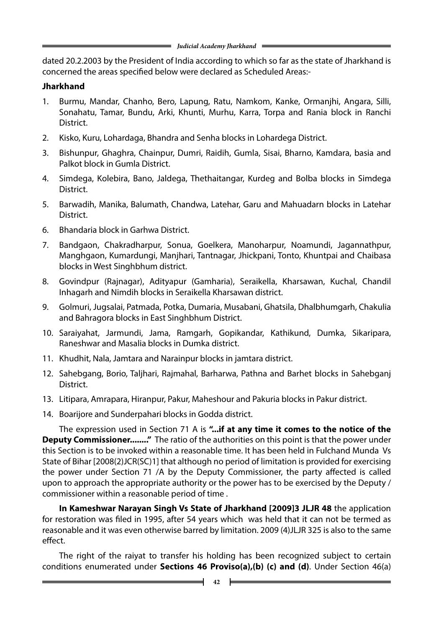dated 20.2.2003 by the President of India according to which so far as the state of Jharkhand is concerned the areas specified below were declared as Scheduled Areas:-

### **Jharkhand**

- 1. Burmu, Mandar, Chanho, Bero, Lapung, Ratu, Namkom, Kanke, Ormanjhi, Angara, Silli, Sonahatu, Tamar, Bundu, Arki, Khunti, Murhu, Karra, Torpa and Rania block in Ranchi District.
- 2. Kisko, Kuru, Lohardaga, Bhandra and Senha blocks in Lohardega District.
- 3. Bishunpur, Ghaghra, Chainpur, Dumri, Raidih, Gumla, Sisai, Bharno, Kamdara, basia and Palkot block in Gumla District.
- 4. Simdega, Kolebira, Bano, Jaldega, Thethaitangar, Kurdeg and Bolba blocks in Simdega District.
- 5. Barwadih, Manika, Balumath, Chandwa, Latehar, Garu and Mahuadarn blocks in Latehar District.
- 6. Bhandaria block in Garhwa District.
- 7. Bandgaon, Chakradharpur, Sonua, Goelkera, Manoharpur, Noamundi, Jagannathpur, Manghgaon, Kumardungi, Manjhari, Tantnagar, Jhickpani, Tonto, Khuntpai and Chaibasa blocks in West Singhbhum district.
- 8. Govindpur (Rajnagar), Adityapur (Gamharia), Seraikella, Kharsawan, Kuchal, Chandil Inhagarh and Nimdih blocks in Seraikella Kharsawan district.
- 9. Golmuri, Jugsalai, Patmada, Potka, Dumaria, Musabani, Ghatsila, Dhalbhumgarh, Chakulia and Bahragora blocks in East Singhbhum District.
- 10. Saraiyahat, Jarmundi, Jama, Ramgarh, Gopikandar, Kathikund, Dumka, Sikaripara, Raneshwar and Masalia blocks in Dumka district.
- 11. Khudhit, Nala, Jamtara and Narainpur blocks in jamtara district.
- 12. Sahebgang, Borio, Taljhari, Rajmahal, Barharwa, Pathna and Barhet blocks in Sahebganj District.
- 13. Litipara, Amrapara, Hiranpur, Pakur, Maheshour and Pakuria blocks in Pakur district.
- 14. Boarijore and Sunderpahari blocks in Godda district.

The expression used in Section 71 A is **"...if at any time it comes to the notice of the Deputy Commissioner........"** The ratio of the authorities on this point is that the power under this Section is to be invoked within a reasonable time. It has been held in Fulchand Munda Vs State of Bihar [2008(2)JCR(SC)1] that although no period of limitation is provided for exercising the power under Section 71 /A by the Deputy Commissioner, the party affected is called upon to approach the appropriate authority or the power has to be exercised by the Deputy / commissioner within a reasonable period of time .

**In Kameshwar Narayan Singh Vs State of Jharkhand [2009]3 JLJR 48** the application for restoration was filed in 1995, after 54 years which was held that it can not be termed as reasonable and it was even otherwise barred by limitation. 2009 (4)JLJR 325 is also to the same effect.

The right of the raiyat to transfer his holding has been recognized subject to certain conditions enumerated under **Sections 46 Proviso(a),(b) (c) and (d)**. Under Section 46(a)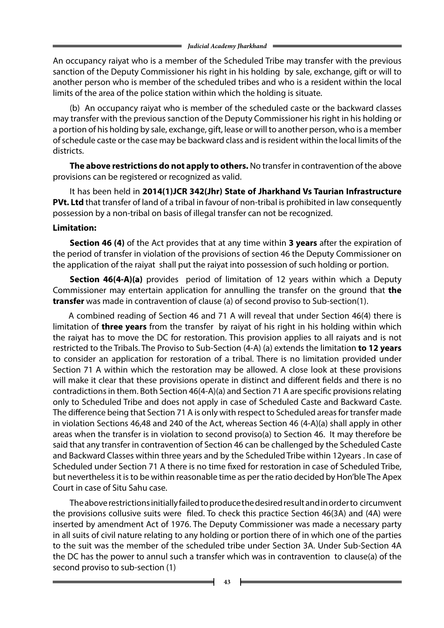An occupancy raiyat who is a member of the Scheduled Tribe may transfer with the previous sanction of the Deputy Commissioner his right in his holding by sale, exchange, gift or will to another person who is member of the scheduled tribes and who is a resident within the local limits of the area of the police station within which the holding is situate.

(b) An occupancy raiyat who is member of the scheduled caste or the backward classes may transfer with the previous sanction of the Deputy Commissioner his right in his holding or a portion of his holding by sale, exchange, gift, lease or will to another person, who is a member of schedule caste or the case may be backward class and is resident within the local limits of the districts.

 **The above restrictions do not apply to others.** No transfer in contravention of the above provisions can be registered or recognized as valid.

It has been held in **2014(1)JCR 342(Jhr) State of Jharkhand Vs Taurian Infrastructure PVt. Ltd** that transfer of land of a tribal in favour of non-tribal is prohibited in law consequently possession by a non-tribal on basis of illegal transfer can not be recognized.

#### **Limitation:**

 **Section 46 (4)** of the Act provides that at any time within **3 years** after the expiration of the period of transfer in violation of the provisions of section 46 the Deputy Commissioner on the application of the raiyat shall put the raiyat into possession of such holding or portion.

**Section 46(4-A)(a)** provides period of limitation of 12 years within which a Deputy Commissioner may entertain application for annulling the transfer on the ground that **the transfer** was made in contravention of clause (a) of second proviso to Sub-section(1).

 A combined reading of Section 46 and 71 A will reveal that under Section 46(4) there is limitation of **three years** from the transfer by raiyat of his right in his holding within which the raiyat has to move the DC for restoration. This provision applies to all raiyats and is not restricted to the Tribals. The Proviso to Sub-Section (4-A) (a) extends the limitation **to 12 years** to consider an application for restoration of a tribal. There is no limitation provided under Section 71 A within which the restoration may be allowed. A close look at these provisions will make it clear that these provisions operate in distinct and different fields and there is no contradictions in them. Both Section 46(4-A)(a) and Section 71 A are specific provisions relating only to Scheduled Tribe and does not apply in case of Scheduled Caste and Backward Caste. The difference being that Section 71 A is only with respect to Scheduled areas for transfer made in violation Sections 46,48 and 240 of the Act, whereas Section 46 (4-A)(a) shall apply in other areas when the transfer is in violation to second proviso(a) to Section 46. It may therefore be said that any transfer in contravention of Section 46 can be challenged by the Scheduled Caste and Backward Classes within three years and by the Scheduled Tribe within 12years . In case of Scheduled under Section 71 A there is no time fixed for restoration in case of Scheduled Tribe, but nevertheless it is to be within reasonable time as per the ratio decided by Hon'ble The Apex Court in case of Situ Sahu case.

The above restrictions initially failed to produce the desired result and in order to circumvent the provisions collusive suits were filed. To check this practice Section 46(3A) and (4A) were inserted by amendment Act of 1976. The Deputy Commissioner was made a necessary party in all suits of civil nature relating to any holding or portion there of in which one of the parties to the suit was the member of the scheduled tribe under Section 3A. Under Sub-Section 4A the DC has the power to annul such a transfer which was in contravention to clause(a) of the second proviso to sub-section (1)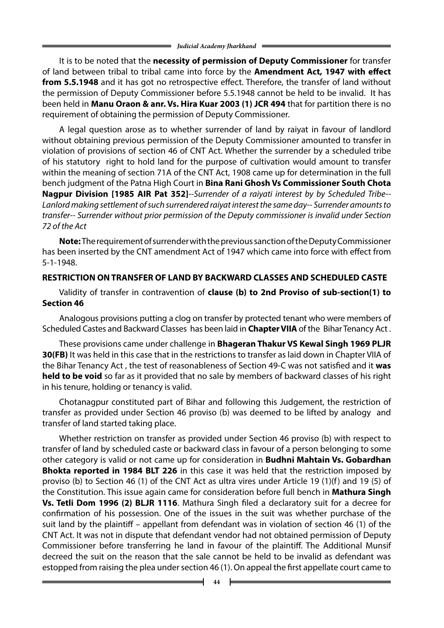It is to be noted that the **necessity of permission of Deputy Commissioner** for transfer of land between tribal to tribal came into force by the **Amendment Act, 1947 with effect from 5.5.1948** and it has got no retrospective effect. Therefore, the transfer of land without the permission of Deputy Commissioner before 5.5.1948 cannot be held to be invalid. It has been held in **Manu Oraon & anr. Vs. Hira Kuar 2003 (1) JCR 494** that for partition there is no requirement of obtaining the permission of Deputy Commissioner.

A legal question arose as to whether surrender of land by raiyat in favour of landlord without obtaining previous permission of the Deputy Commissioner amounted to transfer in violation of provisions of section 46 of CNT Act. Whether the surrender by a scheduled tribe of his statutory right to hold land for the purpose of cultivation would amount to transfer within the meaning of section 71A of the CNT Act, 1908 came up for determination in the full bench judgment of the Patna High Court in **Bina Rani Ghosh Vs Commissioner South Chota Nagpur Division [1985 AIR Pat 352]**--*Surrender of a raiyati interest by by Scheduled Tribe-- Lanlord making settlement of such surrendered raiyat interest the same day-- Surrender amounts to transfer-- Surrender without prior permission of the Deputy commissioner is invalid under Section 72 of the Act*

**Note:** The requirement of surrender with the previous sanction of the Deputy Commissioner has been inserted by the CNT amendment Act of 1947 which came into force with effect from 5-1-1948.

## **RESTRICTION ONTRANSFER OF LAND BY BACKWARD CLASSES AND SCHEDULED CASTE**

Validity of transfer in contravention of **clause (b) to 2nd Proviso of sub-section(1) to Section 46**

Analogous provisions putting a clog on transfer by protected tenant who were members of Scheduled Castes and Backward Classes has been laid in **Chapter VIIA** of the Bihar Tenancy Act .

These provisions came under challenge in **Bhageran Thakur VS Kewal Singh 1969 PLJR 30(FB)** It was held in this case that in the restrictions to transfer as laid down in Chapter VIIA of the Bihar Tenancy Act , the test of reasonableness of Section 49-C was not satisfied and it **was held to be void** so far as it provided that no sale by members of backward classes of his right in his tenure, holding or tenancy is valid.

Chotanagpur constituted part of Bihar and following this Judgement, the restriction of transfer as provided under Section 46 proviso (b) was deemed to be lifted by analogy and transfer of land started taking place.

Whether restriction on transfer as provided under Section 46 proviso (b) with respect to transfer of land by scheduled caste or backward class in favour of a person belonging to some other category is valid or not came up for consideration in **Budhni Mahtain Vs. Gobardhan Bhokta reported in 1984 BLT 226** in this case it was held that the restriction imposed by proviso (b) to Section 46 (1) of the CNT Act as ultra vires under Article 19 (1)(f) and 19 (5) of the Constitution. This issue again came for consideration before full bench in **Mathura Singh Vs. Tetli Dom 1996 (2) BLJR 1116**. Mathura Singh filed a declaratory suit for a decree for confirmation of his possession. One of the issues in the suit was whether purchase of the suit land by the plaintiff – appellant from defendant was in violation of section 46 (1) of the CNT Act. It was not in dispute that defendant vendor had not obtained permission of Deputy Commissioner before transferring he land in favour of the plaintiff. The Additional Munsif decreed the suit on the reason that the sale cannot be held to be invalid as defendant was estopped from raising the plea under section 46 (1). On appeal the first appellate court came to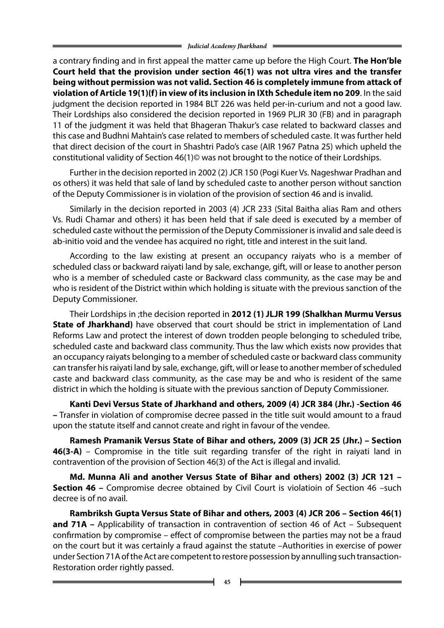a contrary finding and in first appeal the matter came up before the High Court. **The Hon'ble Court held that the provision under section 46(1) was not ultra vires and the transfer being without permission was not valid. Section 46 is completely immune from attack of violation of Article 19(1)(f) in view of its inclusion in IXth Schedule item no 209**. In the said judgment the decision reported in 1984 BLT 226 was held per-in-curium and not a good law. Their Lordships also considered the decision reported in 1969 PLJR 30 (FB) and in paragraph 11 of the judgment it was held that Bhageran Thakur's case related to backward classes and this case and Budhni Mahtain's case related to members of scheduled caste. It was further held that direct decision of the court in Shashtri Pado's case (AIR 1967 Patna 25) which upheld the constitutional validity of Section 46(1)© was not brought to the notice of their Lordships.

Further in the decision reported in 2002 (2) JCR 150 (Pogi Kuer Vs. Nageshwar Pradhan and os others) it was held that sale of land by scheduled caste to another person without sanction of the Deputy Commissioner is in violation of the provision of section 46 and is invalid.

Similarly in the decision reported in 2003 (4) JCR 233 (Sital Baitha alias Ram and others Vs. Rudi Chamar and others) it has been held that if sale deed is executed by a member of scheduled caste without the permission of the Deputy Commissioner is invalid and sale deed is ab-initio void and the vendee has acquired no right, title and interest in the suit land.

According to the law existing at present an occupancy raiyats who is a member of scheduled class or backward raiyati land by sale, exchange, gift, will or lease to another person who is a member of scheduled caste or Backward class community, as the case may be and who is resident of the District within which holding is situate with the previous sanction of the Deputy Commissioner.

Their Lordships in ;the decision reported in **2012 (1) JLJR 199 (Shalkhan Murmu Versus State of Jharkhand)** have observed that court should be strict in implementation of Land Reforms Law and protect the interest of down trodden people belonging to scheduled tribe, scheduled caste and backward class community. Thus the law which exists now provides that an occupancy raiyats belonging to a member of scheduled caste or backward class community can transfer his raiyati land by sale, exchange, gift, will or lease to another member of scheduled caste and backward class community, as the case may be and who is resident of the same district in which the holding is situate with the previous sanction of Deputy Commissioner.

 **Kanti Devi Versus State of Jharkhand and others, 2009 (4) JCR 384 (Jhr.) -Section 46 –** Transfer in violation of compromise decree passed in the title suit would amount to a fraud upon the statute itself and cannot create and right in favour of the vendee.

 **Ramesh Pramanik Versus State of Bihar and others, 2009 (3) JCR 25 (Jhr.) – Section 46(3-A)** – Compromise in the title suit regarding transfer of the right in raiyati land in contravention of the provision of Section 46(3) of the Act is illegal and invalid.

**Md. Munna Ali and another Versus State of Bihar and others) 2002 (3) JCR 121 – Section 46 –** Compromise decree obtained by Civil Court is violatioin of Section 46 –such decree is of no avail.

 **Rambriksh Gupta Versus State of Bihar and others, 2003 (4) JCR 206 – Section 46(1) and 71A –** Applicability of transaction in contravention of section 46 of Act – Subsequent confirmation by compromise – effect of compromise between the parties may not be a fraud on the court but it was certainly a fraud against the statute –Authorities in exercise of power under Section 71A of the Act are competent to restore possession by annulling such transaction-Restoration order rightly passed.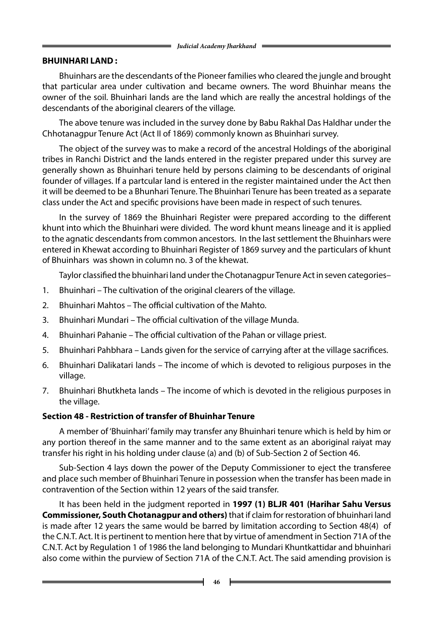#### **BHUINHARI LAND :**

Bhuinhars are the descendants of the Pioneer families who cleared the jungle and brought that particular area under cultivation and became owners. The word Bhuinhar means the owner of the soil. Bhuinhari lands are the land which are really the ancestral holdings of the descendants of the aboriginal clearers of the village.

The above tenure was included in the survey done by Babu Rakhal Das Haldhar under the Chhotanagpur Tenure Act (Act II of 1869) commonly known as Bhuinhari survey.

The object of the survey was to make a record of the ancestral Holdings of the aboriginal tribes in Ranchi District and the lands entered in the register prepared under this survey are generally shown as Bhuinhari tenure held by persons claiming to be descendants of original founder of villages. If a partcular land is entered in the register maintained under the Act then it will be deemed to be a Bhunhari Tenure. The Bhuinhari Tenure has been treated as a separate class under the Act and specific provisions have been made in respect of such tenures.

In the survey of 1869 the Bhuinhari Register were prepared according to the different khunt into which the Bhuinhari were divided. The word khunt means lineage and it is applied to the agnatic descendants from common ancestors. In the last settlement the Bhuinhars were entered in Khewat according to Bhuinhari Register of 1869 survey and the particulars of khunt of Bhuinhars was shown in column no. 3 of the khewat.

Taylor classified the bhuinhari land under the Chotanagpur Tenure Act in seven categories–

- 1. Bhuinhari The cultivation of the original clearers of the village.
- 2. Bhuinhari Mahtos The official cultivation of the Mahto.
- 3. Bhuinhari Mundari The official cultivation of the village Munda.
- 4. Bhuinhari Pahanie The official cultivation of the Pahan or village priest.
- 5. Bhuinhari Pahbhara Lands given for the service of carrying after at the village sacrifices.
- 6. Bhuinhari Dalikatari lands The income of which is devoted to religious purposes in the village.
- 7. Bhuinhari Bhutkheta lands The income of which is devoted in the religious purposes in the village.

#### **Section 48 - Restriction of transfer of Bhuinhar Tenure**

A member of 'Bhuinhari' family may transfer any Bhuinhari tenure which is held by him or any portion thereof in the same manner and to the same extent as an aboriginal raiyat may transfer his right in his holding under clause (a) and (b) of Sub-Section 2 of Section 46.

Sub-Section 4 lays down the power of the Deputy Commissioner to eject the transferee and place such member of Bhuinhari Tenure in possession when the transfer has been made in contravention of the Section within 12 years of the said transfer.

It has been held in the judgment reported in **1997 (1) BLJR 401 (Harihar Sahu Versus Commissioner, South Chotanagpur and others)** that if claim for restoration of bhuinhari land is made after 12 years the same would be barred by limitation according to Section 48(4) of the C.N.T. Act. It is pertinent to mention here that by virtue of amendment in Section 71A of the C.N.T. Act by Regulation 1 of 1986 the land belonging to Mundari Khuntkattidar and bhuinhari also come within the purview of Section 71A of the C.N.T. Act. The said amending provision is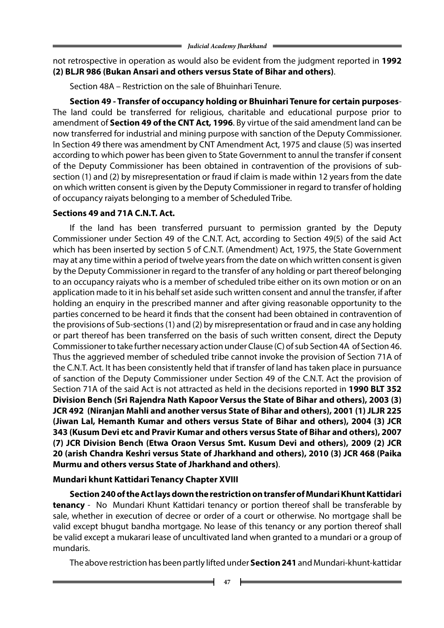not retrospective in operation as would also be evident from the judgment reported in **1992 (2) BLJR 986 (Bukan Ansari and others versus State of Bihar and others)**.

Section 48A – Restriction on the sale of Bhuinhari Tenure.

 **Section 49 - Transfer of occupancy holding or Bhuinhari Tenure for certain purposes**-The land could be transferred for religious, charitable and educational purpose prior to amendment of **Section 49 of the CNT Act, 1996**. By virtue of the said amendment land can be now transferred for industrial and mining purpose with sanction of the Deputy Commissioner. In Section 49 there was amendment by CNT Amendment Act, 1975 and clause (5) was inserted according to which power has been given to State Government to annul the transfer if consent of the Deputy Commissioner has been obtained in contravention of the provisions of subsection (1) and (2) by misrepresentation or fraud if claim is made within 12 years from the date on which written consent is given by the Deputy Commissioner in regard to transfer of holding of occupancy raiyats belonging to a member of Scheduled Tribe.

#### **Sections 49 and 71A C.N.T. Act.**

If the land has been transferred pursuant to permission granted by the Deputy Commissioner under Section 49 of the C.N.T. Act, according to Section 49(5) of the said Act which has been inserted by section 5 of C.N.T. (Amendment) Act, 1975, the State Government may at any time within a period of twelve years from the date on which written consent is given by the Deputy Commissioner in regard to the transfer of any holding or part thereof belonging to an occupancy raiyats who is a member of scheduled tribe either on its own motion or on an application made to it in his behalf set aside such written consent and annul the transfer, if after holding an enquiry in the prescribed manner and after giving reasonable opportunity to the parties concerned to be heard it finds that the consent had been obtained in contravention of the provisions of Sub-sections (1) and (2) by misrepresentation or fraud and in case any holding or part thereof has been transferred on the basis of such written consent, direct the Deputy Commissioner to take further necessary action under Clause (C) of sub Section 4A of Section 46. Thus the aggrieved member of scheduled tribe cannot invoke the provision of Section 71A of the C.N.T. Act. It has been consistently held that if transfer of land has taken place in pursuance of sanction of the Deputy Commissioner under Section 49 of the C.N.T. Act the provision of Section 71A of the said Act is not attracted as held in the decisions reported in **1990 BLT 352 Division Bench (Sri Rajendra Nath Kapoor Versus the State of Bihar and others), 2003 (3) JCR 492 (Niranjan Mahli and another versus State of Bihar and others), 2001 (1) JLJR 225 (Jiwan Lal, Hemanth Kumar and others versus State of Bihar and others), 2004 (3) JCR 343 (Kusum Devi etc and Pravir Kumar and others versus State of Bihar and others), 2007 (7) JCR Division Bench (Etwa Oraon Versus Smt. Kusum Devi and others), 2009 (2) JCR 20 (arish Chandra Keshri versus State of Jharkhand and others), 2010 (3) JCR 468 (Paika Murmu and others versus State of Jharkhand and others)**.

## **Mundari khunt Kattidari Tenancy Chapter XVIII**

 **Section 240 of the Act lays down the restriction on transfer of Mundari Khunt Kattidari tenancy** - No Mundari Khunt Kattidari tenancy or portion thereof shall be transferable by sale, whether in execution of decree or order of a court or otherwise. No mortgage shall be valid except bhugut bandha mortgage. No lease of this tenancy or any portion thereof shall be valid except a mukarari lease of uncultivated land when granted to a mundari or a group of mundaris.

The above restriction has been partly lifted under **Section 241** and Mundari-khunt-kattidar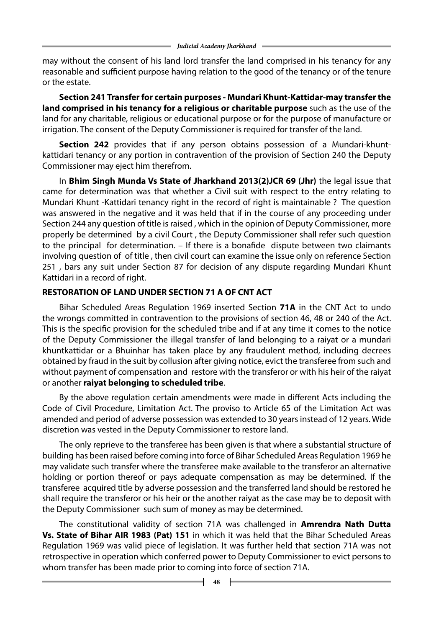may without the consent of his land lord transfer the land comprised in his tenancy for any reasonable and sufficient purpose having relation to the good of the tenancy or of the tenure or the estate.

 **Section 241 Transfer for certain purposes - Mundari Khunt-Kattidar-may transfer the land comprised in his tenancy for a religious or charitable purpose** such as the use of the land for any charitable, religious or educational purpose or for the purpose of manufacture or irrigation. The consent of the Deputy Commissioner is required for transfer of the land.

 **Section 242** provides that if any person obtains possession of a Mundari-khuntkattidari tenancy or any portion in contravention of the provision of Section 240 the Deputy Commissioner may eject him therefrom.

In **Bhim Singh Munda Vs State of Jharkhand 2013(2)JCR 69 (Jhr)** the legal issue that came for determination was that whether a Civil suit with respect to the entry relating to Mundari Khunt -Kattidari tenancy right in the record of right is maintainable ? The question was answered in the negative and it was held that if in the course of any proceeding under Section 244 any question of title is raised , which in the opinion of Deputy Commissioner, more properly be determined by a civil Court , the Deputy Commissioner shall refer such question to the principal for determination. – If there is a bonafide dispute between two claimants involving question of of title , then civil court can examine the issue only on reference Section 251 , bars any suit under Section 87 for decision of any dispute regarding Mundari Khunt Kattidari in a record of right.

#### **RESTORATION OF LAND UNDER SECTION 71 A OF CNT ACT**

Bihar Scheduled Areas Regulation 1969 inserted Section **71A** in the CNT Act to undo the wrongs committed in contravention to the provisions of section 46, 48 or 240 of the Act. This is the specific provision for the scheduled tribe and if at any time it comes to the notice of the Deputy Commissioner the illegal transfer of land belonging to a raiyat or a mundari khuntkattidar or a Bhuinhar has taken place by any fraudulent method, including decrees obtained by fraud in the suit by collusion after giving notice, evict the transferee from such and without payment of compensation and restore with the transferor or with his heir of the raiyat or another **raiyat belonging to scheduled tribe**.

By the above regulation certain amendments were made in different Acts including the Code of Civil Procedure, Limitation Act. The proviso to Article 65 of the Limitation Act was amended and period of adverse possession was extended to 30 years instead of 12 years. Wide discretion was vested in the Deputy Commissioner to restore land.

The only reprieve to the transferee has been given is that where a substantial structure of building has been raised before coming into force of Bihar Scheduled Areas Regulation 1969 he may validate such transfer where the transferee make available to the transferor an alternative holding or portion thereof or pays adequate compensation as may be determined. If the transferee acquired title by adverse possession and the transferred land should be restored he shall require the transferor or his heir or the another raiyat as the case may be to deposit with the Deputy Commissioner such sum of money as may be determined.

The constitutional validity of section 71A was challenged in **Amrendra Nath Dutta Vs. State of Bihar AIR 1983 (Pat) 151** in which it was held that the Bihar Scheduled Areas Regulation 1969 was valid piece of legislation. It was further held that section 71A was not retrospective in operation which conferred power to Deputy Commissioner to evict persons to whom transfer has been made prior to coming into force of section 71A.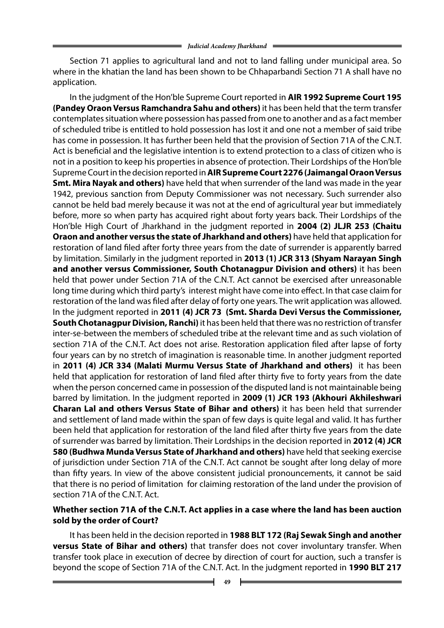Section 71 applies to agricultural land and not to land falling under municipal area. So where in the khatian the land has been shown to be Chhaparbandi Section 71 A shall have no application.

In the judgment of the Hon'ble Supreme Court reported in **AIR 1992 Supreme Court 195 (Pandey Oraon Versus Ramchandra Sahu and others)** it has been held that the term transfer contemplates situation where possession has passed from one to another and as a fact member of scheduled tribe is entitled to hold possession has lost it and one not a member of said tribe has come in possession. It has further been held that the provision of Section 71A of the C.N.T. Act is beneficial and the legislative intention is to extend protection to a class of citizen who is not in a position to keep his properties in absence of protection. Their Lordships of the Hon'ble Supreme Court in the decision reported in **AIRSupreme Court 2276 (Jaimangal Oraon Versus Smt. Mira Nayak and others)** have held that when surrender of the land was made in the year 1942, previous sanction from Deputy Commissioner was not necessary. Such surrender also cannot be held bad merely because it was not at the end of agricultural year but immediately before, more so when party has acquired right about forty years back. Their Lordships of the Hon'ble High Court of Jharkhand in the judgment reported in **2004 (2) JLJR 253 (Chaitu Oraon and another versus the state of Jharkhand and others)** have held that application for restoration of land filed after forty three years from the date of surrender is apparently barred by limitation. Similarly in the judgment reported in **2013 (1) JCR 313 (Shyam Narayan Singh and another versus Commissioner, South Chotanagpur Division and others)** it has been held that power under Section 71A of the C.N.T. Act cannot be exercised after unreasonable long time during which third party's interest might have come into effect. In that case claim for restoration of the land was filed after delay of forty one years. The writ application was allowed. In the judgment reported in **2011 (4) JCR 73 (Smt. Sharda Devi Versus the Commissioner, South Chotanagpur Division, Ranchi)** it has been held that there was no restriction of transfer inter-se-between the members of scheduled tribe at the relevant time and as such violation of section 71A of the C.N.T. Act does not arise. Restoration application filed after lapse of forty four years can by no stretch of imagination is reasonable time. In another judgment reported in **2011 (4) JCR 334 (Malati Murmu Versus State of Jharkhand and others)** it has been held that application for restoration of land filed after thirty five to forty years from the date when the person concerned came in possession of the disputed land is not maintainable being barred by limitation. In the judgment reported in **2009 (1) JCR 193 (Akhouri Akhileshwari Charan Lal and others Versus State of Bihar and others)** it has been held that surrender and settlement of land made within the span of few days is quite legal and valid. It has further been held that application for restoration of the land filed after thirty five years from the date of surrender was barred by limitation. Their Lordships in the decision reported in **2012 (4) JCR 580 (Budhwa Munda Versus State of Jharkhand and others)** have held that seeking exercise of jurisdiction under Section 71A of the C.N.T. Act cannot be sought after long delay of more than fifty years. In view of the above consistent judicial pronouncements, it cannot be said that there is no period of limitation for claiming restoration of the land under the provision of section 71A of the C.N.T. Act.

#### **Whether section 71A of the C.N.T. Act applies in a case where the land has been auction sold by the order of Court?**

It has been held in the decision reported in **1988 BLT 172 (Raj Sewak Singh and another versus State of Bihar and others)** that transfer does not cover involuntary transfer. When transfer took place in execution of decree by direction of court for auction, such a transfer is beyond the scope of Section 71A of the C.N.T. Act. In the judgment reported in **1990 BLT 217**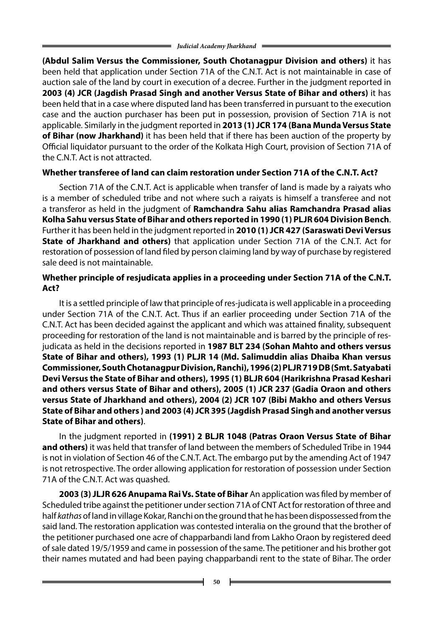**(Abdul Salim Versus the Commissioner, South Chotanagpur Division and others)** it has been held that application under Section 71A of the C.N.T. Act is not maintainable in case of auction sale of the land by court in execution of a decree. Further in the judgment reported in **2003 (4) JCR (Jagdish Prasad Singh and another Versus State of Bihar and others)** it has been held that in a case where disputed land has been transferred in pursuant to the execution case and the auction purchaser has been put in possession, provision of Section 71A is not applicable. Similarly in the judgment reported in **2013 (1) JCR 174 (Bana Munda Versus State of Bihar (now Jharkhand)** it has been held that if there has been auction of the property by Official liquidator pursuant to the order of the Kolkata High Court, provision of Section 71A of the C.N.T. Act is not attracted.

## **Whether transferee of land can claim restoration under Section 71A of the C.N.T. Act?**

Section 71A of the C.N.T. Act is applicable when transfer of land is made by a raiyats who is a member of scheduled tribe and not where such a raiyats is himself a transferee and not a transferor as held in the judgment of **Ramchandra Sahu alias Ramchandra Prasad alias Kolha Sahu versus State of Bihar and others reported in 1990 (1) PLJR 604 Division Bench**. Further it has been held in the judgment reported in **2010 (1) JCR 427 (Saraswati Devi Versus State of Jharkhand and others)** that application under Section 71A of the C.N.T. Act for restoration of possession of land filed by person claiming land by way of purchase by registered sale deed is not maintainable.

## **Whether principle of resjudicata applies in a proceeding under Section 71A of the C.N.T. Act?**

It is a settled principle of law that principle of res-judicata is well applicable in a proceeding under Section 71A of the C.N.T. Act. Thus if an earlier proceeding under Section 71A of the C.N.T. Act has been decided against the applicant and which was attained finality, subsequent proceeding for restoration of the land is not maintainable and is barred by the principle of resjudicata as held in the decisions reported in **1987 BLT 234 (Sohan Mahto and others versus State of Bihar and others), 1993 (1) PLJR 14 (Md. Salimuddin alias Dhaiba Khan versus Commissioner, South Chotanagpur Division, Ranchi), 1996 (2) PLJR 719 DB (Smt. Satyabati Devi Versus the State of Bihar and others), 1995 (1) BLJR 604 (Harikrishna Prasad Keshari and others versus State of Bihar and others), 2005 (1) JCR 237 (Gadia Oraon and others versus State of Jharkhand and others), 2004 (2) JCR 107 (Bibi Makho and others Versus State of Bihar and others ) and 2003 (4) JCR 395 (Jagdish Prasad Singh and another versus State of Bihar and others)**.

In the judgment reported in **(1991) 2 BLJR 1048 (Patras Oraon Versus State of Bihar and others)** it was held that transfer of land between the members of Scheduled Tribe in 1944 is not in violation of Section 46 of the C.N.T. Act. The embargo put by the amending Act of 1947 is not retrospective. The order allowing application for restoration of possession under Section 71A of the C.N.T. Act was quashed.

**2003 (3) JLJR 626 Anupama Rai Vs. State of Bihar** An application was filed by member of Scheduled tribe against the petitioner under section 71A of CNT Act for restoration of three and half *kathas* of land in village Kokar, Ranchi on the ground that he has been dispossessed from the said land. The restoration application was contested interalia on the ground that the brother of the petitioner purchased one acre of chapparbandi land from Lakho Oraon by registered deed of sale dated 19/5/1959 and came in possession of the same. The petitioner and his brother got their names mutated and had been paying chapparbandi rent to the state of Bihar. The order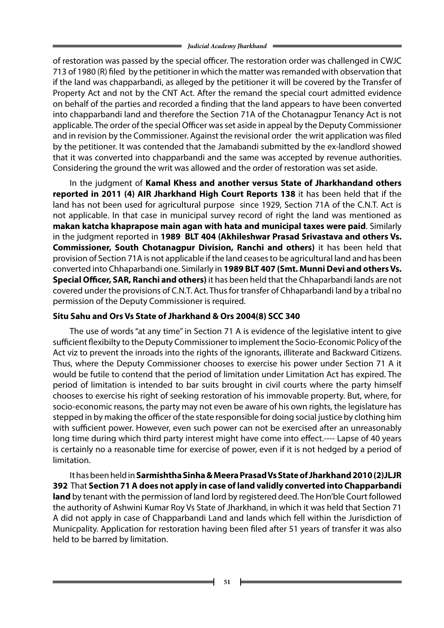of restoration was passed by the special officer. The restoration order was challenged in CWJC 713 of 1980 (R) filed by the petitioner in which the matter was remanded with observation that if the land was chapparbandi, as alleged by the petitioner it will be covered by the Transfer of Property Act and not by the CNT Act. After the remand the special court admitted evidence on behalf of the parties and recorded a finding that the land appears to have been converted into chapparbandi land and therefore the Section 71A of the Chotanagpur Tenancy Act is not applicable. The order of the special Officer was set aside in appeal by the Deputy Commissioner and in revision by the Commissioner. Against the revisional order the writ application was filed by the petitioner. It was contended that the Jamabandi submitted by the ex-landlord showed that it was converted into chapparbandi and the same was accepted by revenue authorities. Considering the ground the writ was allowed and the order of restoration was set aside.

In the judgment of **Kamal Khess and another versus State of Jharkhandand others reported in 2011 (4) AIR Jharkhand High Court Reports 138** it has been held that if the land has not been used for agricultural purpose since 1929, Section 71A of the C.N.T. Act is not applicable. In that case in municipal survey record of right the land was mentioned as **makan katcha khaprapose main agan with hata and municipal taxes were paid**. Similarly in the judgment reported in **1989 BLT 404 (Akhileshwar Prasad Srivastava and others Vs. Commissioner, South Chotanagpur Division, Ranchi and others)** it has been held that provision of Section 71A is not applicable if the land ceases to be agricultural land and has been converted into Chhaparbandi one. Similarly in **1989 BLT 407 (Smt. Munni Devi and others Vs. Special Officer, SAR, Ranchi and others)** it has been held that the Chhaparbandi lands are not covered under the provisions of C.N.T. Act. Thus for transfer of Chhaparbandi land by a tribal no permission of the Deputy Commissioner is required.

#### **Situ Sahu and Ors Vs State of Jharkhand & Ors 2004(8) SCC 340**

The use of words "at any time" in Section 71 A is evidence of the legislative intent to give sufficient flexibilty to the Deputy Commissioner to implement the Socio-Economic Policy of the Act viz to prevent the inroads into the rights of the ignorants, illiterate and Backward Citizens. Thus, where the Deputy Commissioner chooses to exercise his power under Section 71 A it would be futile to contend that the period of limitation under Limitation Act has expired. The period of limitation is intended to bar suits brought in civil courts where the party himself chooses to exercise his right of seeking restoration of his immovable property. But, where, for socio-economic reasons, the party may not even be aware of his own rights, the legislature has stepped in by making the officer of the state responsible for doing social justice by clothing him with sufficient power. However, even such power can not be exercised after an unreasonably long time during which third party interest might have come into effect.---- Lapse of 40 years is certainly no a reasonable time for exercise of power, even if it is not hedged by a period of limitation.

It has been held in **Sarmishtha Sinha & Meera Prasad Vs State of Jharkhand 2010 (2)JLJR 392** That **Section 71 A does not apply in case of land validly converted into Chapparbandi land** by tenant with the permission of land lord by registered deed. The Hon'ble Court followed the authority of Ashwini Kumar Roy Vs State of Jharkhand, in which it was held that Section 71 A did not apply in case of Chapparbandi Land and lands which fell within the Jurisdiction of Municpality. Application for restoration having been filed after 51 years of transfer it was also held to be barred by limitation.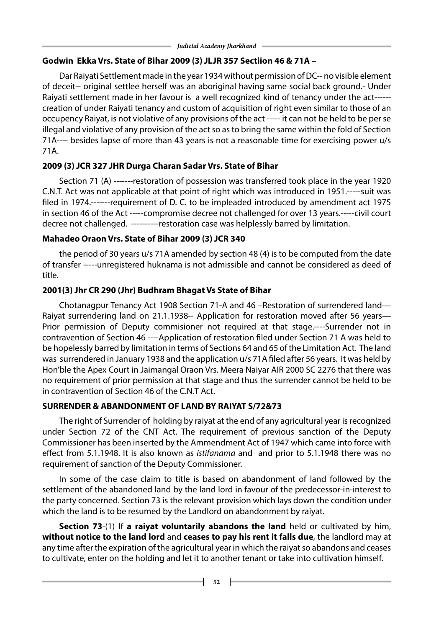# **Godwin Ekka Vrs. State of Bihar 2009 (3) JLJR 357 Sectiion 46 & 71A –**

Dar Raiyati Settlement made in the year 1934 without permission of DC-- no visible element of deceit-- original settlee herself was an aboriginal having same social back ground.- Under Raiyati settlement made in her favour is a well recognized kind of tenancy under the act----- creation of under Raiyati tenancy and custom of acquisition of right even similar to those of an occupency Raiyat, is not violative of any provisions of the act ----- it can not be held to be per se illegal and violative of any provision of the act so as to bring the same within the fold of Section 71A---- besides lapse of more than 43 years is not a reasonable time for exercising power u/s 71A.

# **2009 (3) JCR 327 JHR Durga Charan Sadar Vrs. State of Bihar**

Section 71 (A) -------restoration of possession was transferred took place in the year 1920 C.N.T. Act was not applicable at that point of right which was introduced in 1951.-----suit was filed in 1974.-------requirement of D. C. to be impleaded introduced by amendment act 1975 in section 46 of the Act -----compromise decree not challenged for over 13 years.-----civil court decree not challenged. ----------restoration case was helplessly barred by limitation.

# **Mahadeo Oraon Vrs. State of Bihar 2009 (3) JCR 340**

the period of 30 years u/s 71A amended by section 48 (4) is to be computed from the date of transfer -----unregistered huknama is not admissible and cannot be considered as deed of title.

# **2001(3) Jhr CR 290 (Jhr) Budhram Bhagat Vs State of Bihar**

Chotanagpur Tenancy Act 1908 Section 71-A and 46 –Restoration of surrendered land— Raiyat surrendering land on 21.1.1938-- Application for restoration moved after 56 years— Prior permission of Deputy commisioner not required at that stage.----Surrender not in contravention of Section 46 ----Application of restoration filed under Section 71 A was held to be hopelessly barred by limitation in terms of Sections 64 and 65 of the Limitation Act. The land was surrendered in January 1938 and the application u/s 71A filed after 56 years. It was held by Hon'ble the Apex Court in Jaimangal Oraon Vrs. Meera Naiyar AIR 2000 SC 2276 that there was no requirement of prior permission at that stage and thus the surrender cannot be held to be in contravention of Section 46 of the C.N.T Act.

# **SURRENDER & ABANDONMENT OF LAND BY RAIYAT S/72&73**

The right of Surrender of holding by raiyat at the end of any agricultural year is recognized under Section 72 of the CNT Act. The requirement of previous sanction of the Deputy Commissioner has been inserted by the Ammendment Act of 1947 which came into force with effect from 5.1.1948. It is also known as *istifanama* and and prior to 5.1.1948 there was no requirement of sanction of the Deputy Commissioner.

In some of the case claim to title is based on abandonment of land followed by the settlement of the abandoned land by the land lord in favour of the predecessor-in-interest to the party concerned. Section 73 is the relevant provision which lays down the condition under which the land is to be resumed by the Landlord on abandonment by raiyat.

 **Section 73**-(1) If **a raiyat voluntarily abandons the land** held or cultivated by him, **without notice to the land lord** and **ceases to pay his rent it falls due**, the landlord may at any time after the expiration of the agricultural year in which the raiyat so abandons and ceases to cultivate, enter on the holding and let it to another tenant or take into cultivation himself.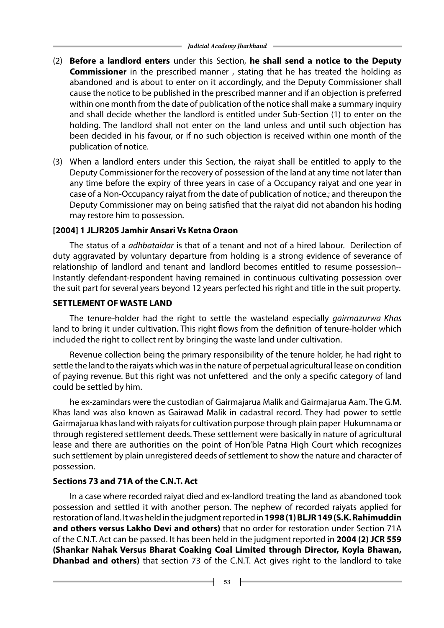- (2) **Before a landlord enters** under this Section, **he shall send a notice to the Deputy Commissioner** in the prescribed manner , stating that he has treated the holding as abandoned and is about to enter on it accordingly, and the Deputy Commissioner shall cause the notice to be published in the prescribed manner and if an objection is preferred within one month from the date of publication of the notice shall make a summary inquiry and shall decide whether the landlord is entitled under Sub-Section (1) to enter on the holding. The landlord shall not enter on the land unless and until such objection has been decided in his favour, or if no such objection is received within one month of the publication of notice.
- (3) When a landlord enters under this Section, the raiyat shall be entitled to apply to the Deputy Commissioner for the recovery of possession of the land at any time not later than any time before the expiry of three years in case of a Occupancy raiyat and one year in case of a Non-Occupancy raiyat from the date of publication of notice.; and thereupon the Deputy Commissioner may on being satisfied that the raiyat did not abandon his hoding may restore him to possession.

### **[2004] 1 JLJR205 Jamhir Ansari Vs Ketna Oraon**

The status of a *adhbataidar* is that of a tenant and not of a hired labour. Derilection of duty aggravated by voluntary departure from holding is a strong evidence of severance of relationship of landlord and tenant and landlord becomes entitled to resume possession-- Instantly defendant-respondent having remained in continuous cultivating possession over the suit part for several years beyond 12 years perfected his right and title in the suit property.

#### **SETTLEMENT OF WASTE LAND**

The tenure-holder had the right to settle the wasteland especially *gairmazurwa Khas* land to bring it under cultivation. This right flows from the definition of tenure-holder which included the right to collect rent by bringing the waste land under cultivation.

Revenue collection being the primary responsibility of the tenure holder, he had right to settle the land to the raiyats which was in the nature of perpetual agricultural lease on condition of paying revenue. But this right was not unfettered and the only a specific category of land could be settled by him.

he ex-zamindars were the custodian of Gairmajarua Malik and Gairmajarua Aam. The G.M. Khas land was also known as Gairawad Malik in cadastral record. They had power to settle Gairmajarua khas land with raiyats for cultivation purpose through plain paper Hukumnama or through registered settlement deeds. These settlement were basically in nature of agricultural lease and there are authorities on the point of Hon'ble Patna High Court which recognizes such settlement by plain unregistered deeds of settlement to show the nature and character of possession.

## **Sections 73 and 71A of the C.N.T. Act**

In a case where recorded raiyat died and ex-landlord treating the land as abandoned took possession and settled it with another person. The nephew of recorded raiyats applied for restoration of land. It was held in the judgment reported in **1998 (1) BLJR 149 (S.K. Rahimuddin and others versus Lakho Devi and others)** that no order for restoration under Section 71A of the C.N.T. Act can be passed. It has been held in the judgment reported in **2004 (2) JCR 559 (Shankar Nahak Versus Bharat Coaking Coal Limited through Director, Koyla Bhawan, Dhanbad and others)** that section 73 of the C.N.T. Act gives right to the landlord to take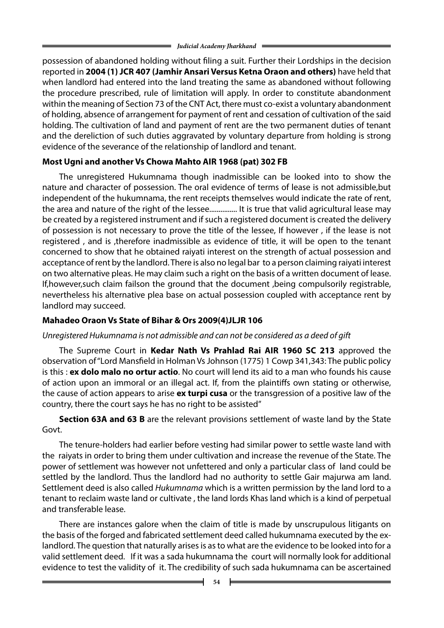possession of abandoned holding without filing a suit. Further their Lordships in the decision reported in **2004 (1) JCR 407 (Jamhir Ansari Versus Ketna Oraon and others)** have held that when landlord had entered into the land treating the same as abandoned without following the procedure prescribed, rule of limitation will apply. In order to constitute abandonment within the meaning of Section 73 of the CNT Act, there must co-exist a voluntary abandonment of holding, absence of arrangement for payment of rent and cessation of cultivation of the said holding. The cultivation of land and payment of rent are the two permanent duties of tenant and the dereliction of such duties aggravated by voluntary departure from holding is strong evidence of the severance of the relationship of landlord and tenant.

## **Most Ugni and another Vs Chowa Mahto AIR 1968 (pat) 302 FB**

The unregistered Hukumnama though inadmissible can be looked into to show the nature and character of possession. The oral evidence of terms of lease is not admissible,but independent of the hukumnama, the rent receipts themselves would indicate the rate of rent, the area and nature of the right of the lessee............... It is true that valid agricultural lease may be created by a registered instrument and if such a registered document is created the delivery of possession is not necessary to prove the title of the lessee, If however , if the lease is not registered , and is ,therefore inadmissible as evidence of title, it will be open to the tenant concerned to show that he obtained raiyati interest on the strength of actual possession and acceptance of rent by the landlord. There is also no legal bar to a person claiming raiyati interest on two alternative pleas. He may claim such a right on the basis of a written document of lease. If,however,such claim failson the ground that the document ,being compulsorily registrable, nevertheless his alternative plea base on actual possession coupled with acceptance rent by landlord may succeed.

# **Mahadeo Oraon Vs State of Bihar & Ors 2009(4)JLJR 106**

## *Unregistered Hukumnama is not admissible and can not be considered as a deed of gift*

The Supreme Court in **Kedar Nath Vs Prahlad Rai AIR 1960 SC 213** approved the observation of "Lord Mansfield in Holman Vs Johnson (1775) 1 Cowp 341,343: The public policy is this : **ex dolo malo no ortur actio**. No court will lend its aid to a man who founds his cause of action upon an immoral or an illegal act. If, from the plaintiffs own stating or otherwise, the cause of action appears to arise **ex turpi cusa** or the transgression of a positive law of the country, there the court says he has no right to be assisted"

**Section 63A and 63 B** are the relevant provisions settlement of waste land by the State Govt.

The tenure-holders had earlier before vesting had similar power to settle waste land with the raiyats in order to bring them under cultivation and increase the revenue of the State. The power of settlement was however not unfettered and only a particular class of land could be settled by the landlord. Thus the landlord had no authority to settle Gair majurwa am land. Settlement deed is also called *Hukumnama* which is a written permission by the land lord to a tenant to reclaim waste land or cultivate , the land lords Khas land which is a kind of perpetual and transferable lease.

There are instances galore when the claim of title is made by unscrupulous litigants on the basis of the forged and fabricated settlement deed called hukumnama executed by the exlandlord. The question that naturally arises is as to what are the evidence to be looked into for a valid settlement deed. If it was a sada hukumnama the court will normally look for additional evidence to test the validity of it. The credibility of such sada hukumnama can be ascertained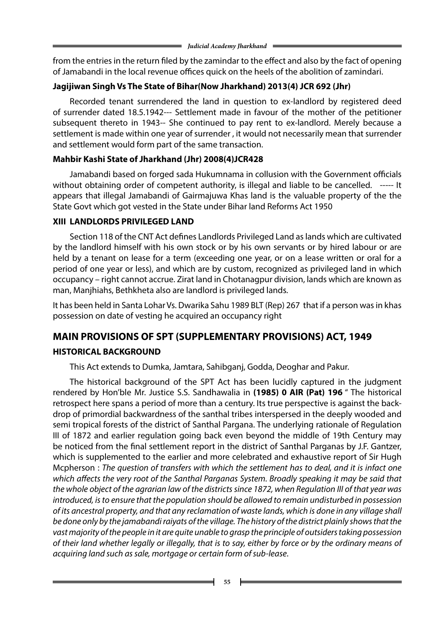from the entries in the return filed by the zamindar to the effect and also by the fact of opening of Jamabandi in the local revenue offices quick on the heels of the abolition of zamindari.

# **Jagijiwan Singh Vs The State of Bihar(Now Jharkhand) 2013(4) JCR 692 (Jhr)**

Recorded tenant surrendered the land in question to ex-landlord by registered deed of surrender dated 18.5.1942--- Settlement made in favour of the mother of the petitioner subsequent thereto in 1943-- She continued to pay rent to ex-landlord. Merely because a settlement is made within one year of surrender , it would not necessarily mean that surrender and settlement would form part of the same transaction.

# **Mahbir Kashi State of Jharkhand (Jhr) 2008(4)JCR428**

Jamabandi based on forged sada Hukumnama in collusion with the Government officials without obtaining order of competent authority, is illegal and liable to be cancelled. ----- It appears that illegal Jamabandi of Gairmajuwa Khas land is the valuable property of the the State Govt which got vested in the State under Bihar land Reforms Act 1950

# **XIII LANDLORDS PRIVILEGED LAND**

Section 118 of the CNT Act defines Landlords Privileged Land as lands which are cultivated by the landlord himself with his own stock or by his own servants or by hired labour or are held by a tenant on lease for a term (exceeding one year, or on a lease written or oral for a period of one year or less), and which are by custom, recognized as privileged land in which occupancy – right cannot accrue. Zirat land in Chotanagpur division, lands which are known as man, Manjhiahs, Bethkheta also are landlord is privileged lands.

It has been held in Santa Lohar Vs. Dwarika Sahu 1989 BLT (Rep) 267 that if a person was in khas possession on date of vesting he acquired an occupancy right

# **MAIN PROVISIONS OF SPT (SUPPLEMENTARY PROVISIONS) ACT, 1949**

# **HISTORICAL BACKGROUND**

This Act extends to Dumka, Jamtara, Sahibganj, Godda, Deoghar and Pakur.

The historical background of the SPT Act has been lucidly captured in the judgment rendered by Hon'ble Mr. Justice S.S. Sandhawalia in **(1985) 0 AIR (Pat) 196** " The historical retrospect here spans a period of more than a century. Its true perspective is against the backdrop of primordial backwardness of the santhal tribes interspersed in the deeply wooded and semi tropical forests of the district of Santhal Pargana. The underlying rationale of Regulation III of 1872 and earlier regulation going back even beyond the middle of 19th Century may be noticed from the final settlement report in the district of Santhal Parganas by J.F. Gantzer, which is supplemented to the earlier and more celebrated and exhaustive report of Sir Hugh Mcpherson : *The question of transfers with which the settlement has to deal, and it is infact one which affects the very root of the Santhal Parganas System. Broadly speaking it may be said that the whole object of the agrarian law of the districts since 1872, when Regulation III of that year was introduced, is to ensure that the population should be allowed to remain undisturbed in possession of its ancestral property, and that any reclamation of waste lands, which is done in any village shall be done only by the jamabandi raiyats of the village. The history of the district plainly shows that the vast majority of the people in it are quite unable to grasp the principle of outsiders taking possession of their land whether legally or illegally, that is to say, either by force or by the ordinary means of acquiring land such as sale, mortgage or certain form of sub-lease*.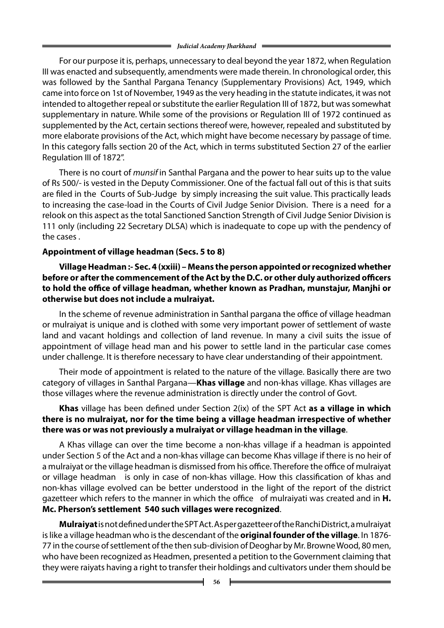For our purpose it is, perhaps, unnecessary to deal beyond the year 1872, when Regulation III was enacted and subsequently, amendments were made therein. In chronological order, this was followed by the Santhal Pargana Tenancy (Supplementary Provisions) Act, 1949, which came into force on 1st of November, 1949 as the very heading in the statute indicates, it was not intended to altogether repeal or substitute the earlier Regulation III of 1872, but was somewhat supplementary in nature. While some of the provisions or Regulation III of 1972 continued as supplemented by the Act, certain sections thereof were, however, repealed and substituted by more elaborate provisions of the Act, which might have become necessary by passage of time. In this category falls section 20 of the Act, which in terms substituted Section 27 of the earlier Regulation III of 1872".

There is no court of *munsif* in Santhal Pargana and the power to hear suits up to the value of Rs 500/- is vested in the Deputy Commissioner. One of the factual fall out of this is that suits are filed in the Courts of Sub-Judge by simply increasing the suit value. This practically leads to increasing the case-load in the Courts of Civil Judge Senior Division. There is a need for a relook on this aspect as the total Sanctioned Sanction Strength of Civil Judge Senior Division is 111 only (including 22 Secretary DLSA) which is inadequate to cope up with the pendency of the cases .

## **Appointment of village headman (Secs. 5 to 8)**

 **Village Headman :- Sec. 4 (xxiii) – Means the person appointed or recognized whether before or after the commencement of the Act by the D.C. or other duly authorized officers to hold the office of village headman, whether known as Pradhan, munstajur, Manjhi or otherwise but does not include a mulraiyat.**

In the scheme of revenue administration in Santhal pargana the office of village headman or mulraiyat is unique and is clothed with some very important power of settlement of waste land and vacant holdings and collection of land revenue. In many a civil suits the issue of appointment of village head man and his power to settle land in the particular case comes under challenge. It is therefore necessary to have clear understanding of their appointment.

Their mode of appointment is related to the nature of the village. Basically there are two category of villages in Santhal Pargana—**Khas village** and non-khas village. Khas villages are those villages where the revenue administration is directly under the control of Govt.

### **Khas** village has been defined under Section 2(ix) of the SPT Act **as a village in which there is no mulraiyat, nor for the time being a village headman irrespective of whether there was or was not previously a mulraiyat or village headman in the village**.

A Khas village can over the time become a non-khas village if a headman is appointed under Section 5 of the Act and a non-khas village can become Khas village if there is no heir of a mulraiyat or the village headman is dismissed from his office. Therefore the office of mulraiyat or village headman is only in case of non-khas village. How this classification of khas and non-khas village evolved can be better understood in the light of the report of the district gazetteer which refers to the manner in which the office of mulraiyati was created and in **H. Mc. Pherson's settlement 540 such villages were recognized**.

**Mulraiyat** is not defined under the SPT Act. As per gazetteer of the Ranchi District, a mulraiyat is like a village headman who is the descendant of the **original founder of the village**. In 1876- 77 in the course of settlement of the then sub-division of Deoghar by Mr. Browne Wood, 80 men, who have been recognized as Headmen, presented a petition to the Government claiming that they were raiyats having a right to transfer their holdings and cultivators under them should be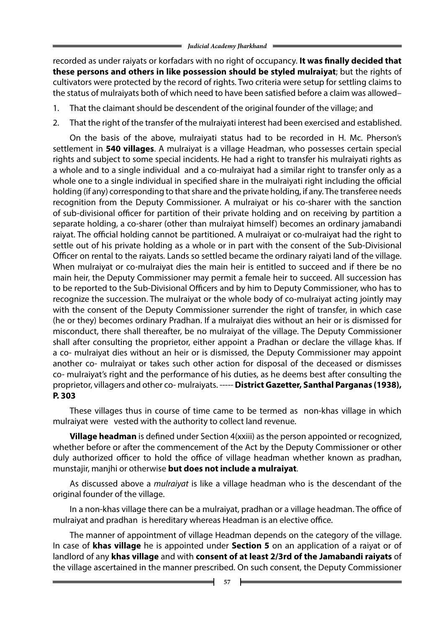recorded as under raiyats or korfadars with no right of occupancy. **It was finally decided that these persons and others in like possession should be styled mulraiyat**; but the rights of cultivators were protected by the record of rights. Two criteria were setup for settling claims to the status of mulraiyats both of which need to have been satisfied before a claim was allowed–

- 1. That the claimant should be descendent of the original founder of the village; and
- 2. That the right of the transfer of the mulraiyati interest had been exercised and established.

On the basis of the above, mulraiyati status had to be recorded in H. Mc. Pherson's settlement in **540 villages**. A mulraiyat is a village Headman, who possesses certain special rights and subject to some special incidents. He had a right to transfer his mulraiyati rights as a whole and to a single individual and a co-mulraiyat had a similar right to transfer only as a whole one to a single individual in specified share in the mulraiyati right including the official holding (if any) corresponding to that share and the private holding, if any. The transferee needs recognition from the Deputy Commissioner. A mulraiyat or his co-sharer with the sanction of sub-divisional officer for partition of their private holding and on receiving by partition a separate holding, a co-sharer (other than mulraiyat himself) becomes an ordinary jamabandi raiyat. The official holding cannot be partitioned. A mulraiyat or co-mulraiyat had the right to settle out of his private holding as a whole or in part with the consent of the Sub-Divisional Officer on rental to the raiyats. Lands so settled became the ordinary raiyati land of the village. When mulraiyat or co-mulraiyat dies the main heir is entitled to succeed and if there be no main heir, the Deputy Commissioner may permit a female heir to succeed. All succession has to be reported to the Sub-Divisional Officers and by him to Deputy Commissioner, who has to recognize the succession. The mulraiyat or the whole body of co-mulraiyat acting jointly may with the consent of the Deputy Commissioner surrender the right of transfer, in which case (he or they) becomes ordinary Pradhan. If a mulraiyat dies without an heir or is dismissed for misconduct, there shall thereafter, be no mulraiyat of the village. The Deputy Commissioner shall after consulting the proprietor, either appoint a Pradhan or declare the village khas. If a co- mulraiyat dies without an heir or is dismissed, the Deputy Commissioner may appoint another co- mulraiyat or takes such other action for disposal of the deceased or dismisses co- mulraiyat's right and the performance of his duties, as he deems best after consulting the proprietor, villagers and other co- mulraiyats. ----- **District Gazetter, Santhal Parganas (1938), P. 303**

These villages thus in course of time came to be termed as non-khas village in which mulraiyat were vested with the authority to collect land revenue.

 **Village headman** is defined under Section 4(xxiii) as the person appointed or recognized, whether before or after the commencement of the Act by the Deputy Commissioner or other duly authorized officer to hold the office of village headman whether known as pradhan, munstajir, manjhi or otherwise **but does not include a mulraiyat**.

As discussed above a *mulraiyat* is like a village headman who is the descendant of the original founder of the village.

In a non-khas village there can be a mulraiyat, pradhan or a village headman. The office of mulraiyat and pradhan is hereditary whereas Headman is an elective office.

The manner of appointment of village Headman depends on the category of the village. In case of **khas village** he is appointed under **Section 5** on an application of a raiyat or of landlord of any **khas village** and with **consent of at least 2/3rd of the Jamabandi raiyats** of the village ascertained in the manner prescribed. On such consent, the Deputy Commissioner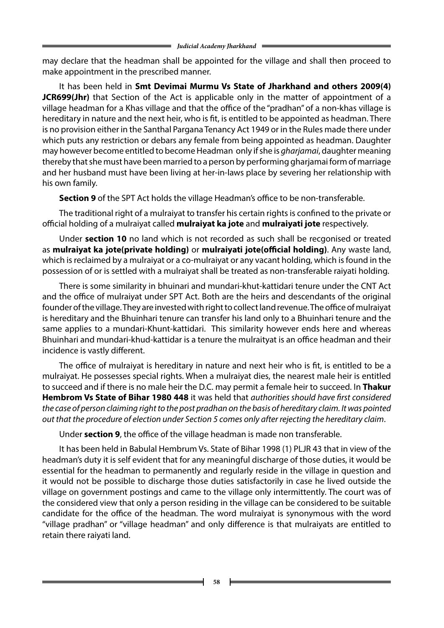may declare that the headman shall be appointed for the village and shall then proceed to make appointment in the prescribed manner.

It has been held in **Smt Devimai Murmu Vs State of Jharkhand and others 2009(4) JCR699(Jhr)** that Section of the Act is applicable only in the matter of appointment of a village headman for a Khas village and that the office of the "pradhan" of a non-khas village is hereditary in nature and the next heir, who is fit, is entitled to be appointed as headman. There is no provision either in the Santhal Pargana Tenancy Act 1949 or in the Rules made there under which puts any restriction or debars any female from being appointed as headman. Daughter may however become entitled to become Headman only if she is *gharjamai*, daughter meaning thereby that she must have been married to a person by performing gharjamai form of marriage and her husband must have been living at her-in-laws place by severing her relationship with his own family.

 **Section 9** of the SPT Act holds the village Headman's office to be non-transferable.

The traditional right of a mulraiyat to transfer his certain rights is confined to the private or official holding of a mulraiyat called **mulraiyat ka jote** and **mulraiyati jote** respectively.

Under **section 10** no land which is not recorded as such shall be recgonised or treated as **mulraiyat ka jote(private holding)** or **mulraiyati jote(official holding)**. Any waste land, which is reclaimed by a mulraiyat or a co-mulraiyat or any vacant holding, which is found in the possession of or is settled with a mulraiyat shall be treated as non-transferable raiyati holding.

There is some similarity in bhuinari and mundari-khut-kattidari tenure under the CNT Act and the office of mulraiyat under SPT Act. Both are the heirs and descendants of the original founder of the village. They are invested with right to collect land revenue. The office of mulraiyat is hereditary and the Bhuinhari tenure can transfer his land only to a Bhuinhari tenure and the same applies to a mundari-Khunt-kattidari. This similarity however ends here and whereas Bhuinhari and mundari-khud-kattidar is a tenure the mulraityat is an office headman and their incidence is vastly different.

The office of mulraiyat is hereditary in nature and next heir who is fit, is entitled to be a mulraiyat. He possesses special rights. When a mulraiyat dies, the nearest male heir is entitled to succeed and if there is no male heir the D.C. may permit a female heir to succeed. In **Thakur Hembrom Vs State of Bihar 1980 448** it was held that *authorities should have first considered the case of person claiming right to the post pradhan on the basis of hereditary claim. It was pointed out that the procedure of election under Section 5 comes only after rejecting the hereditary claim*.

Under **section 9**, the office of the village headman is made non transferable.

It has been held in Babulal Hembrum Vs. State of Bihar 1998 (1) PLJR 43 that in view of the headman's duty it is self evident that for any meaningful discharge of those duties, it would be essential for the headman to permanently and regularly reside in the village in question and it would not be possible to discharge those duties satisfactorily in case he lived outside the village on government postings and came to the village only intermittently. The court was of the considered view that only a person residing in the village can be considered to be suitable candidate for the office of the headman. The word mulraiyat is synonymous with the word "village pradhan" or "village headman" and only difference is that mulraiyats are entitled to retain there raiyati land.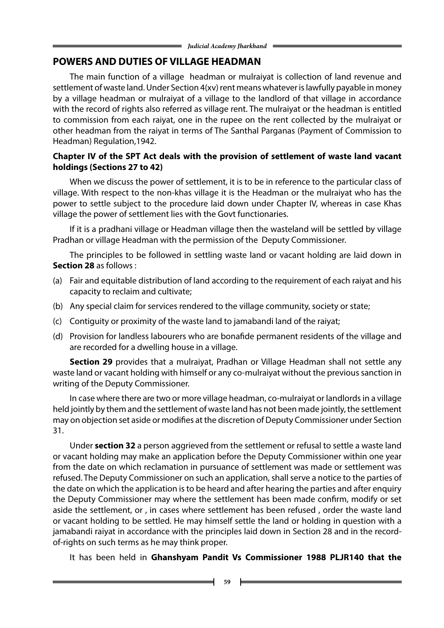## **POWERS AND DUTIES OF VILLAGE HEADMAN**

The main function of a village headman or mulraiyat is collection of land revenue and settlement of waste land. Under Section 4(xv) rent means whatever is lawfully payable in money by a village headman or mulraiyat of a village to the landlord of that village in accordance with the record of rights also referred as village rent. The mulraiyat or the headman is entitled to commission from each raiyat, one in the rupee on the rent collected by the mulraiyat or other headman from the raiyat in terms of The Santhal Parganas (Payment of Commission to Headman) Regulation,1942.

#### **Chapter IV of the SPT Act deals with the provision of settlement of waste land vacant holdings (Sections 27 to 42)**

When we discuss the power of settlement, it is to be in reference to the particular class of village. With respect to the non-khas village it is the Headman or the mulraiyat who has the power to settle subject to the procedure laid down under Chapter IV, whereas in case Khas village the power of settlement lies with the Govt functionaries.

If it is a pradhani village or Headman village then the wasteland will be settled by village Pradhan or village Headman with the permission of the Deputy Commissioner.

The principles to be followed in settling waste land or vacant holding are laid down in **Section 28** as follows :

- (a) Fair and equitable distribution of land according to the requirement of each raiyat and his capacity to reclaim and cultivate;
- (b) Any special claim for services rendered to the village community, society or state;
- (c) Contiguity or proximity of the waste land to jamabandi land of the raiyat;
- (d) Provision for landless labourers who are bonafide permanent residents of the village and are recorded for a dwelling house in a village.

 **Section 29** provides that a mulraiyat, Pradhan or Village Headman shall not settle any waste land or vacant holding with himself or any co-mulraiyat without the previous sanction in writing of the Deputy Commissioner.

In case where there are two or more village headman, co-mulraiyat or landlords in a village held jointly by them and the settlement of waste land has not been made jointly, the settlement may on objection set aside or modifies at the discretion of Deputy Commissioner under Section 31.

Under **section 32** a person aggrieved from the settlement or refusal to settle a waste land or vacant holding may make an application before the Deputy Commissioner within one year from the date on which reclamation in pursuance of settlement was made or settlement was refused. The Deputy Commissioner on such an application, shall serve a notice to the parties of the date on which the application is to be heard and after hearing the parties and after enquiry the Deputy Commissioner may where the settlement has been made confirm, modify or set aside the settlement, or , in cases where settlement has been refused , order the waste land or vacant holding to be settled. He may himself settle the land or holding in question with a jamabandi raiyat in accordance with the principles laid down in Section 28 and in the recordof-rights on such terms as he may think proper.

It has been held in **Ghanshyam Pandit Vs Commissioner 1988 PLJR140 that the**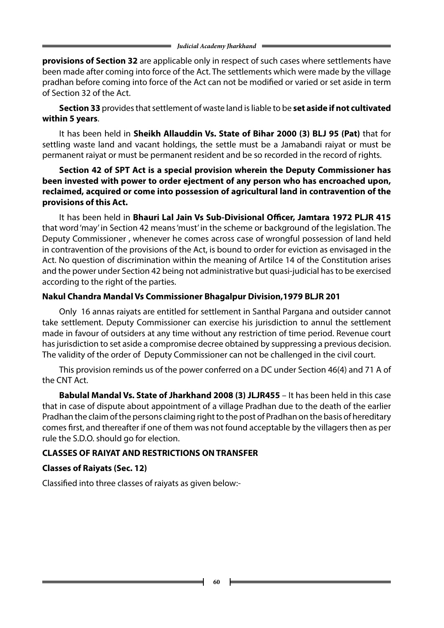**provisions of Section 32** are applicable only in respect of such cases where settlements have been made after coming into force of the Act. The settlements which were made by the village pradhan before coming into force of the Act can not be modified or varied or set aside in term of Section 32 of the Act.

 **Section 33** provides that settlement of waste land is liable to be **set aside if not cultivated within 5 years**.

It has been held in **Sheikh Allauddin Vs. State of Bihar 2000 (3) BLJ 95 (Pat)** that for settling waste land and vacant holdings, the settle must be a Jamabandi raiyat or must be permanent raiyat or must be permanent resident and be so recorded in the record of rights.

### **Section 42 of SPT Act is a special provision wherein the Deputy Commissioner has been invested with power to order ejectment of any person who has encroached upon, reclaimed, acquired or come into possession of agricultural land in contravention of the provisions of this Act.**

It has been held in **Bhauri Lal Jain Vs Sub-Divisional Officer, Jamtara 1972 PLJR 415** that word 'may' in Section 42 means 'must' in the scheme or background of the legislation. The Deputy Commissioner , whenever he comes across case of wrongful possession of land held in contravention of the provisions of the Act, is bound to order for eviction as envisaged in the Act. No question of discrimination within the meaning of Artilce 14 of the Constitution arises and the power under Section 42 being not administrative but quasi-judicial has to be exercised according to the right of the parties.

## **Nakul Chandra Mandal Vs Commissioner Bhagalpur Division,1979 BLJR 201**

Only 16 annas raiyats are entitled for settlement in Santhal Pargana and outsider cannot take settlement. Deputy Commissioner can exercise his jurisdiction to annul the settlement made in favour of outsiders at any time without any restriction of time period. Revenue court has jurisdiction to set aside a compromise decree obtained by suppressing a previous decision. The validity of the order of Deputy Commissioner can not be challenged in the civil court.

This provision reminds us of the power conferred on a DC under Section 46(4) and 71 A of the CNT Act.

**Babulal Mandal Vs. State of Jharkhand 2008 (3) JLJR455** – It has been held in this case that in case of dispute about appointment of a village Pradhan due to the death of the earlier Pradhan the claim of the persons claiming right to the post of Pradhan on the basis of hereditary comes first, and thereafter if one of them was not found acceptable by the villagers then as per rule the S.D.O. should go for election.

# **CLASSES OF RAIYAT AND RESTRICTIONS ONTRANSFER**

# **Classes of Raiyats (Sec. 12)**

Classified into three classes of raiyats as given below:-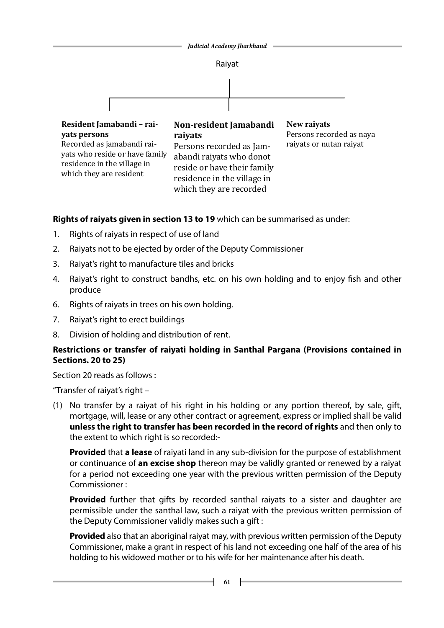

**Rights of raiyats given in section 13 to 19** which can be summarised as under:

- 1. Rights of raiyats in respect of use of land
- 2. Raiyats not to be ejected by order of the Deputy Commissioner
- 3. Raiyat's right to manufacture tiles and bricks
- 4. Raiyat's right to construct bandhs, etc. on his own holding and to enjoy fish and other produce
- 6. Rights of raiyats in trees on his own holding.
- 7. Raiyat's right to erect buildings
- 8. Division of holding and distribution of rent.

## **Restrictions or transfer of raiyati holding in Santhal Pargana (Provisions contained in Sections. 20 to 25)**

Section 20 reads as follows :

"Transfer of raiyat's right –

(1) No transfer by a raiyat of his right in his holding or any portion thereof, by sale, gift, mortgage, will, lease or any other contract or agreement, express or implied shall be valid **unless the right to transfer has been recorded in the record of rights** and then only to the extent to which right is so recorded:-

**Provided** that **a lease** of raiyati land in any sub-division for the purpose of establishment or continuance of **an excise shop** thereon may be validly granted or renewed by a raiyat for a period not exceeding one year with the previous written permission of the Deputy Commissioner :

**Provided** further that gifts by recorded santhal raiyats to a sister and daughter are permissible under the santhal law, such a raiyat with the previous written permission of the Deputy Commissioner validly makes such a gift :

**Provided** also that an aboriginal raiyat may, with previous written permission of the Deputy Commissioner, make a grant in respect of his land not exceeding one half of the area of his holding to his widowed mother or to his wife for her maintenance after his death.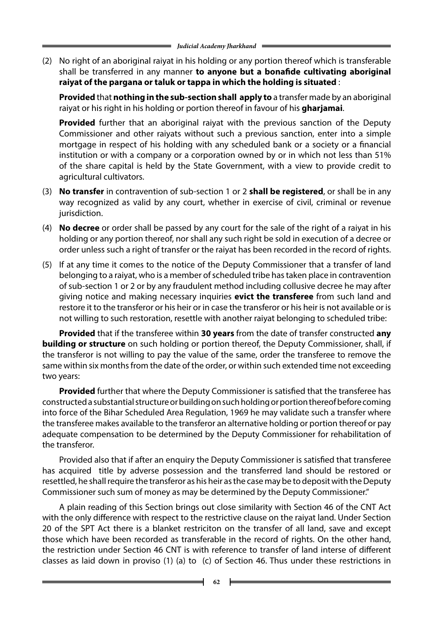(2) No right of an aboriginal raiyat in his holding or any portion thereof which is transferable shall be transferred in any manner **to anyone but a bonafide cultivating aboriginal raiyat of the pargana or taluk or tappa in which the holding is situated** :

**Provided** that **nothing in the sub-section shall apply to** a transfer made by an aboriginal raiyat or his right in his holding or portion thereof in favour of his **gharjamai**.

**Provided** further that an aboriginal raiyat with the previous sanction of the Deputy Commissioner and other raiyats without such a previous sanction, enter into a simple mortgage in respect of his holding with any scheduled bank or a society or a financial institution or with a company or a corporation owned by or in which not less than 51% of the share capital is held by the State Government, with a view to provide credit to agricultural cultivators.

- (3) **No transfer** in contravention of sub-section 1 or 2 **shall be registered**, or shall be in any way recognized as valid by any court, whether in exercise of civil, criminal or revenue jurisdiction.
- (4) **No decree** or order shall be passed by any court for the sale of the right of a raiyat in his holding or any portion thereof, nor shall any such right be sold in execution of a decree or order unless such a right of transfer or the raiyat has been recorded in the record of rights.
- (5) If at any time it comes to the notice of the Deputy Commissioner that a transfer of land belonging to a raiyat, who is a member of scheduled tribe has taken place in contravention of sub-section 1 or 2 or by any fraudulent method including collusive decree he may after giving notice and making necessary inquiries **evict the transferee** from such land and restore it to the transferor or his heir or in case the transferor or his heir is not available or is not willing to such restoration, resettle with another raiyat belonging to scheduled tribe:

**Provided** that if the transferee within **30 years** from the date of transfer constructed **any building or structure** on such holding or portion thereof, the Deputy Commissioner, shall, if the transferor is not willing to pay the value of the same, order the transferee to remove the same within six months from the date of the order, or within such extended time not exceeding two years:

**Provided** further that where the Deputy Commissioner is satisfied that the transferee has constructed a substantial structure or building on such holding or portion thereof before coming into force of the Bihar Scheduled Area Regulation, 1969 he may validate such a transfer where the transferee makes available to the transferor an alternative holding or portion thereof or pay adequate compensation to be determined by the Deputy Commissioner for rehabilitation of the transferor.

Provided also that if after an enquiry the Deputy Commissioner is satisfied that transferee has acquired title by adverse possession and the transferred land should be restored or resettled, he shall require the transferor as his heir as the case may be to deposit with the Deputy Commissioner such sum of money as may be determined by the Deputy Commissioner."

A plain reading of this Section brings out close similarity with Section 46 of the CNT Act with the only difference with respect to the restrictive clause on the raiyat land. Under Section 20 of the SPT Act there is a blanket restriciton on the transfer of all land, save and except those which have been recorded as transferable in the record of rights. On the other hand, the restriction under Section 46 CNT is with reference to transfer of land interse of different classes as laid down in proviso (1) (a) to (c) of Section 46. Thus under these restrictions in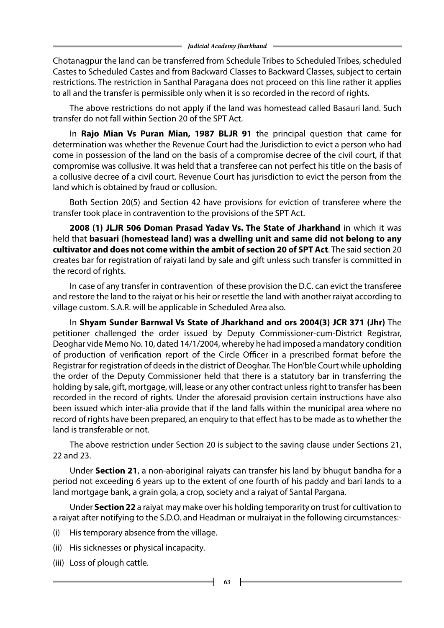Chotanagpur the land can be transferred from Schedule Tribes to Scheduled Tribes, scheduled Castes to Scheduled Castes and from Backward Classes to Backward Classes, subject to certain restrictions. The restriction in Santhal Paragana does not proceed on this line rather it applies to all and the transfer is permissible only when it is so recorded in the record of rights.

The above restrictions do not apply if the land was homestead called Basauri land. Such transfer do not fall within Section 20 of the SPT Act.

In **Rajo Mian Vs Puran Mian, 1987 BLJR 91** the principal question that came for determination was whether the Revenue Court had the Jurisdiction to evict a person who had come in possession of the land on the basis of a compromise decree of the civil court, if that compromise was collusive. It was held that a transferee can not perfect his title on the basis of a collusive decree of a civil court. Revenue Court has jurisdiction to evict the person from the land which is obtained by fraud or collusion.

Both Section 20(5) and Section 42 have provisions for eviction of transferee where the transfer took place in contravention to the provisions of the SPT Act.

**2008 (1) JLJR 506 Doman Prasad Yadav Vs. The State of Jharkhand** in which it was held that **basuari (homestead land) was a dwelling unit and same did not belong to any cultivator and does not come within the ambit of section 20 of SPT Act**. The said section 20 creates bar for registration of raiyati land by sale and gift unless such transfer is committed in the record of rights.

In case of any transfer in contravention of these provision the D.C. can evict the transferee and restore the land to the raiyat or his heir or resettle the land with another raiyat according to village custom. S.A.R. will be applicable in Scheduled Area also.

In **Shyam Sunder Barnwal Vs State of Jharkhand and ors 2004(3) JCR 371 (Jhr)** The petitioner challenged the order issued by Deputy Commissioner-cum-District Registrar, Deoghar vide Memo No. 10, dated 14/1/2004, whereby he had imposed a mandatory condition of production of verification report of the Circle Officer in a prescribed format before the Registrar for registration of deeds in the district of Deoghar. The Hon'ble Court while upholding the order of the Deputy Commissioner held that there is a statutory bar in transferring the holding by sale, gift, mortgage, will, lease or any other contract unless right to transfer has been recorded in the record of rights. Under the aforesaid provision certain instructions have also been issued which inter-alia provide that if the land falls within the municipal area where no record of rights have been prepared, an enquiry to that effect has to be made as to whether the land is transferable or not.

The above restriction under Section 20 is subject to the saving clause under Sections 21, 22 and 23.

Under **Section 21**, a non-aboriginal raiyats can transfer his land by bhugut bandha for a period not exceeding 6 years up to the extent of one fourth of his paddy and bari lands to a land mortgage bank, a grain gola, a crop, society and a raiyat of Santal Pargana.

Under **Section 22** a raiyat may make over his holding temporarity on trust for cultivation to a raiyat after notifying to the S.D.O. and Headman or mulraiyat in the following circumstances:-

- (i) His temporary absence from the village.
- (ii) His sicknesses or physical incapacity.
- (iii) Loss of plough cattle.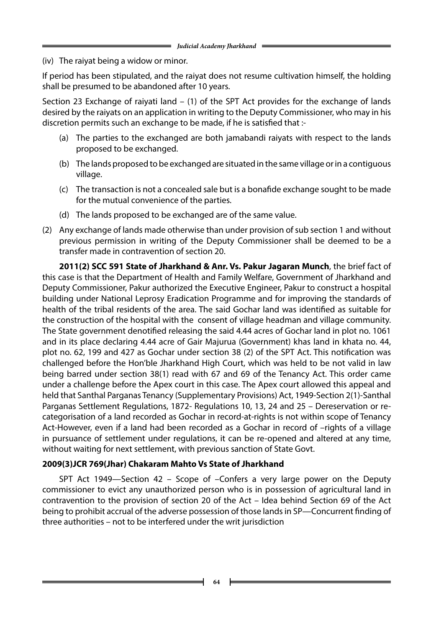(iv) The raiyat being a widow or minor.

If period has been stipulated, and the raiyat does not resume cultivation himself, the holding shall be presumed to be abandoned after 10 years.

Section 23 Exchange of raiyati land – (1) of the SPT Act provides for the exchange of lands desired by the raiyats on an application in writing to the Deputy Commissioner, who may in his discretion permits such an exchange to be made, if he is satisfied that :-

- (a) The parties to the exchanged are both jamabandi raiyats with respect to the lands proposed to be exchanged.
- (b) The lands proposed to be exchanged are situated in the same village or in a contiguous village.
- (c) The transaction is not a concealed sale but is a bonafide exchange sought to be made for the mutual convenience of the parties.
- (d) The lands proposed to be exchanged are of the same value.
- (2) Any exchange of lands made otherwise than under provision of sub section 1 and without previous permission in writing of the Deputy Commissioner shall be deemed to be a transfer made in contravention of section 20.

**2011(2) SCC 591 State of Jharkhand & Anr. Vs. Pakur Jagaran Munch**, the brief fact of this case is that the Department of Health and Family Welfare, Government of Jharkhand and Deputy Commissioner, Pakur authorized the Executive Engineer, Pakur to construct a hospital building under National Leprosy Eradication Programme and for improving the standards of health of the tribal residents of the area. The said Gochar land was identified as suitable for the construction of the hospital with the consent of village headman and village community. The State government denotified releasing the said 4.44 acres of Gochar land in plot no. 1061 and in its place declaring 4.44 acre of Gair Majurua (Government) khas land in khata no. 44, plot no. 62, 199 and 427 as Gochar under section 38 (2) of the SPT Act. This notification was challenged before the Hon'ble Jharkhand High Court, which was held to be not valid in law being barred under section 38(1) read with 67 and 69 of the Tenancy Act. This order came under a challenge before the Apex court in this case. The Apex court allowed this appeal and held that Santhal Parganas Tenancy (Supplementary Provisions) Act, 1949-Section 2(1)-Santhal Parganas Settlement Regulations, 1872- Regulations 10, 13, 24 and 25 – Dereservation or recategorisation of a land recorded as Gochar in record-at-rights is not within scope of Tenancy Act-However, even if a land had been recorded as a Gochar in record of –rights of a village in pursuance of settlement under regulations, it can be re-opened and altered at any time, without waiting for next settlement, with previous sanction of State Govt.

## **2009(3)JCR 769(Jhar) Chakaram Mahto Vs State of Jharkhand**

SPT Act 1949—Section 42 – Scope of –Confers a very large power on the Deputy commissioner to evict any unauthorized person who is in possession of agricultural land in contravention to the provision of section 20 of the Act – Idea behind Section 69 of the Act being to prohibit accrual of the adverse possession of those lands in SP—Concurrent finding of three authorities – not to be interfered under the writ jurisdiction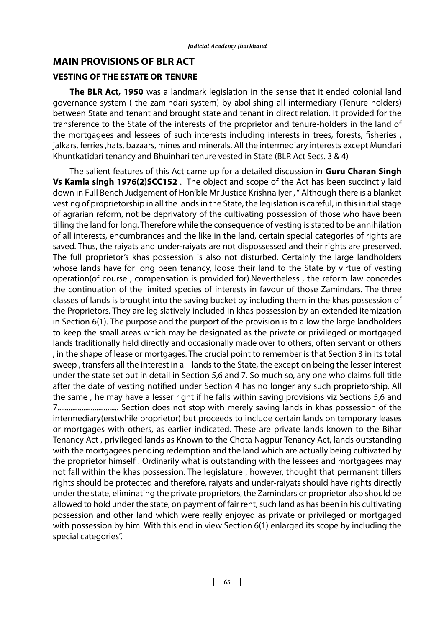### **MAIN PROVISIONS OF BLR ACT**

#### **VESTING OF THE ESTATE OR TENURE**

 **The BLR Act, 1950** was a landmark legislation in the sense that it ended colonial land governance system ( the zamindari system) by abolishing all intermediary (Tenure holders) between State and tenant and brought state and tenant in direct relation. It provided for the transference to the State of the interests of the proprietor and tenure-holders in the land of the mortgagees and lessees of such interests including interests in trees, forests, fisheries , jalkars, ferries ,hats, bazaars, mines and minerals. All the intermediary interests except Mundari Khuntkatidari tenancy and Bhuinhari tenure vested in State (BLR Act Secs. 3 & 4)

The salient features of this Act came up for a detailed discussion in **Guru Charan Singh Vs Kamla singh 1976(2)SCC152** . The object and scope of the Act has been succinctly laid down in Full Bench Judgement of Hon'ble Mr Justice Krishna Iyer, "Although there is a blanket vesting of proprietorship in all the lands in the State, the legislation is careful, in this initial stage of agrarian reform, not be deprivatory of the cultivating possession of those who have been tilling the land for long. Therefore while the consequence of vesting is stated to be annihilation of all interests, encumbrances and the like in the land, certain special categories of rights are saved. Thus, the raiyats and under-raiyats are not dispossessed and their rights are preserved. The full proprietor's khas possession is also not disturbed. Certainly the large landholders whose lands have for long been tenancy, loose their land to the State by virtue of vesting operation(of course , compensation is provided for).Nevertheless , the reform law concedes the continuation of the limited species of interests in favour of those Zamindars. The three classes of lands is brought into the saving bucket by including them in the khas possession of the Proprietors. They are legislatively included in khas possession by an extended itemization in Section 6(1). The purpose and the purport of the provision is to allow the large landholders to keep the small areas which may be designated as the private or privileged or mortgaged lands traditionally held directly and occasionally made over to others, often servant or others , in the shape of lease or mortgages. The crucial point to remember is that Section 3 in its total sweep , transfers all the interest in all lands to the State, the exception being the lesser interest under the state set out in detail in Section 5,6 and 7. So much so, any one who claims full title after the date of vesting notified under Section 4 has no longer any such proprietorship. All the same , he may have a lesser right if he falls within saving provisions viz Sections 5,6 and 7................................. Section does not stop with merely saving lands in khas possession of the intermediary(erstwhile proprietor) but proceeds to include certain lands on temporary leases or mortgages with others, as earlier indicated. These are private lands known to the Bihar Tenancy Act , privileged lands as Known to the Chota Nagpur Tenancy Act, lands outstanding with the mortgagees pending redemption and the land which are actually being cultivated by the proprietor himself . Ordinarily what is outstanding with the lessees and mortgagees may not fall within the khas possession. The legislature , however, thought that permanent tillers rights should be protected and therefore, raiyats and under-raiyats should have rights directly under the state, eliminating the private proprietors, the Zamindars or proprietor also should be allowed to hold under the state, on payment of fair rent, such land as has been in his cultivating possession and other land which were really enjoyed as private or privileged or mortgaged with possession by him. With this end in view Section 6(1) enlarged its scope by including the special categories".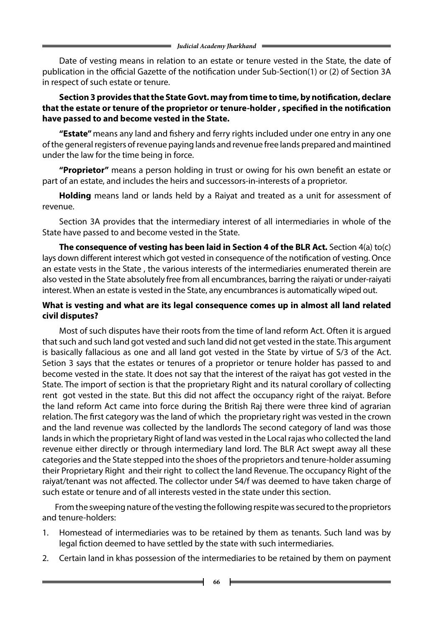Date of vesting means in relation to an estate or tenure vested in the State, the date of publication in the official Gazette of the notification under Sub-Section(1) or (2) of Section 3A in respect of such estate or tenure.

## **Section 3 provides that the State Govt. may from time to time, by notification, declare that the estate or tenure of the proprietor or tenure-holder , specified in the notification have passed to and become vested in the State.**

**"Estate"** means any land and fishery and ferry rights included under one entry in any one of the general registers of revenue paying lands and revenue free lands prepared and maintined under the law for the time being in force.

**"Proprietor"** means a person holding in trust or owing for his own benefit an estate or part of an estate, and includes the heirs and successors-in-interests of a proprietor.

 **Holding** means land or lands held by a Raiyat and treated as a unit for assessment of revenue.

Section 3A provides that the intermediary interest of all intermediaries in whole of the State have passed to and become vested in the State.

 **The consequence of vesting has been laid in Section 4 of the BLR Act.** Section 4(a) to(c) lays down different interest which got vested in consequence of the notification of vesting. Once an estate vests in the State , the various interests of the intermediaries enumerated therein are also vested in the State absolutely free from all encumbrances, barring the raiyati or under-raiyati interest. When an estate is vested in the State, any encumbrances is automatically wiped out.

## **What is vesting and what are its legal consequence comes up in almost all land related civil disputes?**

Most of such disputes have their roots from the time of land reform Act. Often it is argued that such and such land got vested and such land did not get vested in the state. This argument is basically fallacious as one and all land got vested in the State by virtue of S/3 of the Act. Setion 3 says that the estates or tenures of a proprietor or tenure holder has passed to and become vested in the state. It does not say that the interest of the raiyat has got vested in the State. The import of section is that the proprietary Right and its natural corollary of collecting rent got vested in the state. But this did not affect the occupancy right of the raiyat. Before the land reform Act came into force during the British Raj there were three kind of agrarian relation. The first category was the land of which the proprietary right was vested in the crown and the land revenue was collected by the landlords The second category of land was those lands in which the proprietary Right of land was vested in the Local rajas who collected the land revenue either directly or through intermediary land lord. The BLR Act swept away all these categories and the State stepped into the shoes of the proprietors and tenure-holder assuming their Proprietary Right and their right to collect the land Revenue. The occupancy Right of the raiyat/tenant was not affected. The collector under S4/f was deemed to have taken charge of such estate or tenure and of all interests vested in the state under this section.

 From the sweeping nature of the vesting the following respite was secured to the proprietors and tenure-holders:

- 1. Homestead of intermediaries was to be retained by them as tenants. Such land was by legal fiction deemed to have settled by the state with such intermediaries.
- 2. Certain land in khas possession of the intermediaries to be retained by them on payment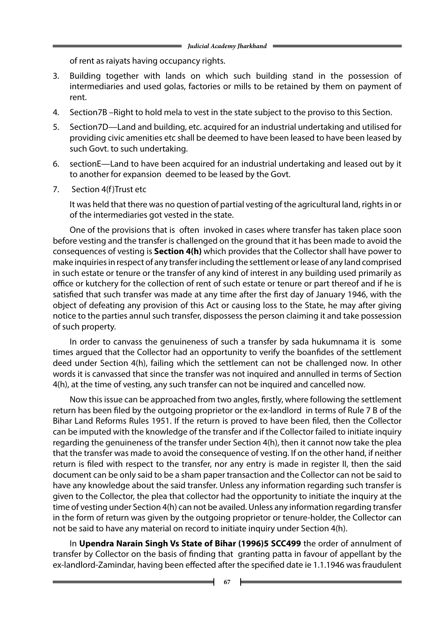of rent as raiyats having occupancy rights.

- 3. Building together with lands on which such building stand in the possession of intermediaries and used golas, factories or mills to be retained by them on payment of rent.
- 4. Section7B –Right to hold mela to vest in the state subject to the proviso to this Section.
- 5. Section7D—Land and building, etc. acquired for an industrial undertaking and utilised for providing civic amenities etc shall be deemed to have been leased to have been leased by such Govt. to such undertaking.
- 6. sectionE—Land to have been acquired for an industrial undertaking and leased out by it to another for expansion deemed to be leased by the Govt.
- 7. Section 4(f)Trust etc

It was held that there was no question of partial vesting of the agricultural land, rights in or of the intermediaries got vested in the state.

One of the provisions that is often invoked in cases where transfer has taken place soon before vesting and the transfer is challenged on the ground that it has been made to avoid the consequences of vesting is **Section 4(h)** which provides that the Collector shall have power to make inquiries in respect of any transfer including the settlement or lease of any land comprised in such estate or tenure or the transfer of any kind of interest in any building used primarily as office or kutchery for the collection of rent of such estate or tenure or part thereof and if he is satisfied that such transfer was made at any time after the first day of January 1946, with the object of defeating any provision of this Act or causing loss to the State, he may after giving notice to the parties annul such transfer, dispossess the person claiming it and take possession of such property.

In order to canvass the genuineness of such a transfer by sada hukumnama it is some times argued that the Collector had an opportunity to verify the boanfides of the settlement deed under Section 4(h), failing which the settlement can not be challenged now. In other words it is canvassed that since the transfer was not inquired and annulled in terms of Section 4(h), at the time of vesting, any such transfer can not be inquired and cancelled now.

Now this issue can be approached from two angles, firstly, where following the settlement return has been filed by the outgoing proprietor or the ex-landlord in terms of Rule 7 B of the Bihar Land Reforms Rules 1951. If the return is proved to have been filed, then the Collector can be imputed with the knowledge of the transfer and if the Collector failed to initiate inquiry regarding the genuineness of the transfer under Section 4(h), then it cannot now take the plea that the transfer was made to avoid the consequence of vesting. If on the other hand, if neither return is filed with respect to the transfer, nor any entry is made in register II, then the said document can be only said to be a sham paper transaction and the Collector can not be said to have any knowledge about the said transfer. Unless any information regarding such transfer is given to the Collector, the plea that collector had the opportunity to initiate the inquiry at the time of vesting under Section 4(h) can not be availed. Unless any information regarding transfer in the form of return was given by the outgoing proprietor or tenure-holder, the Collector can not be said to have any material on record to initiate inquiry under Section 4(h).

In **Upendra Narain Singh Vs State of Bihar (1996)5 SCC499** the order of annulment of transfer by Collector on the basis of finding that granting patta in favour of appellant by the ex-landlord-Zamindar, having been effected after the specified date ie 1.1.1946 was fraudulent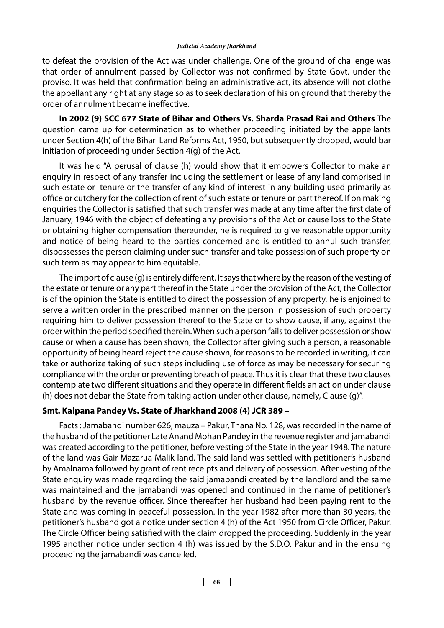to defeat the provision of the Act was under challenge. One of the ground of challenge was that order of annulment passed by Collector was not confirmed by State Govt. under the proviso. It was held that confirmation being an administrative act, its absence will not clothe the appellant any right at any stage so as to seek declaration of his on ground that thereby the order of annulment became ineffective.

**In 2002 (9) SCC 677 State of Bihar and Others Vs. Sharda Prasad Rai and Others** The question came up for determination as to whether proceeding initiated by the appellants under Section 4(h) of the Bihar Land Reforms Act, 1950, but subsequently dropped, would bar initiation of proceeding under Section 4(g) of the Act.

It was held "A perusal of clause (h) would show that it empowers Collector to make an enquiry in respect of any transfer including the settlement or lease of any land comprised in such estate or tenure or the transfer of any kind of interest in any building used primarily as office or cutchery for the collection of rent of such estate or tenure or part thereof. If on making enquiries the Collector is satisfied that such transfer was made at any time after the first date of January, 1946 with the object of defeating any provisions of the Act or cause loss to the State or obtaining higher compensation thereunder, he is required to give reasonable opportunity and notice of being heard to the parties concerned and is entitled to annul such transfer, dispossesses the person claiming under such transfer and take possession of such property on such term as may appear to him equitable.

The import of clause (g) is entirely different. It says that where by the reason of the vesting of the estate or tenure or any part thereof in the State under the provision of the Act, the Collector is of the opinion the State is entitled to direct the possession of any property, he is enjoined to serve a written order in the prescribed manner on the person in possession of such property requiring him to deliver possession thereof to the State or to show cause, if any, against the order within the period specified therein. When such a person fails to deliver possession or show cause or when a cause has been shown, the Collector after giving such a person, a reasonable opportunity of being heard reject the cause shown, for reasons to be recorded in writing, it can take or authorize taking of such steps including use of force as may be necessary for securing compliance with the order or preventing breach of peace. Thus it is clear that these two clauses contemplate two different situations and they operate in different fields an action under clause (h) does not debar the State from taking action under other clause, namely, Clause (g)".

### **Smt. Kalpana Pandey Vs. State of Jharkhand 2008 (4) JCR 389 –**

Facts : Jamabandi number 626, mauza – Pakur, Thana No. 128, was recorded in the name of the husband of the petitioner Late Anand Mohan Pandey in the revenue register and jamabandi was created according to the petitioner, before vesting of the State in the year 1948. The nature of the land was Gair Mazarua Malik land. The said land was settled with petitioner's husband by Amalnama followed by grant of rent receipts and delivery of possession. After vesting of the State enquiry was made regarding the said jamabandi created by the landlord and the same was maintained and the jamabandi was opened and continued in the name of petitioner's husband by the revenue officer. Since thereafter her husband had been paying rent to the State and was coming in peaceful possession. In the year 1982 after more than 30 years, the petitioner's husband got a notice under section 4 (h) of the Act 1950 from Circle Officer, Pakur. The Circle Officer being satisfied with the claim dropped the proceeding. Suddenly in the year 1995 another notice under section 4 (h) was issued by the S.D.O. Pakur and in the ensuing proceeding the jamabandi was cancelled.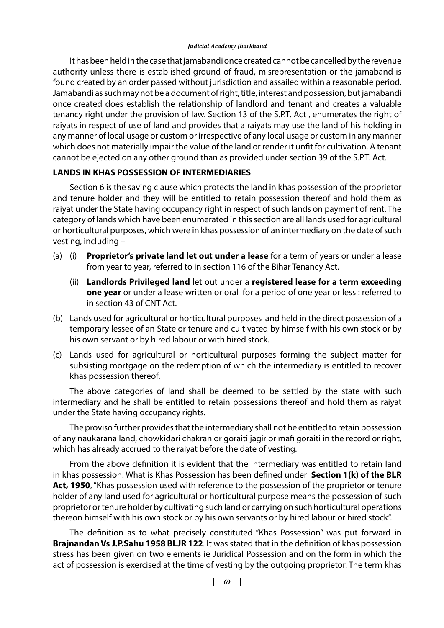It has been held in the case that jamabandi once created cannot be cancelled by the revenue authority unless there is established ground of fraud, misrepresentation or the jamaband is found created by an order passed without jurisdiction and assailed within a reasonable period. Jamabandi as such may not be a document of right, title, interest and possession, but jamabandi once created does establish the relationship of landlord and tenant and creates a valuable tenancy right under the provision of law. Section 13 of the S.P.T. Act , enumerates the right of raiyats in respect of use of land and provides that a raiyats may use the land of his holding in any manner of local usage or custom or irrespective of any local usage or custom in any manner which does not materially impair the value of the land or render it unfit for cultivation. A tenant cannot be ejected on any other ground than as provided under section 39 of the S.P.T. Act.

### **LANDS IN KHAS POSSESSION OF INTERMEDIARIES**

Section 6 is the saving clause which protects the land in khas possession of the proprietor and tenure holder and they will be entitled to retain possession thereof and hold them as raiyat under the State having occupancy right in respect of such lands on payment of rent. The category of lands which have been enumerated in this section are all lands used for agricultural or horticultural purposes, which were in khas possession of an intermediary on the date of such vesting, including –

- (a) (i) **Proprietor's private land let out under a lease** for a term of years or under a lease from year to year, referred to in section 116 of the Bihar Tenancy Act.
	- (ii) **Landlords Privileged land** let out under a **registered lease for a term exceeding one year** or under a lease written or oral for a period of one year or less : referred to in section 43 of CNT Act.
- (b) Lands used for agricultural or horticultural purposes and held in the direct possession of a temporary lessee of an State or tenure and cultivated by himself with his own stock or by his own servant or by hired labour or with hired stock.
- (c) Lands used for agricultural or horticultural purposes forming the subject matter for subsisting mortgage on the redemption of which the intermediary is entitled to recover khas possession thereof.

The above categories of land shall be deemed to be settled by the state with such intermediary and he shall be entitled to retain possessions thereof and hold them as raiyat under the State having occupancy rights.

The proviso further provides that the intermediary shall not be entitled to retain possession of any naukarana land, chowkidari chakran or goraiti jagir or mafi goraiti in the record or right, which has already accrued to the raiyat before the date of vesting.

From the above definition it is evident that the intermediary was entitled to retain land in khas possession. What is Khas Possession has been defined under **Section 1(k) of the BLR** Act, 1950, "Khas possession used with reference to the possession of the proprietor or tenure holder of any land used for agricultural or horticultural purpose means the possession of such proprietor or tenure holder by cultivating such land or carrying on such horticultural operations thereon himself with his own stock or by his own servants or by hired labour or hired stock".

The definition as to what precisely constituted "Khas Possession" was put forward in **Brajnandan Vs J.P.Sahu 1958 BLJR 122**. It was stated that in the definition of khas possession stress has been given on two elements ie Juridical Possession and on the form in which the act of possession is exercised at the time of vesting by the outgoing proprietor. The term khas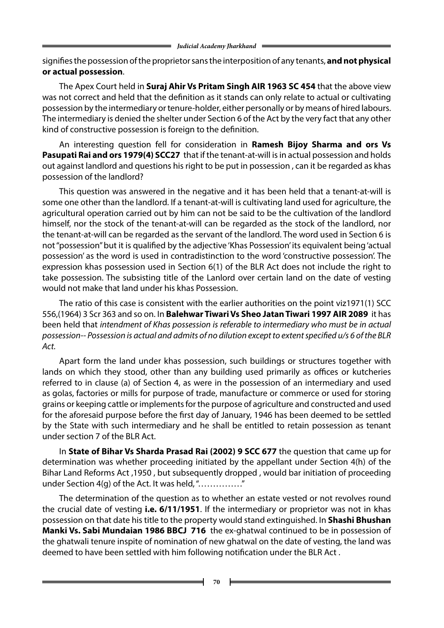signifies the possession of the proprietor sans the interposition of any tenants, **and not physical or actual possession**.

The Apex Court held in **Suraj Ahir Vs Pritam Singh AIR 1963 SC 454** that the above view was not correct and held that the definition as it stands can only relate to actual or cultivating possession by the intermediary or tenure-holder, either personally or by means of hired labours. The intermediary is denied the shelter under Section 6 of the Act by the very fact that any other kind of constructive possession is foreign to the definition.

An interesting question fell for consideration in **Ramesh Bijoy Sharma and ors Vs Pasupati Rai and ors 1979(4) SCC27** that if the tenant-at-will is in actual possession and holds out against landlord and questions his right to be put in possession , can it be regarded as khas possession of the landlord?

This question was answered in the negative and it has been held that a tenant-at-will is some one other than the landlord. If a tenant-at-will is cultivating land used for agriculture, the agricultural operation carried out by him can not be said to be the cultivation of the landlord himself, nor the stock of the tenant-at-will can be regarded as the stock of the landlord, nor the tenant-at-will can be regarded as the servant of the landlord. The word used in Section 6 is not "possession" but it is qualified by the adjective 'Khas Possession' its equivalent being 'actual possession' as the word is used in contradistinction to the word 'constructive possession'. The expression khas possession used in Section 6(1) of the BLR Act does not include the right to take possession. The subsisting title of the Lanlord over certain land on the date of vesting would not make that land under his khas Possession.

The ratio of this case is consistent with the earlier authorities on the point viz1971(1) SCC 556,(1964) 3 Scr 363 and so on. In **Balehwar Tiwari Vs Sheo Jatan Tiwari 1997 AIR 2089** it has been held that *intendment of Khas possession is referable to intermediary who must be in actual possession-- Possession is actual and admits of no dilution except to extent specified u/s 6 of the BLR Act.*

Apart form the land under khas possession, such buildings or structures together with lands on which they stood, other than any building used primarily as offices or kutcheries referred to in clause (a) of Section 4, as were in the possession of an intermediary and used as golas, factories or mills for purpose of trade, manufacture or commerce or used for storing grains or keeping cattle or implements for the purpose of agriculture and constructed and used for the aforesaid purpose before the first day of January, 1946 has been deemed to be settled by the State with such intermediary and he shall be entitled to retain possession as tenant under section 7 of the BLR Act.

In **State of Bihar Vs Sharda Prasad Rai (2002) 9 SCC 677** the question that came up for determination was whether proceeding initiated by the appellant under Section 4(h) of the Bihar Land Reforms Act ,1950 , but subsequently dropped , would bar initiation of proceeding under Section 4(g) of the Act. It was held, "……………"

The determination of the question as to whether an estate vested or not revolves round the crucial date of vesting **i.e. 6/11/1951**. If the intermediary or proprietor was not in khas possession on that date his title to the property would stand extinguished. In **Shashi Bhushan Manki Vs. Sabi Mundaian 1986 BBCJ 716** the ex-ghatwal continued to be in possession of the ghatwali tenure inspite of nomination of new ghatwal on the date of vesting, the land was deemed to have been settled with him following notification under the BLR Act .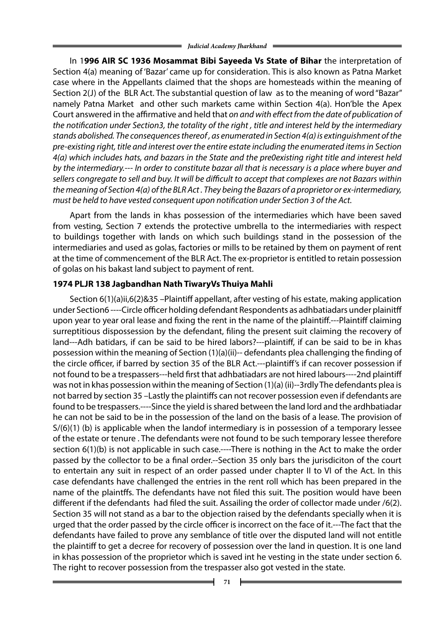In 1**996 AIR SC 1936 Mosammat Bibi Sayeeda Vs State of Bihar** the interpretation of Section 4(a) meaning of 'Bazar' came up for consideration. This is also known as Patna Market case where in the Appellants claimed that the shops are homesteads within the meaning of Section 2(J) of the BLR Act. The substantial question of law as to the meaning of word "Bazar" namely Patna Market and other such markets came within Section 4(a). Hon'ble the Apex Court answered in the affirmative and held that *on and with effect from the date of publication of the notification under Section3, the totality of the right , title and interest held by the intermediary stands abolished. The consequences thereof , as enumerated in Section 4(a) is extinguishment of the pre-existing right, title and interest over the entire estate including the enumerated items in Section 4(a) which includes hats, and bazars in the State and the pre0existing right title and interest held by the intermediary.--- In order to constitute bazar all that is necessary is a place where buyer and sellers congregate to sell and buy. It will be difficult to accept that complexes are not Bazars within the meaning of Section 4(a) of the BLR Act . They being the Bazars of a proprietor or ex-intermediary, must be held to have vested consequent upon notification under Section 3 of the Act.* 

Apart from the lands in khas possession of the intermediaries which have been saved from vesting, Section 7 extends the protective umbrella to the intermediaries with respect to buildings together with lands on which such buildings stand in the possession of the intermediaries and used as golas, factories or mills to be retained by them on payment of rent at the time of commencement of the BLR Act. The ex-proprietor is entitled to retain possession of golas on his bakast land subject to payment of rent.

### **1974 PLJR 138 Jagbandhan Nath TiwaryVs Thuiya Mahli**

Section 6(1)(a)ii,6(2)&35 –Plaintiff appellant, after vesting of his estate, making application under Section6 ----Circle officer holding defendant Respondents as adhbatiadars under plainitff upon year to year oral lease and fixing the rent in the name of the plaintiff.---Plaintiff claiming surreptitious dispossession by the defendant, filing the present suit claiming the recovery of land---Adh batidars, if can be said to be hired labors?---plaintiff, if can be said to be in khas possession within the meaning of Section (1)(a)(ii)-- defendants plea challenging the finding of the circle officer, if barred by section 35 of the BLR Act.---plaintiff's if can recover possession if not found to be a trespassers---held first that adhbatiadars are not hired labours----2nd plaintiff was not in khas possession within the meaning of Section (1)(a) (ii)--3rdly The defendants plea is not barred by section 35 –Lastly the plaintiffs can not recover possession even if defendants are found to be trespassers.----Since the yield is shared between the land lord and the ardhbatiadar he can not be said to be in the possession of the land on the basis of a lease. The provision of S/(6)(1) (b) is applicable when the landof intermediary is in possession of a temporary lessee of the estate or tenure . The defendants were not found to be such temporary lessee therefore section 6(1)(b) is not applicable in such case.----There is nothing in the Act to make the order passed by the collector to be a final order.--Section 35 only bars the jurisdiciton of the court to entertain any suit in respect of an order passed under chapter II to VI of the Act. In this case defendants have challenged the entries in the rent roll which has been prepared in the name of the plaintffs. The defendants have not filed this suit. The position would have been different if the defendants had filed the suit. Assailing the order of collector made under /6(2). Section 35 will not stand as a bar to the objection raised by the defendants specially when it is urged that the order passed by the circle officer is incorrect on the face of it.---The fact that the defendants have failed to prove any semblance of title over the disputed land will not entitle the plaintiff to get a decree for recovery of possession over the land in question. It is one land in khas possession of the proprietor which is saved int he vesting in the state under section 6. The right to recover possession from the trespasser also got vested in the state.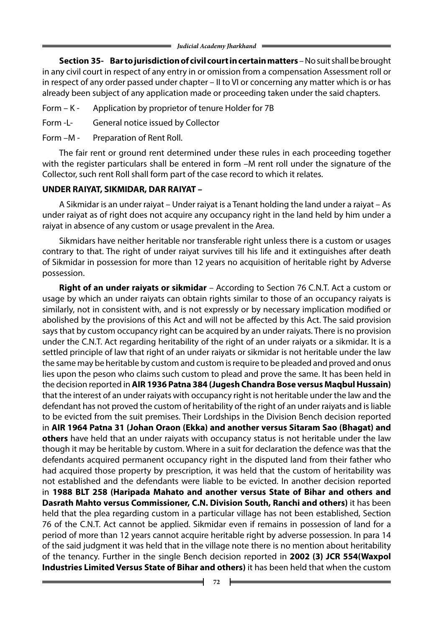**Section 35- Bar to jurisdiction of civil court in certain matters** – No suit shall be brought in any civil court in respect of any entry in or omission from a compensation Assessment roll or in respect of any order passed under chapter – II to VI or concerning any matter which is or has already been subject of any application made or proceeding taken under the said chapters.

- Form K Application by proprietor of tenure Holder for 7B
- Form -L- General notice issued by Collector
- Form –M Preparation of Rent Roll.

The fair rent or ground rent determined under these rules in each proceeding together with the register particulars shall be entered in form -M rent roll under the signature of the Collector, such rent Roll shall form part of the case record to which it relates.

### **UNDER RAIYAT, SIKMIDAR, DAR RAIYAT –**

A Sikmidar is an under raiyat – Under raiyat is a Tenant holding the land under a raiyat – As under raiyat as of right does not acquire any occupancy right in the land held by him under a raiyat in absence of any custom or usage prevalent in the Area.

Sikmidars have neither heritable nor transferable right unless there is a custom or usages contrary to that. The right of under raiyat survives till his life and it extinguishes after death of Sikmidar in possession for more than 12 years no acquisition of heritable right by Adverse possession.

 **Right of an under raiyats or sikmidar** – According to Section 76 C.N.T. Act a custom or usage by which an under raiyats can obtain rights similar to those of an occupancy raiyats is similarly, not in consistent with, and is not expressly or by necessary implication modified or abolished by the provisions of this Act and will not be affected by this Act. The said provision says that by custom occupancy right can be acquired by an under raiyats. There is no provision under the C.N.T. Act regarding heritability of the right of an under raiyats or a sikmidar. It is a settled principle of law that right of an under raiyats or sikmidar is not heritable under the law the same may be heritable by custom and custom is require to be pleaded and proved and onus lies upon the peson who claims such custom to plead and prove the same. It has been held in the decision reported in **AIR 1936 Patna 384 (Jugesh Chandra Bose versus Maqbul Hussain)**  that the interest of an under raiyats with occupancy right is not heritable under the law and the defendant has not proved the custom of heritability of the right of an under raiyats and is liable to be evicted from the suit premises. Their Lordships in the Division Bench decision reported in **AIR 1964 Patna 31 (Johan Oraon (Ekka) and another versus Sitaram Sao (Bhagat) and others** have held that an under raiyats with occupancy status is not heritable under the law though it may be heritable by custom. Where in a suit for declaration the defence was that the defendants acquired permanent occupancy right in the disputed land from their father who had acquired those property by prescription, it was held that the custom of heritability was not established and the defendants were liable to be evicted. In another decision reported in **1988 BLT 258 (Haripada Mahato and another versus State of Bihar and others and Dasrath Mahto versus Commissioner, C.N. Division South, Ranchi and others)** it has been held that the plea regarding custom in a particular village has not been established, Section 76 of the C.N.T. Act cannot be applied. Sikmidar even if remains in possession of land for a period of more than 12 years cannot acquire heritable right by adverse possession. In para 14 of the said judgment it was held that in the village note there is no mention about heritability of the tenancy. Further in the single Bench decision reported in **2002 (3) JCR 554(Waxpol Industries Limited Versus State of Bihar and others)** it has been held that when the custom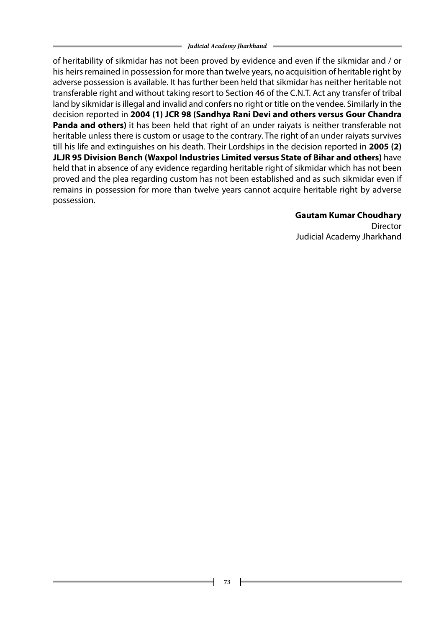of heritability of sikmidar has not been proved by evidence and even if the sikmidar and / or his heirs remained in possession for more than twelve years, no acquisition of heritable right by adverse possession is available. It has further been held that sikmidar has neither heritable not transferable right and without taking resort to Section 46 of the C.N.T. Act any transfer of tribal land by sikmidar is illegal and invalid and confers no right or title on the vendee. Similarly in the decision reported in **2004 (1) JCR 98 (Sandhya Rani Devi and others versus Gour Chandra Panda and others)** it has been held that right of an under raiyats is neither transferable not heritable unless there is custom or usage to the contrary. The right of an under raiyats survives till his life and extinguishes on his death. Their Lordships in the decision reported in **2005 (2) JLJR 95 Division Bench (Waxpol Industries Limited versus State of Bihar and others)** have held that in absence of any evidence regarding heritable right of sikmidar which has not been proved and the plea regarding custom has not been established and as such sikmidar even if remains in possession for more than twelve years cannot acquire heritable right by adverse possession.

### **Gautam Kumar Choudhary**

Director Judicial Academy Jharkhand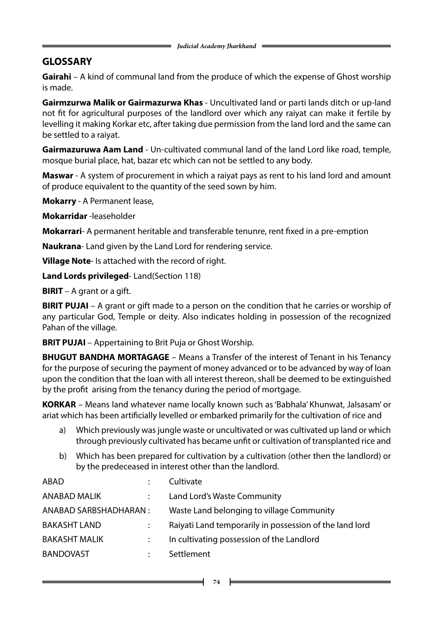### **GLOSSARY**

**Gairahi** – A kind of communal land from the produce of which the expense of Ghost worship is made.

**Gairmzurwa Malik or Gairmazurwa Khas** - Uncultivated land or parti lands ditch or up-land not fit for agricultural purposes of the landlord over which any raiyat can make it fertile by levelling it making Korkar etc, after taking due permission from the land lord and the same can be settled to a raiyat.

**Gairmazuruwa Aam Land** - Un-cultivated communal land of the land Lord like road, temple, mosque burial place, hat, bazar etc which can not be settled to any body.

**Maswar** - A system of procurement in which a raiyat pays as rent to his land lord and amount of produce equivalent to the quantity of the seed sown by him.

**Mokarry** - A Permanent lease,

**Mokarridar** -leaseholder

**Mokarrari**- A permanent heritable and transferable tenunre, rent fixed in a pre-emption

**Naukrana**- Land given by the Land Lord for rendering service.

**Village Note**- Is attached with the record of right.

**Land Lords privileged**- Land(Section 118)

**BIRIT** – A grant or a gift.

**BIRIT PUJAI** – A grant or gift made to a person on the condition that he carries or worship of any particular God, Temple or deity. Also indicates holding in possession of the recognized Pahan of the village.

**BRIT PUJAI** – Appertaining to Brit Puja or Ghost Worship.

**BHUGUT BANDHA MORTAGAGE** – Means a Transfer of the interest of Tenant in his Tenancy for the purpose of securing the payment of money advanced or to be advanced by way of loan upon the condition that the loan with all interest thereon, shall be deemed to be extinguished by the profit arising from the tenancy during the period of mortgage.

**KORKAR** – Means land whatever name locally known such as 'Babhala' Khunwat, Jalsasam' or ariat which has been artificially levelled or embarked primarily for the cultivation of rice and

- a) Which previously was jungle waste or uncultivated or was cultivated up land or which through previously cultivated has became unfit or cultivation of transplanted rice and
- b) Which has been prepared for cultivation by a cultivation (other then the landlord) or by the predeceased in interest other than the landlord.

| ABAD                   |                      | Cultivate                                               |
|------------------------|----------------------|---------------------------------------------------------|
| <b>ANABAD MALIK</b>    | $\ddot{\cdot}$       | Land Lord's Waste Community                             |
| ANABAD SARBSHADHARAN : |                      | Waste Land belonging to village Community               |
| <b>BAKASHT LAND</b>    |                      | Raiyati Land temporarily in possession of the land lord |
| <b>BAKASHT MALIK</b>   |                      | In cultivating possession of the Landlord               |
| <b>BANDOVAST</b>       | $\ddot{\phantom{a}}$ | Settlement                                              |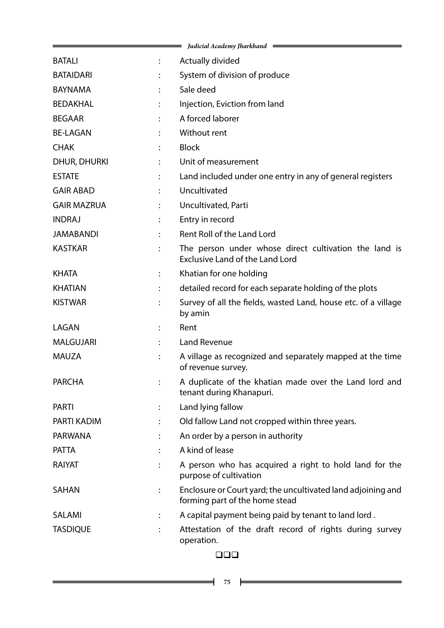|                     |                | Judicial Academy Jharkhand $\equiv$                                                             |
|---------------------|----------------|-------------------------------------------------------------------------------------------------|
| <b>BATALI</b>       | $\ddot{\cdot}$ | Actually divided                                                                                |
| <b>BATAIDARI</b>    |                | System of division of produce                                                                   |
| <b>BAYNAMA</b>      |                | Sale deed                                                                                       |
| <b>BEDAKHAL</b>     |                | Injection, Eviction from land                                                                   |
| <b>BEGAAR</b>       |                | A forced laborer                                                                                |
| <b>BE-LAGAN</b>     |                | Without rent                                                                                    |
| <b>CHAK</b>         |                | <b>Block</b>                                                                                    |
| <b>DHUR, DHURKI</b> |                | Unit of measurement                                                                             |
| <b>ESTATE</b>       |                | Land included under one entry in any of general registers                                       |
| <b>GAIR ABAD</b>    |                | Uncultivated                                                                                    |
| <b>GAIR MAZRUA</b>  |                | Uncultivated, Parti                                                                             |
| <b>INDRAJ</b>       |                | Entry in record                                                                                 |
| <b>JAMABANDI</b>    |                | <b>Rent Roll of the Land Lord</b>                                                               |
| <b>KASTKAR</b>      |                | The person under whose direct cultivation the land is<br><b>Exclusive Land of the Land Lord</b> |
| <b>KHATA</b>        |                | Khatian for one holding                                                                         |
| <b>KHATIAN</b>      |                | detailed record for each separate holding of the plots                                          |
| <b>KISTWAR</b>      |                | Survey of all the fields, wasted Land, house etc. of a village<br>by amin                       |
| LAGAN               |                | Rent                                                                                            |
| <b>MALGUJARI</b>    |                | <b>Land Revenue</b>                                                                             |
| <b>MAUZA</b>        |                | A village as recognized and separately mapped at the time<br>of revenue survey.                 |
| <b>PARCHA</b>       |                | A duplicate of the khatian made over the Land lord and<br>tenant during Khanapuri.              |
| <b>PARTI</b>        |                | Land lying fallow                                                                               |
| <b>PARTI KADIM</b>  |                | Old fallow Land not cropped within three years.                                                 |
| <b>PARWANA</b>      |                | An order by a person in authority                                                               |
| <b>PATTA</b>        |                | A kind of lease                                                                                 |
| RAIYAT              |                | A person who has acquired a right to hold land for the<br>purpose of cultivation                |
| <b>SAHAN</b>        |                | Enclosure or Court yard; the uncultivated land adjoining and<br>forming part of the home stead  |
| <b>SALAMI</b>       |                | A capital payment being paid by tenant to land lord.                                            |
| <b>TASDIQUE</b>     |                | Attestation of the draft record of rights during survey<br>operation.                           |

### $\Box \Box \Box$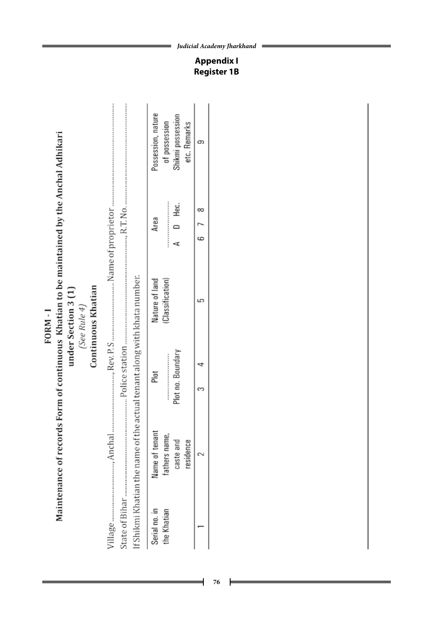Maintenance of records Form of continuous Khatian to be maintained by the Anchal Adhikari under Section 3 (1) (See Rule 4) FORM-I

Continuous Khatian

|  |                                                                          | Possession, nature | of possession   | Shikmi possession | etc. Remarks |  |
|--|--------------------------------------------------------------------------|--------------------|-----------------|-------------------|--------------|--|
|  |                                                                          | Area               |                 | D<br>D<br>D       |              |  |
|  |                                                                          | Nature of land     | Classification) |                   |              |  |
|  | If Shikmi Khatian the name of the actual tenant along with khata number. | Plot               |                 | Plot no. Boundary |              |  |
|  |                                                                          | Name of tenant     | rathers name,   | caste and         | residence    |  |
|  |                                                                          | Serial no. in      | the Khatian     |                   |              |  |

**76**

*Judicial Academy Jharkhand*

=

**Appendix I Register 1B**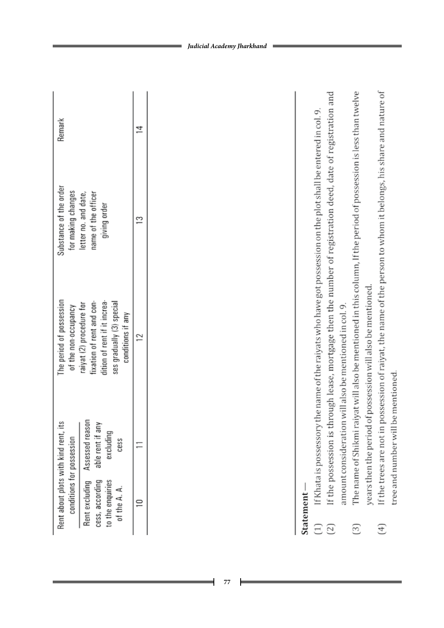| Rent about plots with kind rent, its<br>conditions for possession |                                                                         | The period of possession<br>of the non-occupancy                                                                                        | iubstance of the order<br>for making changes               | Remark |
|-------------------------------------------------------------------|-------------------------------------------------------------------------|-----------------------------------------------------------------------------------------------------------------------------------------|------------------------------------------------------------|--------|
| cess, according<br>to the enquiries<br>of the A. A.               | Rent excluding Assessed reason<br>able rent if any<br>excluding<br>cess | dition of rent if it increa-<br>ses gradually (3) special<br>fixation of rent and con-<br>raiyat (2) procedure for<br>conditions if any | name of the officer<br>etter no. and date,<br>giving order |        |
|                                                                   |                                                                         |                                                                                                                                         |                                                            |        |

# Statement-

- If Khata is possessory the name of the raiyats who have got possession on the plot shall be entered in col. 9.  $\Xi$
- If the possession is through lease, mortgage then the number of registration deed, date of registration and amount consideration will also be mentioned in col. 9.  $\boxed{2}$
- The name of Shikmi raiyat will also be mentioned in this column, If the period of possession is less than twelve years then the period of possession will also be mentioned.  $\begin{bmatrix} 3 \end{bmatrix}$ 
	- If the trees are not in possession of raiyat, the name of the person to whom it belongs, his share and nature of tree and number will be mentioned.  $\bigoplus$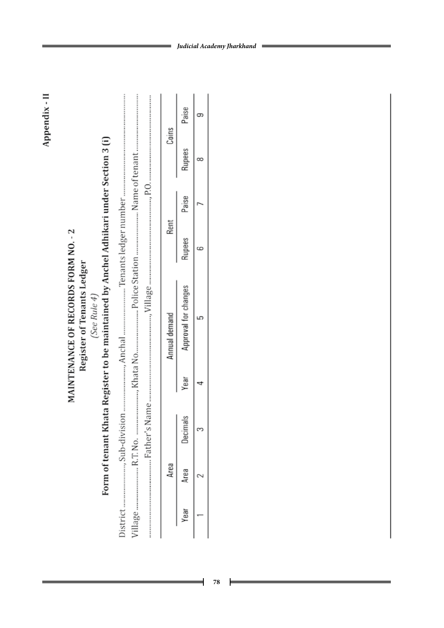|                                                                                                                                                                            | Coins         | Paise                |  |
|----------------------------------------------------------------------------------------------------------------------------------------------------------------------------|---------------|----------------------|--|
|                                                                                                                                                                            |               | Rupees               |  |
|                                                                                                                                                                            |               | Paise                |  |
|                                                                                                                                                                            | Rent          | Rupees               |  |
| Form of tenant Khata Register to be maintained by Anchel Adhikari under Section 3 (i)<br>MAINTENANCE OF RECORDS FORM NO. - 2<br>Register of Tenants Ledger<br>(See Rule 4) | Annual demand | Approval for changes |  |
|                                                                                                                                                                            |               | Year                 |  |
|                                                                                                                                                                            |               | Decimals             |  |
|                                                                                                                                                                            | Area          | Area                 |  |
|                                                                                                                                                                            |               | Year                 |  |

Appendix - II

╡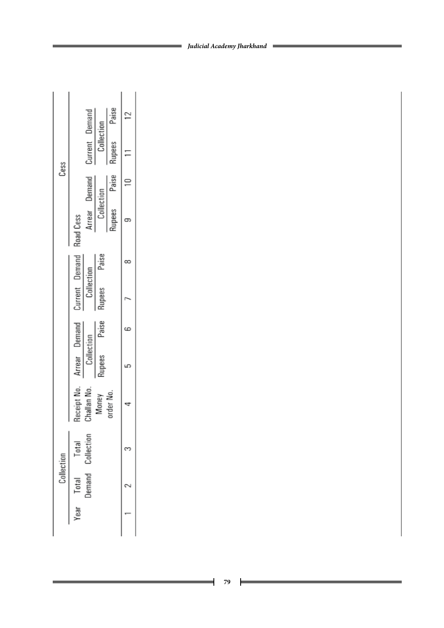|            |                              |                |            | Paise   |  |
|------------|------------------------------|----------------|------------|---------|--|
| Cess       |                              | Current Demand | Collection | Rupees  |  |
|            | Arrear Demand                |                |            | Paise   |  |
|            | Road Cess                    |                | Collection | Rupees  |  |
|            |                              |                | Paise      |         |  |
|            | Current Demand<br>Collection |                | Rupees     |         |  |
|            | Arrear Demand                |                | Paise      |         |  |
|            | Collection                   |                | Rupees     |         |  |
|            | Challan N                    |                | Money      | rder No |  |
| Collection | Demand Collection<br>Total   |                |            |         |  |
|            | Total                        |                |            |         |  |
|            | rear                         |                |            |         |  |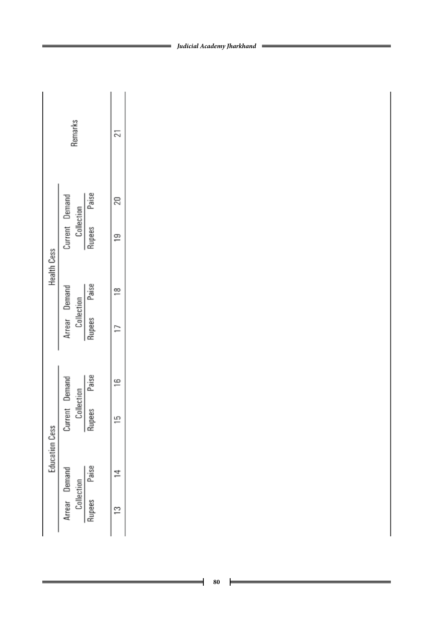|                       | Remarks                                      |        |         |  |
|-----------------------|----------------------------------------------|--------|---------|--|
|                       |                                              |        |         |  |
|                       | Current Demand<br>Collection<br>Rupees Paise |        |         |  |
| <b>Health Cess</b>    |                                              |        |         |  |
|                       | Arrear Demand<br>Collection<br>Rupees Paise  |        |         |  |
|                       |                                              | Paise  |         |  |
| <b>Education Cess</b> | Current Demand<br>Collection                 | Rupees | ما<br>— |  |
|                       |                                              | Paise  |         |  |
|                       | Arrear Demand<br>Collection                  | Rupees |         |  |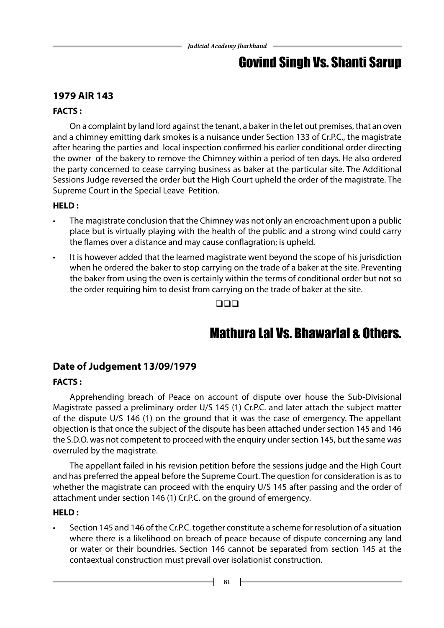# Govind Singh Vs. Shanti Sarup

### **1979 AIR 143**

### **FACTS :**

On a complaint by land lord against the tenant, a baker in the let out premises, that an oven and a chimney emitting dark smokes is a nuisance under Section 133 of Cr.P.C., the magistrate after hearing the parties and local inspection confirmed his earlier conditional order directing the owner of the bakery to remove the Chimney within a period of ten days. He also ordered the party concerned to cease carrying business as baker at the particular site. The Additional Sessions Judge reversed the order but the High Court upheld the order of the magistrate. The Supreme Court in the Special Leave Petition.

### **HELD :**

- The magistrate conclusion that the Chimney was not only an encroachment upon a public place but is virtually playing with the health of the public and a strong wind could carry the flames over a distance and may cause conflagration; is upheld.
- It is however added that the learned magistrate went beyond the scope of his jurisdiction when he ordered the baker to stop carrying on the trade of a baker at the site. Preventing the baker from using the oven is certainly within the terms of conditional order but not so the order requiring him to desist from carrying on the trade of baker at the site.

 $\square\square\square$ 

# Mathura Lal Vs. Bhawarlal & Others.

### **Date of Judgement 13/09/1979**

### **FACTS :**

Apprehending breach of Peace on account of dispute over house the Sub-Divisional Magistrate passed a preliminary order U/S 145 (1) Cr.P.C. and later attach the subject matter of the dispute U/S 146 (1) on the ground that it was the case of emergency. The appellant objection is that once the subject of the dispute has been attached under section 145 and 146 the S.D.O. was not competent to proceed with the enquiry under section 145, but the same was overruled by the magistrate.

The appellant failed in his revision petition before the sessions judge and the High Court and has preferred the appeal before the Supreme Court. The question for consideration is as to whether the magistrate can proceed with the enquiry U/S 145 after passing and the order of attachment under section 146 (1) Cr.P.C. on the ground of emergency.

### **HELD :**

Section 145 and 146 of the Cr.P.C. together constitute a scheme for resolution of a situation where there is a likelihood on breach of peace because of dispute concerning any land or water or their boundries. Section 146 cannot be separated from section 145 at the contaextual construction must prevail over isolationist construction.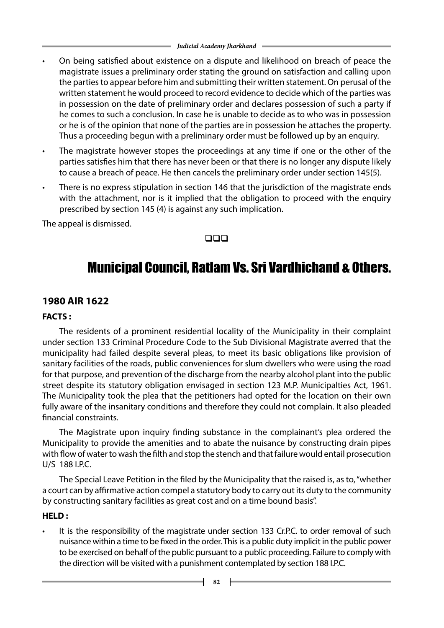- On being satisfied about existence on a dispute and likelihood on breach of peace the magistrate issues a preliminary order stating the ground on satisfaction and calling upon the parties to appear before him and submitting their written statement. On perusal of the written statement he would proceed to record evidence to decide which of the parties was in possession on the date of preliminary order and declares possession of such a party if he comes to such a conclusion. In case he is unable to decide as to who was in possession or he is of the opinion that none of the parties are in possession he attaches the property. Thus a proceeding begun with a preliminary order must be followed up by an enquiry.
- The magistrate however stopes the proceedings at any time if one or the other of the parties satisfies him that there has never been or that there is no longer any dispute likely to cause a breach of peace. He then cancels the preliminary order under section 145(5).
- There is no express stipulation in section 146 that the jurisdiction of the magistrate ends with the attachment, nor is it implied that the obligation to proceed with the enquiry prescribed by section 145 (4) is against any such implication.

The appeal is dismissed.

### $\Box$

# Municipal Council, Ratlam Vs. Sri Vardhichand & Others.

### **1980 AIR 1622**

### **FACTS :**

The residents of a prominent residential locality of the Municipality in their complaint under section 133 Criminal Procedure Code to the Sub Divisional Magistrate averred that the municipality had failed despite several pleas, to meet its basic obligations like provision of sanitary facilities of the roads, public conveniences for slum dwellers who were using the road for that purpose, and prevention of the discharge from the nearby alcohol plant into the public street despite its statutory obligation envisaged in section 123 M.P. Municipalties Act, 1961. The Municipality took the plea that the petitioners had opted for the location on their own fully aware of the insanitary conditions and therefore they could not complain. It also pleaded financial constraints.

The Magistrate upon inquiry finding substance in the complainant's plea ordered the Municipality to provide the amenities and to abate the nuisance by constructing drain pipes with flow of water to wash the filth and stop the stench and that failure would entail prosecution U/S 188 I.P.C.

The Special Leave Petition in the filed by the Municipality that the raised is, as to, "whether a court can by affirmative action compel a statutory body to carry out its duty to the community by constructing sanitary facilities as great cost and on a time bound basis".

### **HELD :**

It is the responsibility of the magistrate under section 133 Cr.P.C. to order removal of such nuisance within a time to be fixed in the order. This is a public duty implicit in the public power to be exercised on behalf of the public pursuant to a public proceeding. Failure to comply with the direction will be visited with a punishment contemplated by section 188 I.P.C.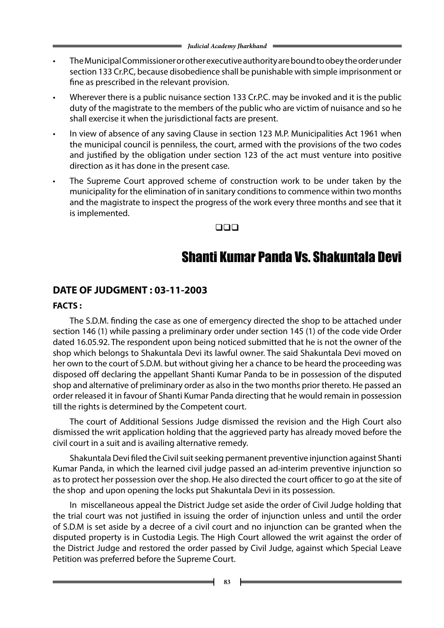- The Municipal Commissioner or other executive authority are bound to obey the order under section 133 Cr.P.C, because disobedience shall be punishable with simple imprisonment or fine as prescribed in the relevant provision.
- Wherever there is a public nuisance section 133 Cr.P.C. may be invoked and it is the public duty of the magistrate to the members of the public who are victim of nuisance and so he shall exercise it when the jurisdictional facts are present.
- In view of absence of any saving Clause in section 123 M.P. Municipalities Act 1961 when the municipal council is penniless, the court, armed with the provisions of the two codes and justified by the obligation under section 123 of the act must venture into positive direction as it has done in the present case.
- The Supreme Court approved scheme of construction work to be under taken by the municipality for the elimination of in sanitary conditions to commence within two months and the magistrate to inspect the progress of the work every three months and see that it is implemented.

#### $\Box \Box \Box$

### Shanti Kumar Panda Vs. Shakuntala Devi

### **DATE OF JUDGMENT : 03-11-2003**

#### **FACTS :**

The S.D.M. finding the case as one of emergency directed the shop to be attached under section 146 (1) while passing a preliminary order under section 145 (1) of the code vide Order dated 16.05.92. The respondent upon being noticed submitted that he is not the owner of the shop which belongs to Shakuntala Devi its lawful owner. The said Shakuntala Devi moved on her own to the court of S.D.M. but without giving her a chance to be heard the proceeding was disposed off declaring the appellant Shanti Kumar Panda to be in possession of the disputed shop and alternative of preliminary order as also in the two months prior thereto. He passed an order released it in favour of Shanti Kumar Panda directing that he would remain in possession till the rights is determined by the Competent court.

The court of Additional Sessions Judge dismissed the revision and the High Court also dismissed the writ application holding that the aggrieved party has already moved before the civil court in a suit and is availing alternative remedy.

Shakuntala Devi filed the Civil suit seeking permanent preventive injunction against Shanti Kumar Panda, in which the learned civil judge passed an ad-interim preventive injunction so as to protect her possession over the shop. He also directed the court officer to go at the site of the shop and upon opening the locks put Shakuntala Devi in its possession.

In miscellaneous appeal the District Judge set aside the order of Civil Judge holding that the trial court was not justified in issuing the order of injunction unless and until the order of S.D.M is set aside by a decree of a civil court and no injunction can be granted when the disputed property is in Custodia Legis. The High Court allowed the writ against the order of the District Judge and restored the order passed by Civil Judge, against which Special Leave Petition was preferred before the Supreme Court.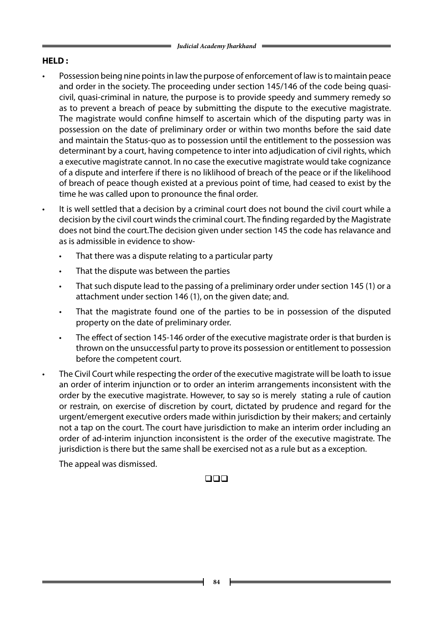### **HELD :**

- Possession being nine points in law the purpose of enforcement of law is to maintain peace and order in the society. The proceeding under section 145/146 of the code being quasicivil, quasi-criminal in nature, the purpose is to provide speedy and summery remedy so as to prevent a breach of peace by submitting the dispute to the executive magistrate. The magistrate would confine himself to ascertain which of the disputing party was in possession on the date of preliminary order or within two months before the said date and maintain the Status-quo as to possession until the entitlement to the possession was determinant by a court, having competence to inter into adjudication of civil rights, which a executive magistrate cannot. In no case the executive magistrate would take cognizance of a dispute and interfere if there is no liklihood of breach of the peace or if the likelihood of breach of peace though existed at a previous point of time, had ceased to exist by the time he was called upon to pronounce the final order.
- It is well settled that a decision by a criminal court does not bound the civil court while a decision by the civil court winds the criminal court. The finding regarded by the Magistrate does not bind the court.The decision given under section 145 the code has relavance and as is admissible in evidence to show-
	- That there was a dispute relating to a particular party
	- That the dispute was between the parties
	- That such dispute lead to the passing of a preliminary order under section 145 (1) or a attachment under section 146 (1), on the given date; and.
	- That the magistrate found one of the parties to be in possession of the disputed property on the date of preliminary order.
	- The effect of section 145-146 order of the executive magistrate order is that burden is thrown on the unsuccessful party to prove its possession or entitlement to possession before the competent court.
- The Civil Court while respecting the order of the executive magistrate will be loath to issue an order of interim injunction or to order an interim arrangements inconsistent with the order by the executive magistrate. However, to say so is merely stating a rule of caution or restrain, on exercise of discretion by court, dictated by prudence and regard for the urgent/emergent executive orders made within jurisdiction by their makers; and certainly not a tap on the court. The court have jurisdiction to make an interim order including an order of ad-interim injunction inconsistent is the order of the executive magistrate. The jurisdiction is there but the same shall be exercised not as a rule but as a exception.

The appeal was dismissed.

### $\square\square\square$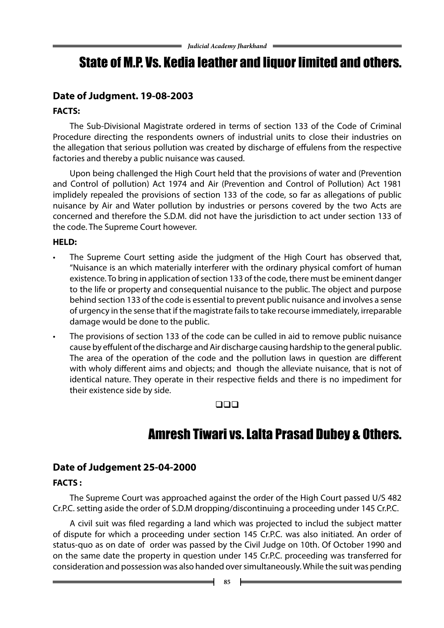# State of M.P. Vs. Kedia leather and liquor limited and others.

### **Date of Judgment. 19-08-2003**

### **FACTS:**

The Sub-Divisional Magistrate ordered in terms of section 133 of the Code of Criminal Procedure directing the respondents owners of industrial units to close their industries on the allegation that serious pollution was created by discharge of effulens from the respective factories and thereby a public nuisance was caused.

Upon being challenged the High Court held that the provisions of water and (Prevention and Control of pollution) Act 1974 and Air (Prevention and Control of Pollution) Act 1981 implidely repealed the provisions of section 133 of the code, so far as allegations of public nuisance by Air and Water pollution by industries or persons covered by the two Acts are concerned and therefore the S.D.M. did not have the jurisdiction to act under section 133 of the code. The Supreme Court however.

### **HELD:**

- The Supreme Court setting aside the judgment of the High Court has observed that, "Nuisance is an which materially interferer with the ordinary physical comfort of human existence. To bring in application of section 133 of the code, there must be eminent danger to the life or property and consequential nuisance to the public. The object and purpose behind section 133 of the code is essential to prevent public nuisance and involves a sense of urgency in the sense that if the magistrate fails to take recourse immediately, irreparable damage would be done to the public.
- The provisions of section 133 of the code can be culled in aid to remove public nuisance cause by effulent of the discharge and Air discharge causing hardship to the general public. The area of the operation of the code and the pollution laws in question are different with wholy different aims and objects; and though the alleviate nuisance, that is not of identical nature. They operate in their respective fields and there is no impediment for their existence side by side.

### $\Box$

# Amresh Tiwari vs. Lalta Prasad Dubey & Others.

### **Date of Judgement 25-04-2000**

### **FACTS :**

The Supreme Court was approached against the order of the High Court passed U/S 482 Cr.P.C. setting aside the order of S.D.M dropping/discontinuing a proceeding under 145 Cr.P.C.

A civil suit was filed regarding a land which was projected to includ the subject matter of dispute for which a proceeding under section 145 Cr.P.C. was also initiated. An order of status-quo as on date of order was passed by the Civil Judge on 10th. Of October 1990 and on the same date the property in question under 145 Cr.P.C. proceeding was transferred for consideration and possession was also handed over simultaneously. While the suit was pending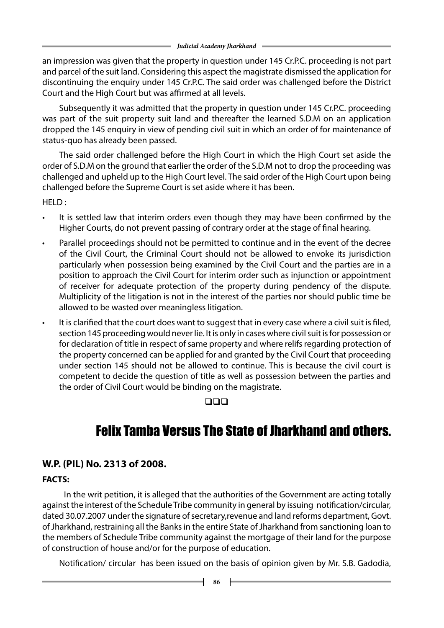an impression was given that the property in question under 145 Cr.P.C. proceeding is not part and parcel of the suit land. Considering this aspect the magistrate dismissed the application for discontinuing the enquiry under 145 Cr.P.C. The said order was challenged before the District Court and the High Court but was affirmed at all levels.

Subsequently it was admitted that the property in question under 145 Cr.P.C. proceeding was part of the suit property suit land and thereafter the learned S.D.M on an application dropped the 145 enquiry in view of pending civil suit in which an order of for maintenance of status-quo has already been passed.

The said order challenged before the High Court in which the High Court set aside the order of S.D.M on the ground that earlier the order of the S.D.M not to drop the proceeding was challenged and upheld up to the High Court level. The said order of the High Court upon being challenged before the Supreme Court is set aside where it has been.

HELD :

- It is settled law that interim orders even though they may have been confirmed by the Higher Courts, do not prevent passing of contrary order at the stage of final hearing.
- Parallel proceedings should not be permitted to continue and in the event of the decree of the Civil Court, the Criminal Court should not be allowed to envoke its jurisdiction particularly when possession being examined by the Civil Court and the parties are in a position to approach the Civil Court for interim order such as injunction or appointment of receiver for adequate protection of the property during pendency of the dispute. Multiplicity of the litigation is not in the interest of the parties nor should public time be allowed to be wasted over meaningless litigation.
- It is clarified that the court does want to suggest that in every case where a civil suit is filed, section 145 proceeding would never lie. It is only in cases where civil suit is for possession or for declaration of title in respect of same property and where relifs regarding protection of the property concerned can be applied for and granted by the Civil Court that proceeding under section 145 should not be allowed to continue. This is because the civil court is competent to decide the question of title as well as possession between the parties and the order of Civil Court would be binding on the magistrate.

### $\square\square\square$

# Felix Tamba Versus The State of Jharkhand and others.

### **W.P. (PIL) No. 2313 of 2008.**

### **FACTS:**

 In the writ petition, it is alleged that the authorities of the Government are acting totally against the interest of the Schedule Tribe community in general by issuing notification/circular, dated 30.07.2007 under the signature of secretary,revenue and land reforms department, Govt. of Jharkhand, restraining all the Banks in the entire State of Jharkhand from sanctioning loan to the members of Schedule Tribe community against the mortgage of their land for the purpose of construction of house and/or for the purpose of education.

Notification/ circular has been issued on the basis of opinion given by Mr. S.B. Gadodia,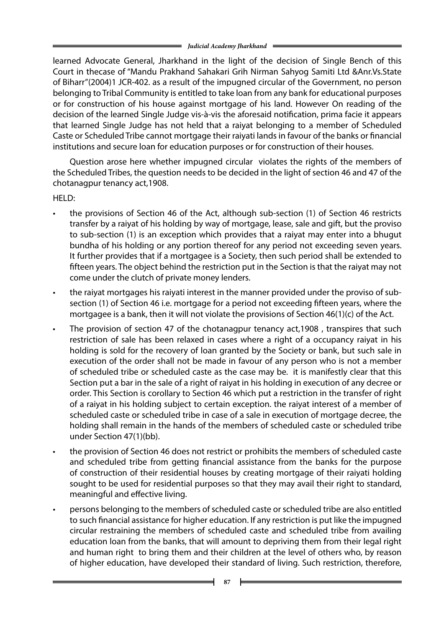learned Advocate General, Jharkhand in the light of the decision of Single Bench of this Court in thecase of "Mandu Prakhand Sahakari Grih Nirman Sahyog Samiti Ltd &Anr.Vs.State of Biharr"(2004)1 JCR-402. as a result of the impugned circular of the Government, no person belonging to Tribal Community is entitled to take loan from any bank for educational purposes or for construction of his house against mortgage of his land. However On reading of the decision of the learned Single Judge vis-à-vis the aforesaid notification, prima facie it appears that learned Single Judge has not held that a raiyat belonging to a member of Scheduled Caste or Scheduled Tribe cannot mortgage their raiyati lands in favour of the banks or financial institutions and secure loan for education purposes or for construction of their houses.

Question arose here whether impugned circular violates the rights of the members of the Scheduled Tribes, the question needs to be decided in the light of section 46 and 47 of the chotanagpur tenancy act,1908.

HELD:

- the provisions of Section 46 of the Act, although sub-section (1) of Section 46 restricts transfer by a raiyat of his holding by way of mortgage, lease, sale and gift, but the proviso to sub-section (1) is an exception which provides that a raiyat may enter into a bhugut bundha of his holding or any portion thereof for any period not exceeding seven years. It further provides that if a mortgagee is a Society, then such period shall be extended to fifteen years. The object behind the restriction put in the Section is that the raiyat may not come under the clutch of private money lenders.
- the raiyat mortgages his raiyati interest in the manner provided under the proviso of subsection (1) of Section 46 i.e. mortgage for a period not exceeding fifteen years, where the mortgagee is a bank, then it will not violate the provisions of Section 46(1)(c) of the Act.
- The provision of section 47 of the chotanagpur tenancy act,1908, transpires that such restriction of sale has been relaxed in cases where a right of a occupancy raiyat in his holding is sold for the recovery of loan granted by the Society or bank, but such sale in execution of the order shall not be made in favour of any person who is not a member of scheduled tribe or scheduled caste as the case may be. it is manifestly clear that this Section put a bar in the sale of a right of raiyat in his holding in execution of any decree or order. This Section is corollary to Section 46 which put a restriction in the transfer of right of a raiyat in his holding subject to certain exception. the raiyat interest of a member of scheduled caste or scheduled tribe in case of a sale in execution of mortgage decree, the holding shall remain in the hands of the members of scheduled caste or scheduled tribe under Section 47(1)(bb).
- the provision of Section 46 does not restrict or prohibits the members of scheduled caste and scheduled tribe from getting financial assistance from the banks for the purpose of construction of their residential houses by creating mortgage of their raiyati holding sought to be used for residential purposes so that they may avail their right to standard, meaningful and effective living.
- persons belonging to the members of scheduled caste or scheduled tribe are also entitled to such financial assistance for higher education. If any restriction is put like the impugned circular restraining the members of scheduled caste and scheduled tribe from availing education loan from the banks, that will amount to depriving them from their legal right and human right to bring them and their children at the level of others who, by reason of higher education, have developed their standard of living. Such restriction, therefore,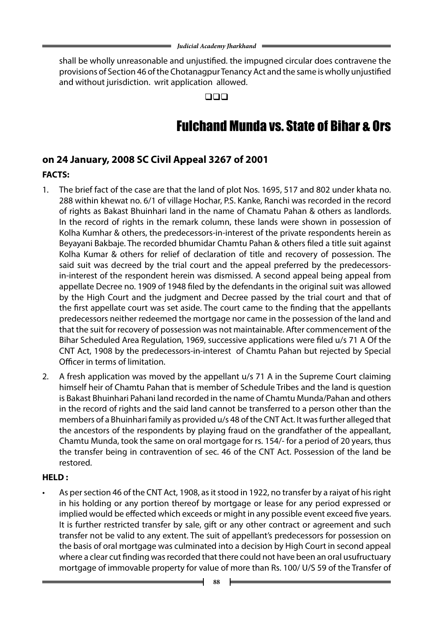shall be wholly unreasonable and unjustified. the impugned circular does contravene the provisions of Section 46 of the Chotanagpur Tenancy Act and the same is wholly unjustified and without jurisdiction. writ application allowed.

 $\Box \Box \Box$ 

# Fulchand Munda vs. State of Bihar & Ors

### **on 24 January, 2008 SC Civil Appeal 3267 of 2001**

### **FACTS:**

- 1. The brief fact of the case are that the land of plot Nos. 1695, 517 and 802 under khata no. 288 within khewat no. 6/1 of village Hochar, P.S. Kanke, Ranchi was recorded in the record of rights as Bakast Bhuinhari land in the name of Chamatu Pahan & others as landlords. In the record of rights in the remark column, these lands were shown in possession of Kolha Kumhar & others, the predecessors-in-interest of the private respondents herein as Beyayani Bakbaje. The recorded bhumidar Chamtu Pahan & others filed a title suit against Kolha Kumar & others for relief of declaration of title and recovery of possession. The said suit was decreed by the trial court and the appeal preferred by the predecessorsin-interest of the respondent herein was dismissed. A second appeal being appeal from appellate Decree no. 1909 of 1948 filed by the defendants in the original suit was allowed by the High Court and the judgment and Decree passed by the trial court and that of the first appellate court was set aside. The court came to the finding that the appellants predecessors neither redeemed the mortgage nor came in the possession of the land and that the suit for recovery of possession was not maintainable. After commencement of the Bihar Scheduled Area Regulation, 1969, successive applications were filed u/s 71 A Of the CNT Act, 1908 by the predecessors-in-interest of Chamtu Pahan but rejected by Special Officer in terms of limitation.
- 2. A fresh application was moved by the appellant u/s 71 A in the Supreme Court claiming himself heir of Chamtu Pahan that is member of Schedule Tribes and the land is question is Bakast Bhuinhari Pahani land recorded in the name of Chamtu Munda/Pahan and others in the record of rights and the said land cannot be transferred to a person other than the members of a Bhuinhari family as provided u/s 48 of the CNT Act. It was further alleged that the ancestors of the respondents by playing fraud on the grandfather of the appeallant, Chamtu Munda, took the same on oral mortgage for rs. 154/- for a period of 20 years, thus the transfer being in contravention of sec. 46 of the CNT Act. Possession of the land be restored.

### **HELD :**

As per section 46 of the CNT Act, 1908, as it stood in 1922, no transfer by a raiyat of his right in his holding or any portion thereof by mortgage or lease for any period expressed or implied would be effected which exceeds or might in any possible event exceed five years. It is further restricted transfer by sale, gift or any other contract or agreement and such transfer not be valid to any extent. The suit of appellant's predecessors for possession on the basis of oral mortgage was culminated into a decision by High Court in second appeal where a clear cut finding was recorded that there could not have been an oral usufructuary mortgage of immovable property for value of more than Rs. 100/ U/S 59 of the Transfer of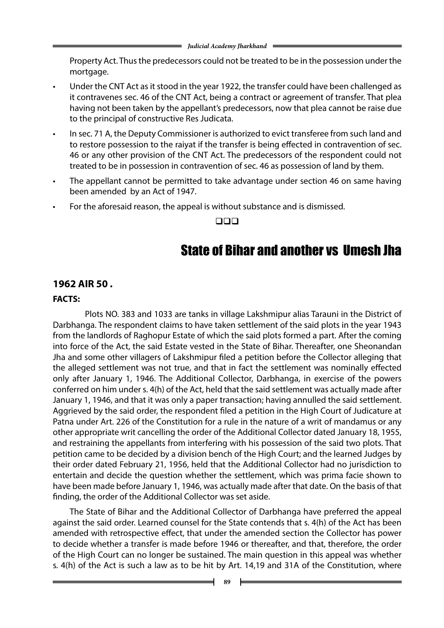Property Act. Thus the predecessors could not be treated to be in the possession under the mortgage.

- Under the CNT Act as it stood in the year 1922, the transfer could have been challenged as it contravenes sec. 46 of the CNT Act, being a contract or agreement of transfer. That plea having not been taken by the appellant's predecessors, now that plea cannot be raise due to the principal of constructive Res Judicata.
- In sec. 71 A, the Deputy Commissioner is authorized to evict transferee from such land and to restore possession to the raiyat if the transfer is being effected in contravention of sec. 46 or any other provision of the CNT Act. The predecessors of the respondent could not treated to be in possession in contravention of sec. 46 as possession of land by them.
- The appellant cannot be permitted to take advantage under section 46 on same having been amended by an Act of 1947.
- For the aforesaid reason, the appeal is without substance and is dismissed.

 $\Box$ 

### State of Bihar and another vs Umesh Jha

### **1962 AIR 50 .**

### **FACTS:**

 Plots NO. 383 and 1033 are tanks in village Lakshmipur alias Tarauni in the District of Darbhanga. The respondent claims to have taken settlement of the said plots in the year 1943 from the landlords of Raghopur Estate of which the said plots formed a part. After the coming into force of the Act, the said Estate vested in the State of Bihar. Thereafter, one Sheonandan Jha and some other villagers of Lakshmipur filed a petition before the Collector alleging that the alleged settlement was not true, and that in fact the settlement was nominally effected only after January 1, 1946. The Additional Collector, Darbhanga, in exercise of the powers conferred on him under s. 4(h) of the Act, held that the said settlement was actually made after January 1, 1946, and that it was only a paper transaction; having annulled the said settlement. Aggrieved by the said order, the respondent filed a petition in the High Court of Judicature at Patna under Art. 226 of the Constitution for a rule in the nature of a writ of mandamus or any other appropriate writ cancelling the order of the Additional Collector dated January 18, 1955, and restraining the appellants from interfering with his possession of the said two plots. That petition came to be decided by a division bench of the High Court; and the learned Judges by their order dated February 21, 1956, held that the Additional Collector had no jurisdiction to entertain and decide the question whether the settlement, which was prima facie shown to have been made before January 1, 1946, was actually made after that date. On the basis of that finding, the order of the Additional Collector was set aside.

The State of Bihar and the Additional Collector of Darbhanga have preferred the appeal against the said order. Learned counsel for the State contends that s. 4(h) of the Act has been amended with retrospective effect, that under the amended section the Collector has power to decide whether a transfer is made before 1946 or thereafter, and that, therefore, the order of the High Court can no longer be sustained. The main question in this appeal was whether s. 4(h) of the Act is such a law as to be hit by Art. 14,19 and 31A of the Constitution, where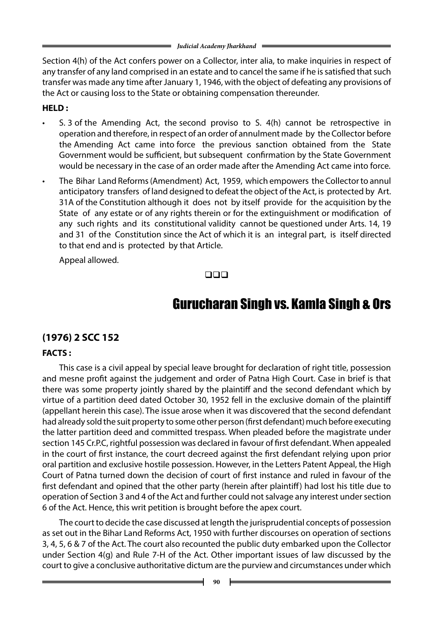Section 4(h) of the Act confers power on a Collector, inter alia, to make inquiries in respect of any transfer of any land comprised in an estate and to cancel the same if he is satisfied that such transfer was made any time after January 1, 1946, with the object of defeating any provisions of the Act or causing loss to the State or obtaining compensation thereunder.

### **HELD :**

- 5. 3 of the Amending Act, the second proviso to S.  $4(h)$  cannot be retrospective in operation and therefore, in respect of an order of annulment made by the Collector before the Amending Act came into force the previous sanction obtained from the State Government would be sufficient, but subsequent confirmation by the State Government would be necessary in the case of an order made after the Amending Act came into force.
- The Bihar Land Reforms (Amendment) Act, 1959, which empowers the Collector to annul anticipatory transfers of land designed to defeat the object of the Act, is protected by Art. 31A of the Constitution although it does not by itself provide for the acquisition by the State of any estate or of any rights therein or for the extinguishment or modification of any such rights and its constitutional validity cannot be questioned under Arts. 14, 19 and 31 of the Constitution since the Act of which it is an integral part, is itself directed to that end and is protected by that Article.

Appeal allowed.

### $\Box$

# Gurucharan Singh vs. Kamla Singh & Ors

### **(1976) 2 SCC 152**

### **FACTS :**

This case is a civil appeal by special leave brought for declaration of right title, possession and mesne profit against the judgement and order of Patna High Court. Case in brief is that there was some property jointly shared by the plaintiff and the second defendant which by virtue of a partition deed dated October 30, 1952 fell in the exclusive domain of the plaintiff (appellant herein this case). The issue arose when it was discovered that the second defendant had already sold the suit property to some other person (first defendant) much before executing the latter partition deed and committed trespass. When pleaded before the magistrate under section 145 Cr.P.C, rightful possession was declared in favour of first defendant. When appealed in the court of first instance, the court decreed against the first defendant relying upon prior oral partition and exclusive hostile possession. However, in the Letters Patent Appeal, the High Court of Patna turned down the decision of court of first instance and ruled in favour of the first defendant and opined that the other party (herein after plaintiff) had lost his title due to operation of Section 3 and 4 of the Act and further could not salvage any interest under section 6 of the Act. Hence, this writ petition is brought before the apex court.

The court to decide the case discussed at length the jurisprudential concepts of possession as set out in the Bihar Land Reforms Act, 1950 with further discourses on operation of sections 3, 4, 5, 6 & 7 of the Act. The court also recounted the public duty embarked upon the Collector under Section 4(g) and Rule 7-H of the Act. Other important issues of law discussed by the court to give a conclusive authoritative dictum are the purview and circumstances under which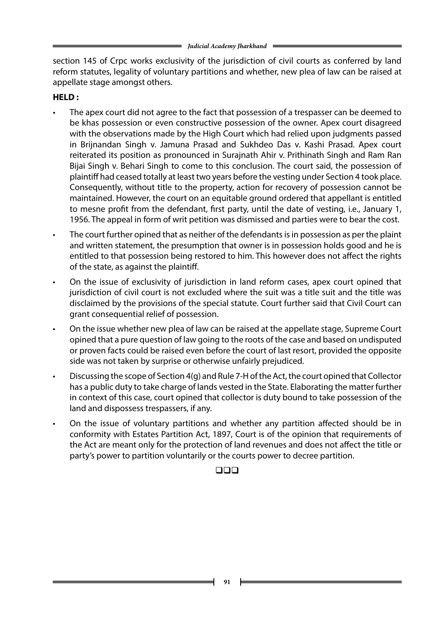section 145 of Crpc works exclusivity of the jurisdiction of civil courts as conferred by land reform statutes, legality of voluntary partitions and whether, new plea of law can be raised at appellate stage amongst others.

### **HELD :**

- The apex court did not agree to the fact that possession of a trespasser can be deemed to be khas possession or even constructive possession of the owner. Apex court disagreed with the observations made by the High Court which had relied upon judgments passed in Brijnandan Singh v. Jamuna Prasad and Sukhdeo Das v. Kashi Prasad. Apex court reiterated its position as pronounced in Surajnath Ahir v. Prithinath Singh and Ram Ran Bijai Singh v. Behari Singh to come to this conclusion. The court said, the possession of plaintiff had ceased totally at least two years before the vesting under Section 4 took place. Consequently, without title to the property, action for recovery of possession cannot be maintained. However, the court on an equitable ground ordered that appellant is entitled to mesne profit from the defendant, first party, until the date of vesting, i.e., January 1, 1956. The appeal in form of writ petition was dismissed and parties were to bear the cost.
- The court further opined that as neither of the defendants is in possession as per the plaint and written statement, the presumption that owner is in possession holds good and he is entitled to that possession being restored to him. This however does not affect the rights of the state, as against the plaintiff.
- On the issue of exclusivity of jurisdiction in land reform cases, apex court opined that jurisdiction of civil court is not excluded where the suit was a title suit and the title was disclaimed by the provisions of the special statute. Court further said that Civil Court can grant consequential relief of possession.
- On the issue whether new plea of law can be raised at the appellate stage, Supreme Court opined that a pure question of law going to the roots of the case and based on undisputed or proven facts could be raised even before the court of last resort, provided the opposite side was not taken by surprise or otherwise unfairly prejudiced.
- Discussing the scope of Section 4(g) and Rule 7-H of the Act, the court opined that Collector has a public duty to take charge of lands vested in the State. Elaborating the matter further in context of this case, court opined that collector is duty bound to take possession of the land and dispossess trespassers, if any.
- On the issue of voluntary partitions and whether any partition affected should be in conformity with Estates Partition Act, 1897, Court is of the opinion that requirements of the Act are meant only for the protection of land revenues and does not affect the title or party's power to partition voluntarily or the courts power to decree partition.

### $\square\square\square$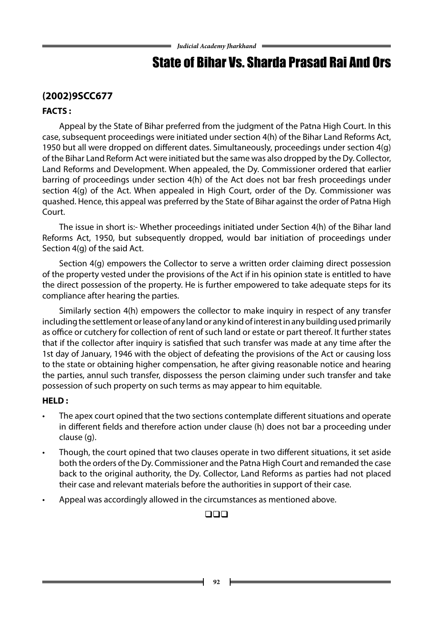# State of Bihar Vs. Sharda Prasad Rai And Ors

### **(2002)9SCC677**

### **FACTS :**

Appeal by the State of Bihar preferred from the judgment of the Patna High Court. In this case, subsequent proceedings were initiated under section 4(h) of the Bihar Land Reforms Act, 1950 but all were dropped on different dates. Simultaneously, proceedings under section 4(g) of the Bihar Land Reform Act were initiated but the same was also dropped by the Dy. Collector, Land Reforms and Development. When appealed, the Dy. Commissioner ordered that earlier barring of proceedings under section 4(h) of the Act does not bar fresh proceedings under section 4(g) of the Act. When appealed in High Court, order of the Dy. Commissioner was quashed. Hence, this appeal was preferred by the State of Bihar against the order of Patna High Court.

The issue in short is:- Whether proceedings initiated under Section 4(h) of the Bihar land Reforms Act, 1950, but subsequently dropped, would bar initiation of proceedings under Section 4(g) of the said Act.

Section 4(g) empowers the Collector to serve a written order claiming direct possession of the property vested under the provisions of the Act if in his opinion state is entitled to have the direct possession of the property. He is further empowered to take adequate steps for its compliance after hearing the parties.

Similarly section 4(h) empowers the collector to make inquiry in respect of any transfer including the settlement or lease of any land or any kind of interest in any building used primarily as office or cutchery for collection of rent of such land or estate or part thereof. It further states that if the collector after inquiry is satisfied that such transfer was made at any time after the 1st day of January, 1946 with the object of defeating the provisions of the Act or causing loss to the state or obtaining higher compensation, he after giving reasonable notice and hearing the parties, annul such transfer, dispossess the person claiming under such transfer and take possession of such property on such terms as may appear to him equitable.

### **HELD :**

- • The apex court opined that the two sections contemplate different situations and operate in different fields and therefore action under clause (h) does not bar a proceeding under clause (g).
- Though, the court opined that two clauses operate in two different situations, it set aside both the orders of the Dy. Commissioner and the Patna High Court and remanded the case back to the original authority, the Dy. Collector, Land Reforms as parties had not placed their case and relevant materials before the authorities in support of their case.
- Appeal was accordingly allowed in the circumstances as mentioned above.

### $\square\square\square$

**92**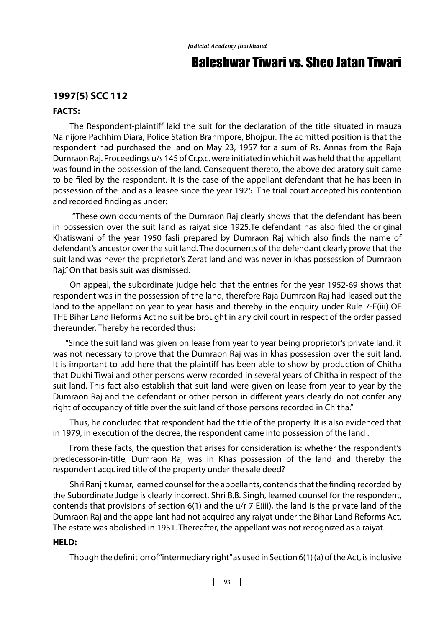### Baleshwar Tiwari vs. Sheo Jatan Tiwari

### **1997(5) SCC 112**

### **FACTS:**

The Respondent-plaintiff laid the suit for the declaration of the title situated in mauza Nainijore Pachhim Diara, Police Station Brahmpore, Bhojpur. The admitted position is that the respondent had purchased the land on May 23, 1957 for a sum of Rs. Annas from the Raja Dumraon Raj. Proceedings u/s 145 of Cr.p.c. were initiated in which it was held that the appellant was found in the possession of the land. Consequent thereto, the above declaratory suit came to be filed by the respondent. It is the case of the appellant-defendant that he has been in possession of the land as a leasee since the year 1925. The trial court accepted his contention and recorded finding as under:

 "These own documents of the Dumraon Raj clearly shows that the defendant has been in possession over the suit land as raiyat sice 1925.Te defendant has also filed the original Khatiswani of the year 1950 fasli prepared by Dumraon Raj which also finds the name of defendant's ancestor over the suit land. The documents of the defendant clearly prove that the suit land was never the proprietor's Zerat land and was never in khas possession of Dumraon Raj." On that basis suit was dismissed.

On appeal, the subordinate judge held that the entries for the year 1952-69 shows that respondent was in the possession of the land, therefore Raja Dumraon Raj had leased out the land to the appellant on year to year basis and thereby in the enquiry under Rule 7-E(iii) OF THE Bihar Land Reforms Act no suit be brought in any civil court in respect of the order passed thereunder. Thereby he recorded thus:

 "Since the suit land was given on lease from year to year being proprietor's private land, it was not necessary to prove that the Dumraon Raj was in khas possession over the suit land. It is important to add here that the plaintiff has been able to show by production of Chitha that Dukhi Tiwai and other persons werw recorded in several years of Chitha in respect of the suit land. This fact also establish that suit land were given on lease from year to year by the Dumraon Raj and the defendant or other person in different years clearly do not confer any right of occupancy of title over the suit land of those persons recorded in Chitha."

Thus, he concluded that respondent had the title of the property. It is also evidenced that in 1979, in execution of the decree, the respondent came into possession of the land .

From these facts, the question that arises for consideration is: whether the respondent's predecessor-in-title, Dumraon Raj was in Khas possession of the land and thereby the respondent acquired title of the property under the sale deed?

Shri Ranjit kumar, learned counsel for the appellants, contends that the finding recorded by the Subordinate Judge is clearly incorrect. Shri B.B. Singh, learned counsel for the respondent, contends that provisions of section 6(1) and the u/r 7 E(iii), the land is the private land of the Dumraon Raj and the appellant had not acquired any raiyat under the Bihar Land Reforms Act. The estate was abolished in 1951. Thereafter, the appellant was not recognized as a raiyat.

### **HELD:**

Though the definition of "intermediary right" as used in Section 6(1) (a) of the Act, is inclusive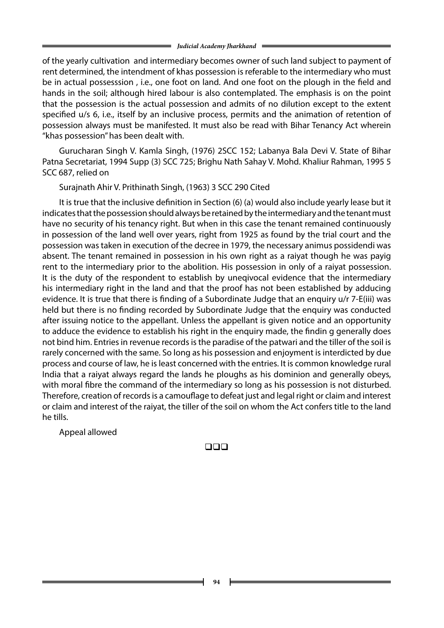of the yearly cultivation and intermediary becomes owner of such land subject to payment of rent determined, the intendment of khas possession is referable to the intermediary who must be in actual possesssion , i.e., one foot on land. And one foot on the plough in the field and hands in the soil; although hired labour is also contemplated. The emphasis is on the point that the possession is the actual possession and admits of no dilution except to the extent specified u/s 6, i.e., itself by an inclusive process, permits and the animation of retention of possession always must be manifested. It must also be read with Bihar Tenancy Act wherein "khas possession" has been dealt with.

Gurucharan Singh V. Kamla Singh, (1976) 2SCC 152; Labanya Bala Devi V. State of Bihar Patna Secretariat, 1994 Supp (3) SCC 725; Brighu Nath Sahay V. Mohd. Khaliur Rahman, 1995 5 SCC 687, relied on

Surajnath Ahir V. Prithinath Singh, (1963) 3 SCC 290 Cited

It is true that the inclusive definition in Section (6) (a) would also include yearly lease but it indicates that the possession should always be retained by the intermediary and the tenant must have no security of his tenancy right. But when in this case the tenant remained continuously in possession of the land well over years, right from 1925 as found by the trial court and the possession was taken in execution of the decree in 1979, the necessary animus possidendi was absent. The tenant remained in possession in his own right as a raiyat though he was payig rent to the intermediary prior to the abolition. His possession in only of a raiyat possession. It is the duty of the respondent to establish by uneqivocal evidence that the intermediary his intermediary right in the land and that the proof has not been established by adducing evidence. It is true that there is finding of a Subordinate Judge that an enquiry u/r 7-E(iii) was held but there is no finding recorded by Subordinate Judge that the enquiry was conducted after issuing notice to the appellant. Unless the appellant is given notice and an opportunity to adduce the evidence to establish his right in the enquiry made, the findin g generally does not bind him. Entries in revenue records is the paradise of the patwari and the tiller of the soil is rarely concerned with the same. So long as his possession and enjoyment is interdicted by due process and course of law, he is least concerned with the entries. It is common knowledge rural India that a raiyat always regard the lands he ploughs as his dominion and generally obeys, with moral fibre the command of the intermediary so long as his possession is not disturbed. Therefore, creation of records is a camouflage to defeat just and legal right or claim and interest or claim and interest of the raiyat, the tiller of the soil on whom the Act confers title to the land he tills.

Appeal allowed

### $\Box$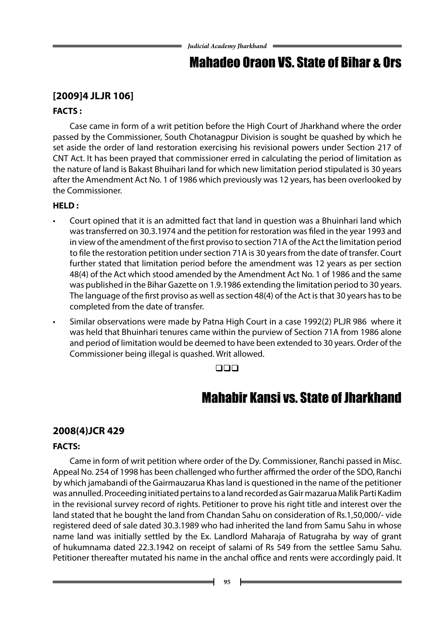### Mahadeo Oraon VS. State of Bihar & Ors

### **[2009]4 JLJR 106]**

### **FACTS :**

Case came in form of a writ petition before the High Court of Jharkhand where the order passed by the Commissioner, South Chotanagpur Division is sought be quashed by which he set aside the order of land restoration exercising his revisional powers under Section 217 of CNT Act. It has been prayed that commissioner erred in calculating the period of limitation as the nature of land is Bakast Bhuihari land for which new limitation period stipulated is 30 years after the Amendment Act No. 1 of 1986 which previously was 12 years, has been overlooked by the Commissioner.

### **HELD :**

- Court opined that it is an admitted fact that land in question was a Bhuinhari land which was transferred on 30.3.1974 and the petition for restoration was filed in the year 1993 and in view of the amendment of the first proviso to section 71A of the Act the limitation period to file the restoration petition under section 71A is 30 years from the date of transfer. Court further stated that limitation period before the amendment was 12 years as per section 48(4) of the Act which stood amended by the Amendment Act No. 1 of 1986 and the same was published in the Bihar Gazette on 1.9.1986 extending the limitation period to 30 years. The language of the first proviso as well as section 48(4) of the Act is that 30 years has to be completed from the date of transfer.
- Similar observations were made by Patna High Court in a case 1992(2) PLJR 986 where it was held that Bhuinhari tenures came within the purview of Section 71A from 1986 alone and period of limitation would be deemed to have been extended to 30 years. Order of the Commissioner being illegal is quashed. Writ allowed.

### $\Box$

### Mahabir Kansi vs. State of Jharkhand

### **2008(4)JCR 429**

### **FACTS:**

Came in form of writ petition where order of the Dy. Commissioner, Ranchi passed in Misc. Appeal No. 254 of 1998 has been challenged who further affirmed the order of the SDO, Ranchi by which jamabandi of the Gairmauzarua Khas land is questioned in the name of the petitioner was annulled. Proceeding initiated pertains to a land recorded as Gair mazarua Malik Parti Kadim in the revisional survey record of rights. Petitioner to prove his right title and interest over the land stated that he bought the land from Chandan Sahu on consideration of Rs.1,50,000/- vide registered deed of sale dated 30.3.1989 who had inherited the land from Samu Sahu in whose name land was initially settled by the Ex. Landlord Maharaja of Ratugraha by way of grant of hukumnama dated 22.3.1942 on receipt of salami of Rs 549 from the settlee Samu Sahu. Petitioner thereafter mutated his name in the anchal office and rents were accordingly paid. It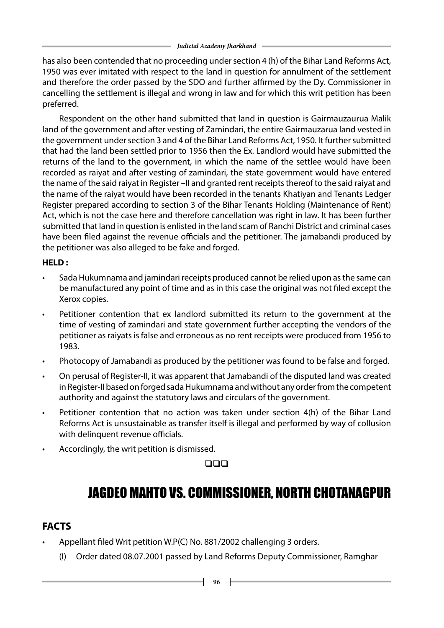has also been contended that no proceeding under section 4 (h) of the Bihar Land Reforms Act, 1950 was ever imitated with respect to the land in question for annulment of the settlement and therefore the order passed by the SDO and further affirmed by the Dy. Commissioner in cancelling the settlement is illegal and wrong in law and for which this writ petition has been preferred.

Respondent on the other hand submitted that land in question is Gairmauzaurua Malik land of the government and after vesting of Zamindari, the entire Gairmauzarua land vested in the government under section 3 and 4 of the Bihar Land Reforms Act, 1950. It further submitted that had the land been settled prior to 1956 then the Ex. Landlord would have submitted the returns of the land to the government, in which the name of the settlee would have been recorded as raiyat and after vesting of zamindari, the state government would have entered the name of the said raiyat in Register –II and granted rent receipts thereof to the said raiyat and the name of the raiyat would have been recorded in the tenants Khatiyan and Tenants Ledger Register prepared according to section 3 of the Bihar Tenants Holding (Maintenance of Rent) Act, which is not the case here and therefore cancellation was right in law. It has been further submitted that land in question is enlisted in the land scam of Ranchi District and criminal cases have been filed against the revenue officials and the petitioner. The jamabandi produced by the petitioner was also alleged to be fake and forged.

### **HELD :**

- Sada Hukumnama and jamindari receipts produced cannot be relied upon as the same can be manufactured any point of time and as in this case the original was not filed except the Xerox copies.
- Petitioner contention that ex landlord submitted its return to the government at the time of vesting of zamindari and state government further accepting the vendors of the petitioner as raiyats is false and erroneous as no rent receipts were produced from 1956 to 1983.
- Photocopy of Jamabandi as produced by the petitioner was found to be false and forged.
- On perusal of Register-II, it was apparent that Jamabandi of the disputed land was created in Register-II based on forged sada Hukumnama and without any order from the competent authority and against the statutory laws and circulars of the government.
- Petitioner contention that no action was taken under section  $4(h)$  of the Bihar Land Reforms Act is unsustainable as transfer itself is illegal and performed by way of collusion with delinquent revenue officials.
- Accordingly, the writ petition is dismissed.

### $\square\square\square$

# JAGDEO MAHTO VS. COMMISSIONER, NORTH CHOTANAGPUR

### **FACTS**

- Appellant filed Writ petition W.P(C) No. 881/2002 challenging 3 orders.
	- (I) Order dated 08.07.2001 passed by Land Reforms Deputy Commissioner, Ramghar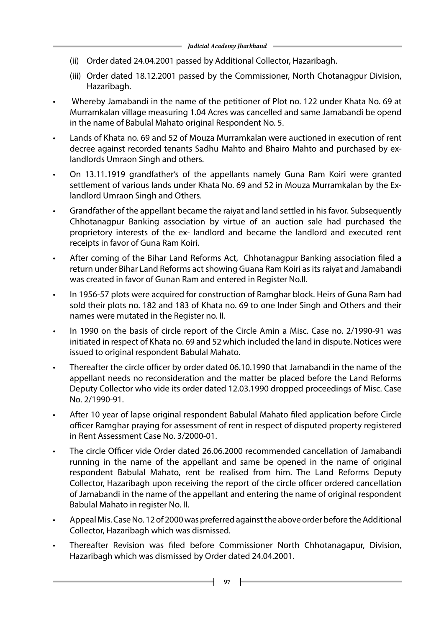- (ii) Order dated 24.04.2001 passed by Additional Collector, Hazaribagh.
- (iii) Order dated 18.12.2001 passed by the Commissioner, North Chotanagpur Division, Hazaribagh.
- Whereby Jamabandi in the name of the petitioner of Plot no. 122 under Khata No. 69 at Murramkalan village measuring 1.04 Acres was cancelled and same Jamabandi be opend in the name of Babulal Mahato original Respondent No. 5.
- Lands of Khata no. 69 and 52 of Mouza Murramkalan were auctioned in execution of rent decree against recorded tenants Sadhu Mahto and Bhairo Mahto and purchased by exlandlords Umraon Singh and others.
- On 13.11.1919 grandfather's of the appellants namely Guna Ram Koiri were granted settlement of various lands under Khata No. 69 and 52 in Mouza Murramkalan by the Exlandlord Umraon Singh and Others.
- Grandfather of the appellant became the raivat and land settled in his favor. Subsequently Chhotanagpur Banking association by virtue of an auction sale had purchased the proprietory interests of the ex- landlord and became the landlord and executed rent receipts in favor of Guna Ram Koiri.
- After coming of the Bihar Land Reforms Act, Chhotanagpur Banking association filed a return under Bihar Land Reforms act showing Guana Ram Koiri as its raiyat and Jamabandi was created in favor of Gunan Ram and entered in Register No.II.
- • In 1956-57 plots were acquired for construction of Ramghar block. Heirs of Guna Ram had sold their plots no. 182 and 183 of Khata no. 69 to one Inder Singh and Others and their names were mutated in the Register no. II.
- In 1990 on the basis of circle report of the Circle Amin a Misc. Case no. 2/1990-91 was initiated in respect of Khata no. 69 and 52 which included the land in dispute. Notices were issued to original respondent Babulal Mahato.
- Thereafter the circle officer by order dated 06.10.1990 that Jamabandi in the name of the appellant needs no reconsideration and the matter be placed before the Land Reforms Deputy Collector who vide its order dated 12.03.1990 dropped proceedings of Misc. Case No. 2/1990-91.
- After 10 year of lapse original respondent Babulal Mahato filed application before Circle officer Ramghar praying for assessment of rent in respect of disputed property registered in Rent Assessment Case No. 3/2000-01.
- The circle Officer vide Order dated 26.06.2000 recommended cancellation of Jamabandi running in the name of the appellant and same be opened in the name of original respondent Babulal Mahato, rent be realised from him. The Land Reforms Deputy Collector, Hazaribagh upon receiving the report of the circle officer ordered cancellation of Jamabandi in the name of the appellant and entering the name of original respondent Babulal Mahato in register No. II.
- Appeal Mis. Case No. 12 of 2000 was preferred against the above order before the Additional Collector, Hazaribagh which was dismissed.
- Thereafter Revision was filed before Commissioner North Chhotanagapur, Division, Hazaribagh which was dismissed by Order dated 24.04.2001.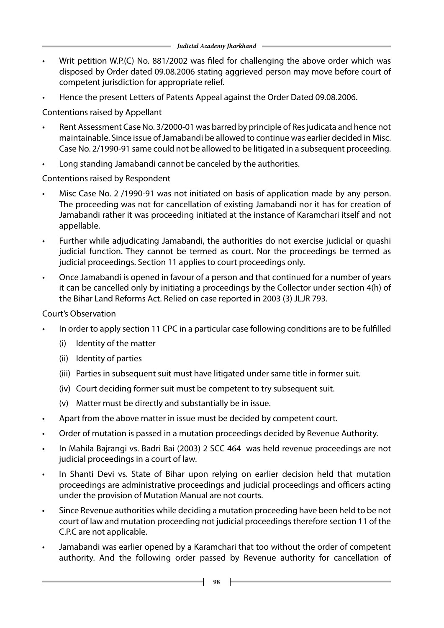- Writ petition W.P.(C) No. 881/2002 was filed for challenging the above order which was disposed by Order dated 09.08.2006 stating aggrieved person may move before court of competent jurisdiction for appropriate relief.
- Hence the present Letters of Patents Appeal against the Order Dated 09.08.2006.

Contentions raised by Appellant

- Rent Assessment Case No. 3/2000-01 was barred by principle of Res judicata and hence not maintainable. Since issue of Jamabandi be allowed to continue was earlier decided in Misc. Case No. 2/1990-91 same could not be allowed to be litigated in a subsequent proceeding.
- Long standing Jamabandi cannot be canceled by the authorities.

Contentions raised by Respondent

- Misc Case No. 2 /1990-91 was not initiated on basis of application made by any person. The proceeding was not for cancellation of existing Jamabandi nor it has for creation of Jamabandi rather it was proceeding initiated at the instance of Karamchari itself and not appellable.
- Further while adjudicating Jamabandi, the authorities do not exercise judicial or quashi judicial function. They cannot be termed as court. Nor the proceedings be termed as judicial proceedings. Section 11 applies to court proceedings only.
- Once Jamabandi is opened in favour of a person and that continued for a number of years it can be cancelled only by initiating a proceedings by the Collector under section 4(h) of the Bihar Land Reforms Act. Relied on case reported in 2003 (3) JLJR 793.

Court's Observation

- In order to apply section 11 CPC in a particular case following conditions are to be fulfilled
	- (i) Identity of the matter
	- (ii) Identity of parties
	- (iii) Parties in subsequent suit must have litigated under same title in former suit.
	- (iv) Court deciding former suit must be competent to try subsequent suit.
	- (v) Matter must be directly and substantially be in issue.
- Apart from the above matter in issue must be decided by competent court.
- • Order of mutation is passed in a mutation proceedings decided by Revenue Authority.
- In Mahila Bajrangi vs. Badri Bai (2003) 2 SCC 464 was held revenue proceedings are not judicial proceedings in a court of law.
- In Shanti Devi vs. State of Bihar upon relying on earlier decision held that mutation proceedings are administrative proceedings and judicial proceedings and officers acting under the provision of Mutation Manual are not courts.
- Since Revenue authorities while deciding a mutation proceeding have been held to be not court of law and mutation proceeding not judicial proceedings therefore section 11 of the C.P.C are not applicable.
- Jamabandi was earlier opened by a Karamchari that too without the order of competent authority. And the following order passed by Revenue authority for cancellation of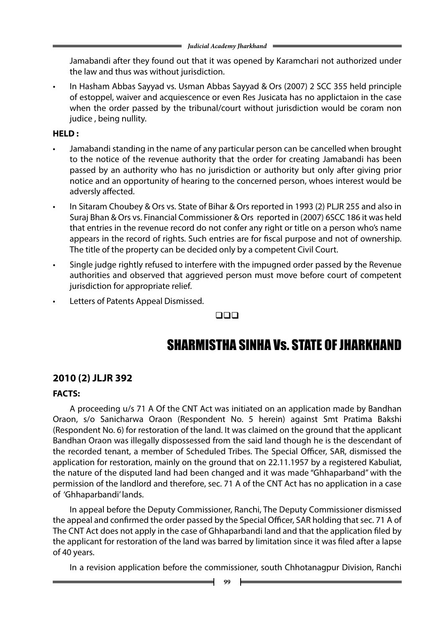Jamabandi after they found out that it was opened by Karamchari not authorized under the law and thus was without jurisdiction.

In Hasham Abbas Sayyad vs. Usman Abbas Sayyad & Ors (2007) 2 SCC 355 held principle of estoppel, waiver and acquiescence or even Res Jusicata has no applictaion in the case when the order passed by the tribunal/court without jurisdiction would be coram non judice , being nullity.

### **HELD :**

- Jamabandi standing in the name of any particular person can be cancelled when brought to the notice of the revenue authority that the order for creating Jamabandi has been passed by an authority who has no jurisdiction or authority but only after giving prior notice and an opportunity of hearing to the concerned person, whoes interest would be adversly affected.
- In Sitaram Choubey & Ors vs. State of Bihar & Ors reported in 1993 (2) PLJR 255 and also in Suraj Bhan & Ors vs. Financial Commissioner & Ors reported in (2007) 6SCC 186 it was held that entries in the revenue record do not confer any right or title on a person who's name appears in the record of rights. Such entries are for fiscal purpose and not of ownership. The title of the property can be decided only by a competent Civil Court.
- Single judge rightly refused to interfere with the impugned order passed by the Revenue authorities and observed that aggrieved person must move before court of competent jurisdiction for appropriate relief.
- Letters of Patents Appeal Dismissed.

 $\Box$ 

# SHARMISTHA SINHA Vs. STATE OF JHARKHAND

### **2010 (2) JLJR 392**

### **FACTS:**

A proceeding u/s 71 A Of the CNT Act was initiated on an application made by Bandhan Oraon, s/o Sanicharwa Oraon (Respondent No. 5 herein) against Smt Pratima Bakshi (Respondent No. 6) for restoration of the land. It was claimed on the ground that the applicant Bandhan Oraon was illegally dispossessed from the said land though he is the descendant of the recorded tenant, a member of Scheduled Tribes. The Special Officer, SAR, dismissed the application for restoration, mainly on the ground that on 22.11.1957 by a registered Kabuliat, the nature of the disputed land had been changed and it was made "Ghhaparband" with the permission of the landlord and therefore, sec. 71 A of the CNT Act has no application in a case of 'Ghhaparbandi' lands.

In appeal before the Deputy Commissioner, Ranchi, The Deputy Commissioner dismissed the appeal and confirmed the order passed by the Special Officer, SAR holding that sec. 71 A of The CNT Act does not apply in the case of Ghhaparbandi land and that the application filed by the applicant for restoration of the land was barred by limitation since it was filed after a lapse of 40 years.

In a revision application before the commissioner, south Chhotanagpur Division, Ranchi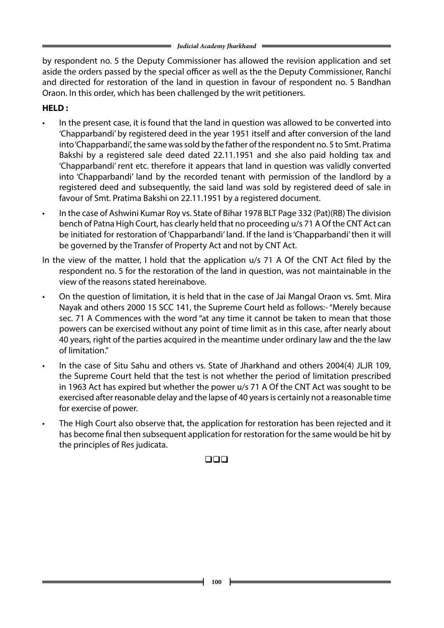by respondent no. 5 the Deputy Commissioner has allowed the revision application and set aside the orders passed by the special officer as well as the the Deputy Commissioner, Ranchi and directed for restoration of the land in question in favour of respondent no. 5 Bandhan Oraon. In this order, which has been challenged by the writ petitioners.

### **HELD :**

- In the present case, it is found that the land in question was allowed to be converted into 'Chapparbandi' by registered deed in the year 1951 itself and after conversion of the land into 'Chapparbandi', the same was sold by the father of the respondent no. 5 to Smt. Pratima Bakshi by a registered sale deed dated 22.11.1951 and she also paid holding tax and 'Chapparbandi' rent etc. therefore it appears that land in question was validly converted into 'Chapparbandi' land by the recorded tenant with permission of the landlord by a registered deed and subsequently, the said land was sold by registered deed of sale in favour of Smt. Pratima Bakshi on 22.11.1951 by a registered document.
- In the case of Ashwini Kumar Roy vs. State of Bihar 1978 BLT Page 332 (Pat)(RB) The division bench of Patna High Court, has clearly held that no proceeding u/s 71 A Of the CNT Act can be initiated for restoration of 'Chapparbandi' land. If the land is 'Chapparbandi' then it will be governed by the Transfer of Property Act and not by CNT Act.
- In the view of the matter, I hold that the application u/s 71 A Of the CNT Act filed by the respondent no. 5 for the restoration of the land in question, was not maintainable in the view of the reasons stated hereinabove.
- On the question of limitation, it is held that in the case of Jai Mangal Oraon vs. Smt. Mira Nayak and others 2000 15 SCC 141, the Supreme Court held as follows:- "Merely because sec. 71 A Commences with the word "at any time it cannot be taken to mean that those powers can be exercised without any point of time limit as in this case, after nearly about 40 years, right of the parties acquired in the meantime under ordinary law and the the law of limitation."
- In the case of Situ Sahu and others vs. State of Jharkhand and others 2004(4) JLJR 109, the Supreme Court held that the test is not whether the period of limitation prescribed in 1963 Act has expired but whether the power u/s 71 A Of the CNT Act was sought to be exercised after reasonable delay and the lapse of 40 years is certainly not a reasonable time for exercise of power.
- The High Court also observe that, the application for restoration has been rejected and it has become final then subsequent application for restoration for the same would be hit by the principles of Res judicata.

### $\Box$